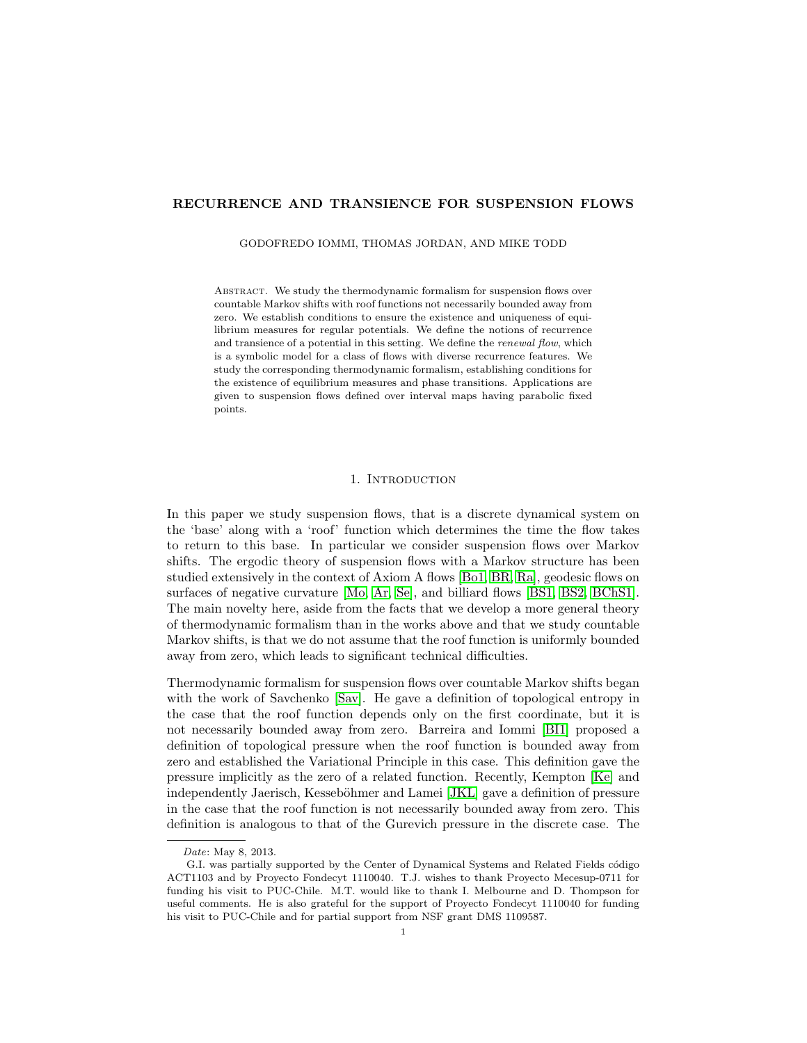# RECURRENCE AND TRANSIENCE FOR SUSPENSION FLOWS

GODOFREDO IOMMI, THOMAS JORDAN, AND MIKE TODD

ABSTRACT. We study the thermodynamic formalism for suspension flows over countable Markov shifts with roof functions not necessarily bounded away from zero. We establish conditions to ensure the existence and uniqueness of equilibrium measures for regular potentials. We define the notions of recurrence and transience of a potential in this setting. We define the *renewal flow*, which is a symbolic model for a class of flows with diverse recurrence features. We study the corresponding thermodynamic formalism, establishing conditions for the existence of equilibrium measures and phase transitions. Applications are given to suspension flows defined over interval maps having parabolic fixed points.

#### 1. INTRODUCTION

In this paper we study suspension flows, that is a discrete dynamical system on the 'base' along with a 'roof' function which determines the time the flow takes to return to this base. In particular we consider suspension flows over Markov shifts. The ergodic theory of suspension flows with a Markov structure has been studied extensively in the context of Axiom A flows [\[Bo1,](#page-31-0) [BR,](#page-31-1) [Ra\]](#page-32-1), geodesic flows on surfaces of negative curvature [\[Mo,](#page-32-2) [Ar,](#page-31-2) [Se\]](#page-33-0), and billiard flows [\[BS1,](#page-31-3) [BS2,](#page-31-4) [BChS1\]](#page-31-5). The main novelty here, aside from the facts that we develop a more general theory of thermodynamic formalism than in the works above and that we study countable Markov shifts, is that we do not assume that the roof function is uniformly bounded away from zero, which leads to significant technical difficulties.

Thermodynamic formalism for suspension flows over countable Markov shifts began with the work of Savchenko [\[Sav\]](#page-33-1). He gave a definition of topological entropy in the case that the roof function depends only on the first coordinate, but it is not necessarily bounded away from zero. Barreira and Iommi [\[BI1\]](#page-31-6) proposed a definition of topological pressure when the roof function is bounded away from zero and established the Variational Principle in this case. This definition gave the pressure implicitly as the zero of a related function. Recently, Kempton [\[Ke\]](#page-32-3) and independently Jaerisch, Kesseböhmer and Lamei [\[JKL\]](#page-32-0) gave a definition of pressure in the case that the roof function is not necessarily bounded away from zero. This definition is analogous to that of the Gurevich pressure in the discrete case. The

Date: May 8, 2013.

G.I. was partially supported by the Center of Dynamical Systems and Related Fields código ACT1103 and by Proyecto Fondecyt 1110040. T.J. wishes to thank Proyecto Mecesup-0711 for funding his visit to PUC-Chile. M.T. would like to thank I. Melbourne and D. Thompson for useful comments. He is also grateful for the support of Proyecto Fondecyt 1110040 for funding his visit to PUC-Chile and for partial support from NSF grant DMS 1109587.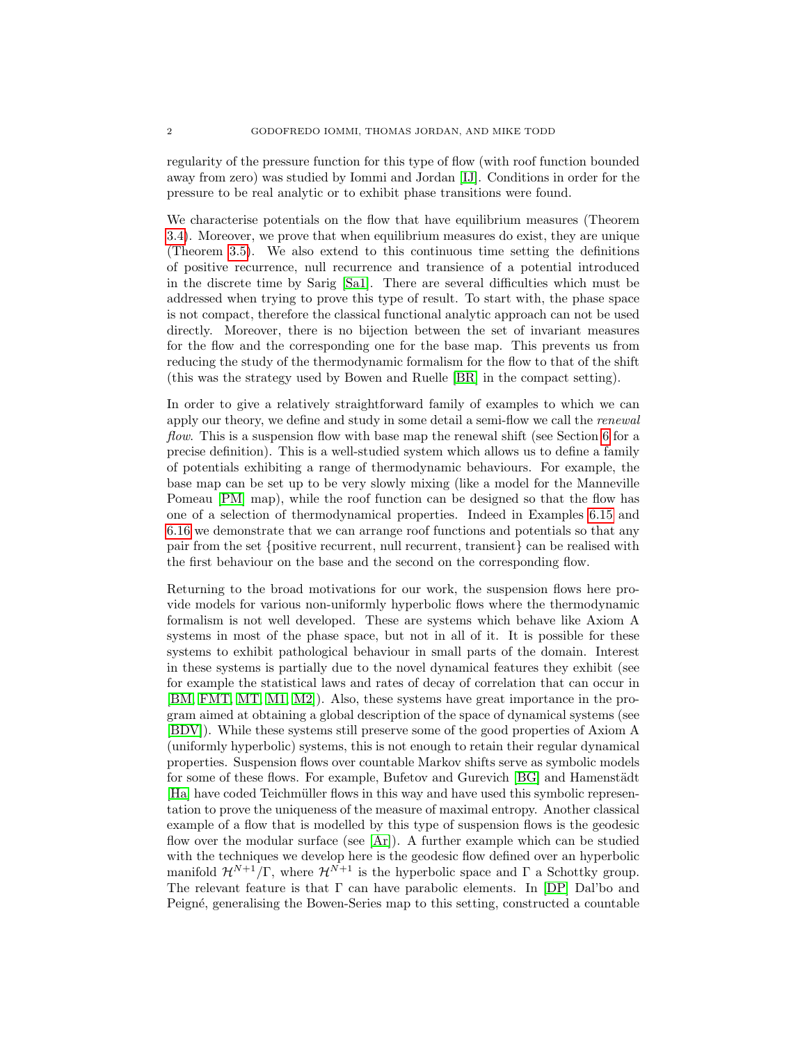regularity of the pressure function for this type of flow (with roof function bounded away from zero) was studied by Iommi and Jordan [\[IJ\]](#page-32-4). Conditions in order for the pressure to be real analytic or to exhibit phase transitions were found.

We characterise potentials on the flow that have equilibrium measures (Theorem [3.4\)](#page-12-0). Moreover, we prove that when equilibrium measures do exist, they are unique (Theorem [3.5\)](#page-12-1). We also extend to this continuous time setting the definitions of positive recurrence, null recurrence and transience of a potential introduced in the discrete time by Sarig [\[Sa1\]](#page-32-5). There are several difficulties which must be addressed when trying to prove this type of result. To start with, the phase space is not compact, therefore the classical functional analytic approach can not be used directly. Moreover, there is no bijection between the set of invariant measures for the flow and the corresponding one for the base map. This prevents us from reducing the study of the thermodynamic formalism for the flow to that of the shift (this was the strategy used by Bowen and Ruelle [\[BR\]](#page-31-1) in the compact setting).

In order to give a relatively straightforward family of examples to which we can apply our theory, we define and study in some detail a semi-flow we call the *renewal* flow. This is a suspension flow with base map the renewal shift (see Section [6](#page-19-0) for a precise definition). This is a well-studied system which allows us to define a family of potentials exhibiting a range of thermodynamic behaviours. For example, the base map can be set up to be very slowly mixing (like a model for the Manneville Pomeau [\[PM\]](#page-32-6) map), while the roof function can be designed so that the flow has one of a selection of thermodynamical properties. Indeed in Examples [6.15](#page-27-0) and [6.16](#page-28-0) we demonstrate that we can arrange roof functions and potentials so that any pair from the set {positive recurrent, null recurrent, transient} can be realised with the first behaviour on the base and the second on the corresponding flow.

Returning to the broad motivations for our work, the suspension flows here provide models for various non-uniformly hyperbolic flows where the thermodynamic formalism is not well developed. These are systems which behave like Axiom A systems in most of the phase space, but not in all of it. It is possible for these systems to exhibit pathological behaviour in small parts of the domain. Interest in these systems is partially due to the novel dynamical features they exhibit (see for example the statistical laws and rates of decay of correlation that can occur in [\[BM,](#page-31-8) [FMT,](#page-32-7) [MT,](#page-32-8) [M1,](#page-32-9) [M2\]](#page-32-10)). Also, these systems have great importance in the program aimed at obtaining a global description of the space of dynamical systems (see [\[BDV\]](#page-31-9)). While these systems still preserve some of the good properties of Axiom A (uniformly hyperbolic) systems, this is not enough to retain their regular dynamical properties. Suspension flows over countable Markov shifts serve as symbolic models for some of these flows. For example, Bufetov and Gurevich [\[BG\]](#page-31-10) and Hamenstädt [\[Ha\]](#page-32-11) have coded Teichmüller flows in this way and have used this symbolic representation to prove the uniqueness of the measure of maximal entropy. Another classical example of a flow that is modelled by this type of suspension flows is the geodesic flow over the modular surface (see [\[Ar\]](#page-31-2)). A further example which can be studied with the techniques we develop here is the geodesic flow defined over an hyperbolic manifold  $\mathcal{H}^{N+1}/\Gamma$ , where  $\mathcal{H}^{N+1}$  is the hyperbolic space and  $\Gamma$  a Schottky group. The relevant feature is that  $\Gamma$  can have parabolic elements. In [\[DP\]](#page-31-7) Dal'bo and Peigné, generalising the Bowen-Series map to this setting, constructed a countable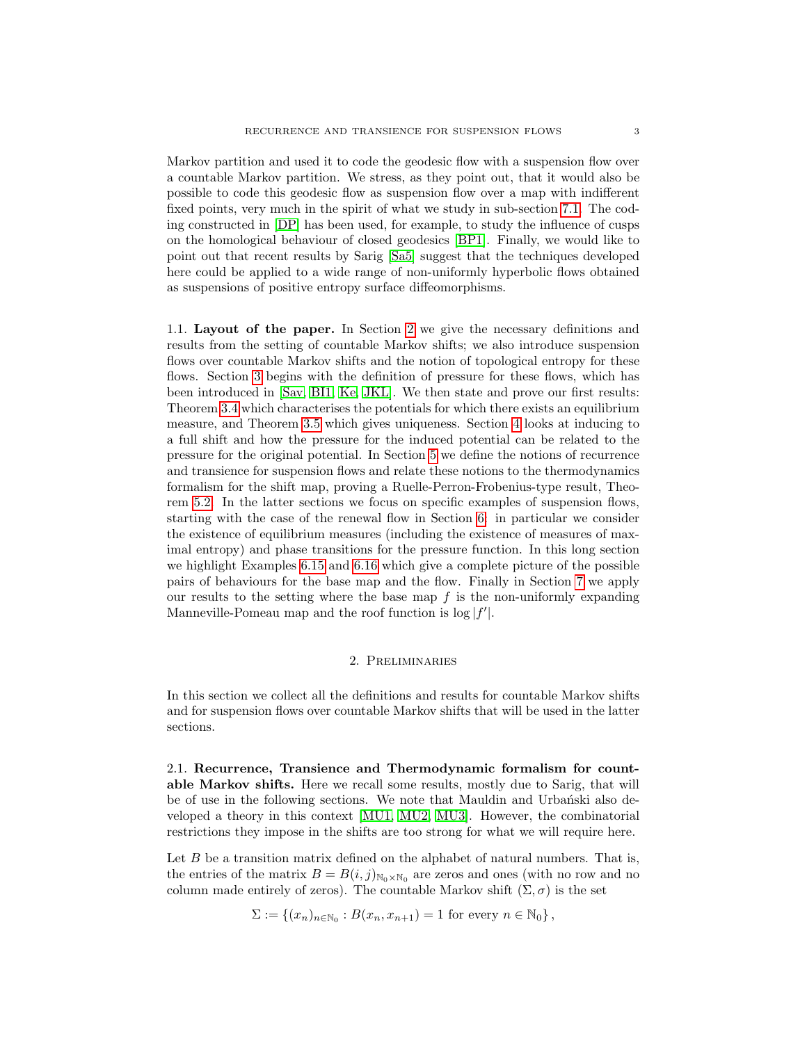Markov partition and used it to code the geodesic flow with a suspension flow over a countable Markov partition. We stress, as they point out, that it would also be possible to code this geodesic flow as suspension flow over a map with indifferent fixed points, very much in the spirit of what we study in sub-section [7.1.](#page-28-1) The coding constructed in [\[DP\]](#page-31-7) has been used, for example, to study the influence of cusps on the homological behaviour of closed geodesics [\[BP1\]](#page-31-11). Finally, we would like to point out that recent results by Sarig [\[Sa5\]](#page-33-2) suggest that the techniques developed here could be applied to a wide range of non-uniformly hyperbolic flows obtained as suspensions of positive entropy surface diffeomorphisms.

1.1. Layout of the paper. In Section [2](#page-2-0) we give the necessary definitions and results from the setting of countable Markov shifts; we also introduce suspension flows over countable Markov shifts and the notion of topological entropy for these flows. Section [3](#page-11-0) begins with the definition of pressure for these flows, which has been introduced in [\[Sav,](#page-33-1) [BI1,](#page-31-6) [Ke,](#page-32-3) [JKL\]](#page-32-0). We then state and prove our first results: Theorem [3.4](#page-12-0) which characterises the potentials for which there exists an equilibrium measure, and Theorem [3.5](#page-12-1) which gives uniqueness. Section [4](#page-14-0) looks at inducing to a full shift and how the pressure for the induced potential can be related to the pressure for the original potential. In Section [5](#page-16-0) we define the notions of recurrence and transience for suspension flows and relate these notions to the thermodynamics formalism for the shift map, proving a Ruelle-Perron-Frobenius-type result, Theorem [5.2.](#page-17-0) In the latter sections we focus on specific examples of suspension flows, starting with the case of the renewal flow in Section [6:](#page-19-0) in particular we consider the existence of equilibrium measures (including the existence of measures of maximal entropy) and phase transitions for the pressure function. In this long section we highlight Examples [6.15](#page-27-0) and [6.16](#page-28-0) which give a complete picture of the possible pairs of behaviours for the base map and the flow. Finally in Section [7](#page-28-2) we apply our results to the setting where the base map  $f$  is the non-uniformly expanding Manneville-Pomeau map and the roof function is  $\log |f'|$ .

# 2. Preliminaries

<span id="page-2-0"></span>In this section we collect all the definitions and results for countable Markov shifts and for suspension flows over countable Markov shifts that will be used in the latter sections.

<span id="page-2-1"></span>2.1. Recurrence, Transience and Thermodynamic formalism for countable Markov shifts. Here we recall some results, mostly due to Sarig, that will be of use in the following sections. We note that Mauldin and Urbański also developed a theory in this context [\[MU1,](#page-32-13) [MU2,](#page-32-14) [MU3\]](#page-32-12). However, the combinatorial restrictions they impose in the shifts are too strong for what we will require here.

Let  $B$  be a transition matrix defined on the alphabet of natural numbers. That is, the entries of the matrix  $B = B(i, j)_{N_0 \times N_0}$  are zeros and ones (with no row and no column made entirely of zeros). The countable Markov shift  $(\Sigma, \sigma)$  is the set

$$
\Sigma := \{(x_n)_{n \in \mathbb{N}_0} : B(x_n, x_{n+1}) = 1 \text{ for every } n \in \mathbb{N}_0\},\
$$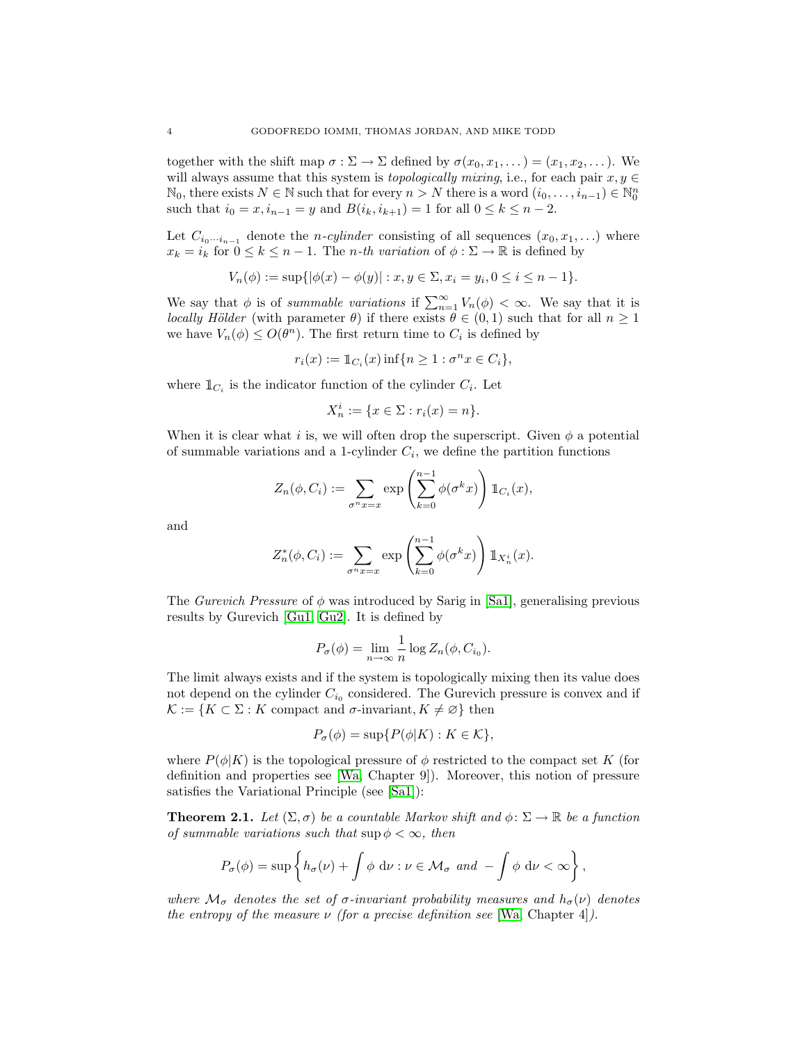together with the shift map  $\sigma : \Sigma \to \Sigma$  defined by  $\sigma(x_0, x_1, \ldots) = (x_1, x_2, \ldots)$ . We will always assume that this system is *topologically mixing*, i.e., for each pair  $x, y \in$ N<sub>0</sub>, there exists  $N \in \mathbb{N}$  such that for every  $n > N$  there is a word  $(i_0, \ldots, i_{n-1}) \in \mathbb{N}_0^n$ such that  $i_0 = x, i_{n-1} = y$  and  $B(i_k, i_{k+1}) = 1$  for all  $0 \le k \le n-2$ .

Let  $C_{i_0\cdots i_{n-1}}$  denote the *n-cylinder* consisting of all sequences  $(x_0, x_1, \ldots)$  where  $x_k = i_k$  for  $0 \leq k \leq n-1$ . The *n*-th variation of  $\phi : \Sigma \to \mathbb{R}$  is defined by

$$
V_n(\phi) := \sup\{|\phi(x) - \phi(y)| : x, y \in \Sigma, x_i = y_i, 0 \le i \le n - 1\}.
$$

We say that  $\phi$  is of summable variations if  $\sum_{n=1}^{\infty} V_n(\phi) < \infty$ . We say that it is *locally Hölder* (with parameter  $\theta$ ) if there exists  $\theta \in (0,1)$  such that for all  $n \geq 1$ we have  $V_n(\phi) \leq O(\theta^n)$ . The first return time to  $C_i$  is defined by

$$
r_i(x) := \mathbb{1}_{C_i}(x) \inf\{n \ge 1 : \sigma^n x \in C_i\},\
$$

where  $\mathbb{1}_{C_i}$  is the indicator function of the cylinder  $C_i$ . Let

$$
X_n^i := \{ x \in \Sigma : r_i(x) = n \}.
$$

When it is clear what i is, we will often drop the superscript. Given  $\phi$  a potential of summable variations and a 1-cylinder  $C_i$ , we define the partition functions

$$
Z_n(\phi, C_i) := \sum_{\sigma^n x = x} \exp\left(\sum_{k=0}^{n-1} \phi(\sigma^k x)\right) \mathbb{1}_{C_i}(x),
$$

and

$$
Z_n^*(\phi, C_i) := \sum_{\sigma^n x = x} \exp\left(\sum_{k=0}^{n-1} \phi(\sigma^k x)\right) \mathbb{1}_{X_n^i}(x).
$$

The Gurevich Pressure of  $\phi$  was introduced by Sarig in [\[Sa1\]](#page-32-5), generalising previous results by Gurevich [\[Gu1,](#page-32-15) [Gu2\]](#page-32-16). It is defined by

$$
P_{\sigma}(\phi) = \lim_{n \to \infty} \frac{1}{n} \log Z_n(\phi, C_{i_0}).
$$

The limit always exists and if the system is topologically mixing then its value does not depend on the cylinder  $C_{i_0}$  considered. The Gurevich pressure is convex and if  $\mathcal{K} := \{K \subset \Sigma : K$  compact and  $\sigma$ -invariant,  $K \neq \emptyset\}$  then

$$
P_{\sigma}(\phi) = \sup \{ P(\phi|K) : K \in \mathcal{K} \},\
$$

where  $P(\phi|K)$  is the topological pressure of  $\phi$  restricted to the compact set K (for definition and properties see [\[Wa,](#page-33-3) Chapter 9]). Moreover, this notion of pressure satisfies the Variational Principle (see [\[Sa1\]](#page-32-5)):

<span id="page-3-0"></span>**Theorem 2.1.** Let  $(\Sigma, \sigma)$  be a countable Markov shift and  $\phi \colon \Sigma \to \mathbb{R}$  be a function of summable variations such that  $\sup \phi < \infty$ , then

$$
P_{\sigma}(\phi) = \sup \left\{ h_{\sigma}(\nu) + \int \phi \, d\nu : \nu \in \mathcal{M}_{\sigma} \text{ and } -\int \phi \, d\nu < \infty \right\},\,
$$

where  $\mathcal{M}_{\sigma}$  denotes the set of  $\sigma$ -invariant probability measures and  $h_{\sigma}(\nu)$  denotes the entropy of the measure  $\nu$  (for a precise definition see [\[Wa,](#page-33-3) Chapter 4]).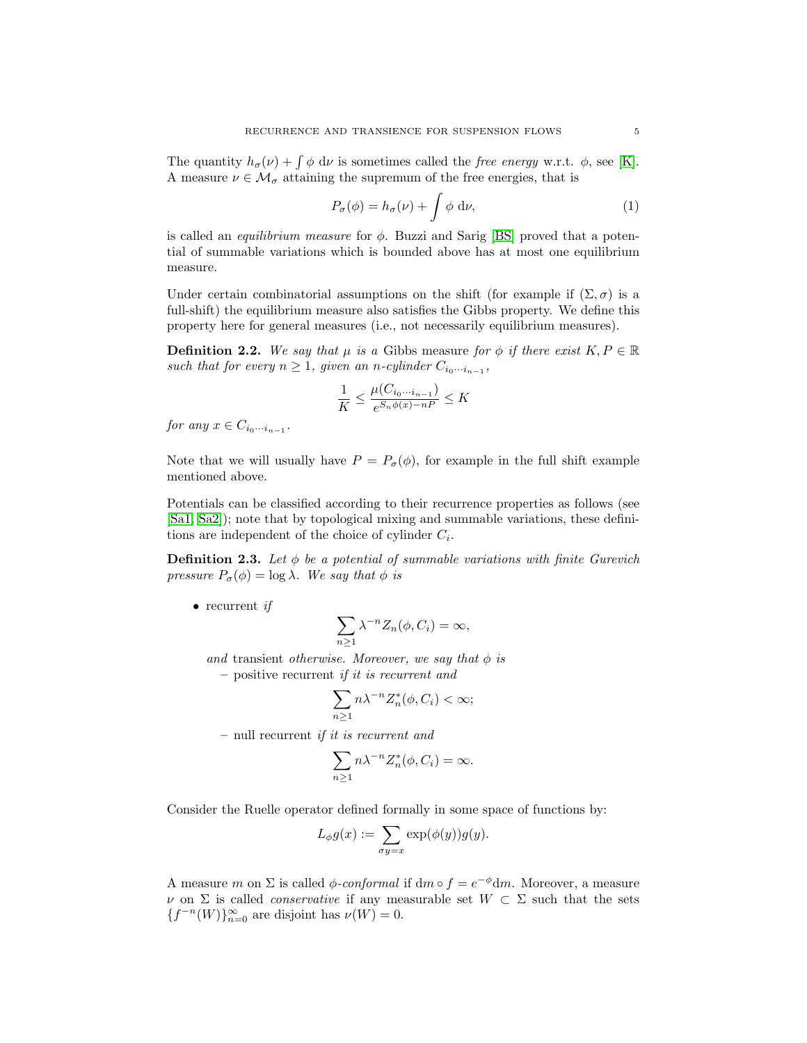The quantity  $h_{\sigma}(\nu) + \int \phi \, d\nu$  is sometimes called the *free energy* w.r.t.  $\phi$ , see [\[K\]](#page-32-17). A measure  $\nu \in \mathcal{M}_{\sigma}$  attaining the supremum of the free energies, that is

<span id="page-4-0"></span>
$$
P_{\sigma}(\phi) = h_{\sigma}(\nu) + \int \phi \, \mathrm{d}\nu,\tag{1}
$$

is called an *equilibrium measure* for  $\phi$ . Buzzi and Sarig [\[BS\]](#page-31-12) proved that a potential of summable variations which is bounded above has at most one equilibrium measure.

Under certain combinatorial assumptions on the shift (for example if  $(\Sigma, \sigma)$  is a full-shift) the equilibrium measure also satisfies the Gibbs property. We define this property here for general measures (i.e., not necessarily equilibrium measures).

**Definition 2.2.** We say that  $\mu$  is a Gibbs measure for  $\phi$  if there exist  $K, P \in \mathbb{R}$ such that for every  $n \geq 1$ , given an n-cylinder  $C_{i_0\cdots i_{n-1}}$ ,

$$
\frac{1}{K} \le \frac{\mu(C_{i_0 \cdots i_{n-1}})}{e^{S_n \phi(x) - n}} \le K
$$

for any  $x \in C_{i_0 \cdots i_{n-1}}$ .

Note that we will usually have  $P = P_{\sigma}(\phi)$ , for example in the full shift example mentioned above.

Potentials can be classified according to their recurrence properties as follows (see [\[Sa1,](#page-32-5) [Sa2\]](#page-33-4)); note that by topological mixing and summable variations, these definitions are independent of the choice of cylinder  $C_i$ .

**Definition 2.3.** Let  $\phi$  be a potential of summable variations with finite Gurevich pressure  $P_{\sigma}(\phi) = \log \lambda$ . We say that  $\phi$  is

 $\bullet\,$  recurrent  $if$ 

$$
\sum_{n\geq 1} \lambda^{-n} Z_n(\phi, C_i) = \infty,
$$

and transient otherwise. Moreover, we say that  $\phi$  is

*–* positive recurrent if it is recurrent and

$$
\sum_{n\geq 1} n\lambda^{-n} Z_n^*(\phi, C_i) < \infty;
$$

*–* null recurrent if it is recurrent and

$$
\sum_{n\geq 1} n\lambda^{-n} Z_n^*(\phi, C_i) = \infty.
$$

Consider the Ruelle operator defined formally in some space of functions by:

$$
L_{\phi}g(x) := \sum_{\sigma y = x} \exp(\phi(y))g(y).
$$

A measure m on  $\Sigma$  is called  $\phi$ -conformal if dm  $\circ$  f =  $e^{-\phi}$ dm. Moreover, a measure  $ν$  on Σ is called *conservative* if any measurable set  $W ⊂ Σ$  such that the sets  ${f^{-n}(W)}_{n=0}^{\infty}$  are disjoint has  $\nu(W) = 0$ .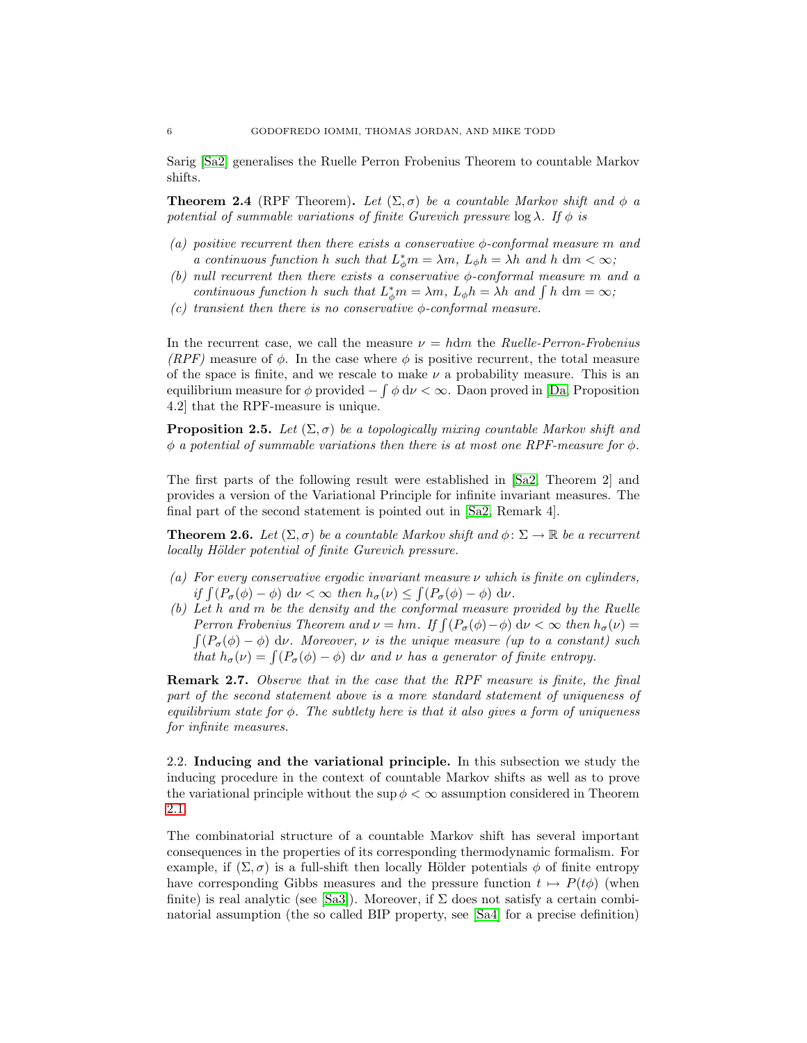Sarig [\[Sa2\]](#page-33-4) generalises the Ruelle Perron Frobenius Theorem to countable Markov shifts.

<span id="page-5-0"></span>**Theorem 2.4** (RPF Theorem). Let  $(\Sigma, \sigma)$  be a countable Markov shift and  $\phi$  a potential of summable variations of finite Gurevich pressure  $\log \lambda$ . If  $\phi$  is

- (a) positive recurrent then there exists a conservative  $\phi$ -conformal measure m and a continuous function h such that  $L^*_{\phi}m = \lambda m$ ,  $L_{\phi}h = \lambda h$  and  $h \, dm < \infty$ ;
- (b) null recurrent then there exists a conservative  $\phi$ -conformal measure m and a continuous function h such that  $L^*_{\phi}m = \lambda m$ ,  $L_{\phi}h = \lambda h$  and  $\int h dm = \infty$ ;
- (c) transient then there is no conservative  $\phi$ -conformal measure.

In the recurrent case, we call the measure  $\nu = hdm$  the *Ruelle-Perron-Frobenius* (RPF) measure of  $\phi$ . In the case where  $\phi$  is positive recurrent, the total measure of the space is finite, and we rescale to make  $\nu$  a probability measure. This is an equilibrium measure for  $\phi$  provided  $-\int \phi \, d\nu < \infty$ . Daon proved in [\[Da,](#page-32-18) Proposition 4.2] that the RPF-measure is unique.

**Proposition 2.5.** Let  $(\Sigma, \sigma)$  be a topologically mixing countable Markov shift and  $\phi$  a potential of summable variations then there is at most one RPF-measure for  $\phi$ .

The first parts of the following result were established in [\[Sa2,](#page-33-4) Theorem 2] and provides a version of the Variational Principle for infinite invariant measures. The final part of the second statement is pointed out in [\[Sa2,](#page-33-4) Remark 4].

<span id="page-5-1"></span>**Theorem 2.6.** Let  $(\Sigma, \sigma)$  be a countable Markov shift and  $\phi \colon \Sigma \to \mathbb{R}$  be a recurrent locally Hölder potential of finite Gurevich pressure.

- (a) For every conservative ergodic invariant measure  $\nu$  which is finite on cylinders, if  $\int (P_{\sigma}(\phi) - \phi) d\nu < \infty$  then  $h_{\sigma}(\nu) \leq \int (P_{\sigma}(\phi) - \phi) d\nu$ .
- (b) Let h and m be the density and the conformal measure provided by the Ruelle Perron Frobenius Theorem and  $\nu = hm.$  If  $\int (P_{\sigma}(\phi) - \phi) d\nu < \infty$  then  $h_{\sigma}(\nu) =$  $\int (P_{\sigma}(\phi) - \phi) d\nu$ . Moreover,  $\nu$  is the unique measure (up to a constant) such that  $h_{\sigma}(\nu) = \int (P_{\sigma}(\phi) - \phi) d\nu$  and  $\nu$  has a generator of finite entropy.

Remark 2.7. Observe that in the case that the RPF measure is finite, the final part of the second statement above is a more standard statement of uniqueness of equilibrium state for  $\phi$ . The subtlety here is that it also gives a form of uniqueness for infinite measures.

<span id="page-5-2"></span>2.2. Inducing and the variational principle. In this subsection we study the inducing procedure in the context of countable Markov shifts as well as to prove the variational principle without the sup  $\phi < \infty$  assumption considered in Theorem [2.1.](#page-3-0)

The combinatorial structure of a countable Markov shift has several important consequences in the properties of its corresponding thermodynamic formalism. For example, if  $(\Sigma, \sigma)$  is a full-shift then locally Hölder potentials  $\phi$  of finite entropy have corresponding Gibbs measures and the pressure function  $t \mapsto P(t\phi)$  (when finite) is real analytic (see [\[Sa3\]](#page-33-6)). Moreover, if  $\Sigma$  does not satisfy a certain combinatorial assumption (the so called BIP property, see [\[Sa4\]](#page-33-5) for a precise definition)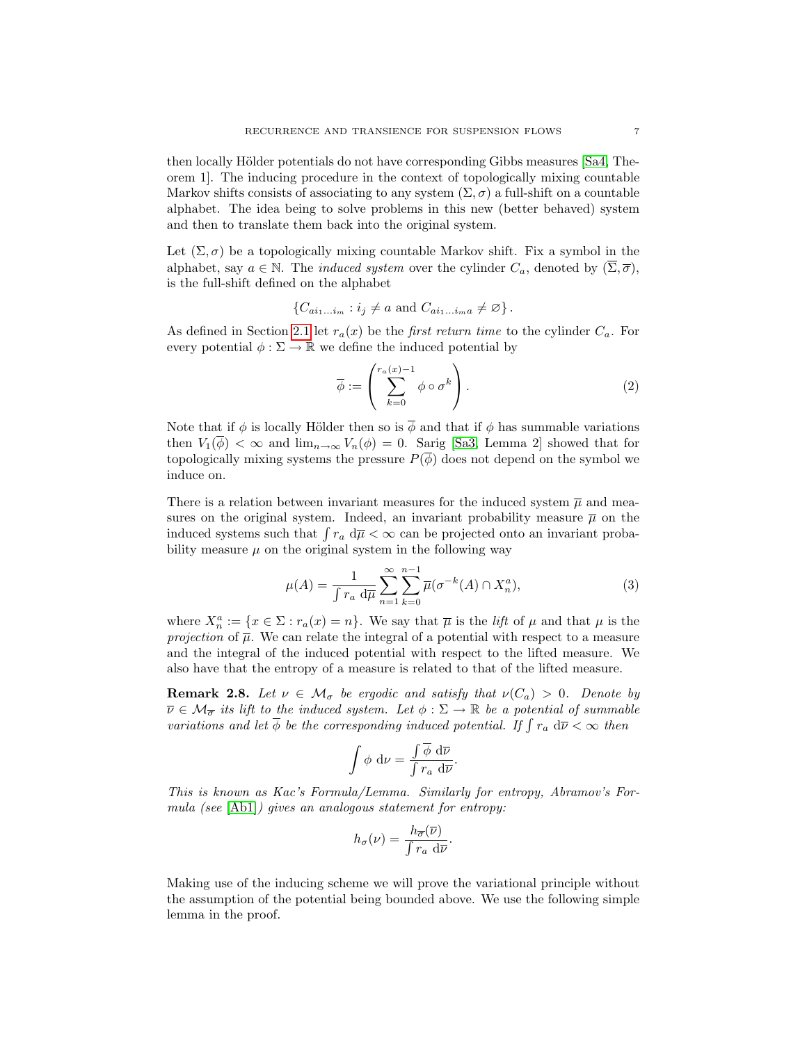then locally Hölder potentials do not have corresponding Gibbs measures [\[Sa4,](#page-33-5) Theorem 1]. The inducing procedure in the context of topologically mixing countable Markov shifts consists of associating to any system  $(\Sigma, \sigma)$  a full-shift on a countable alphabet. The idea being to solve problems in this new (better behaved) system and then to translate them back into the original system.

Let  $(\Sigma, \sigma)$  be a topologically mixing countable Markov shift. Fix a symbol in the alphabet, say  $a \in \mathbb{N}$ . The *induced system* over the cylinder  $C_a$ , denoted by  $(\overline{\Sigma}, \overline{\sigma})$ , is the full-shift defined on the alphabet

$$
\{C_{ai_1...i_m} : i_j \neq a \text{ and } C_{ai_1...i_ma} \neq \varnothing\}.
$$

As defined in Section [2.1](#page-2-1) let  $r_a(x)$  be the *first return time* to the cylinder  $C_a$ . For every potential  $\phi : \Sigma \to \mathbb{R}$  we define the induced potential by

<span id="page-6-3"></span>
$$
\overline{\phi} := \left( \sum_{k=0}^{r_a(x)-1} \phi \circ \sigma^k \right). \tag{2}
$$

Note that if  $\phi$  is locally Hölder then so is  $\overline{\phi}$  and that if  $\phi$  has summable variations then  $V_1(\overline{\phi}) < \infty$  and  $\lim_{n\to\infty} V_n(\phi) = 0$ . Sarig [\[Sa3,](#page-33-6) Lemma 2] showed that for topologically mixing systems the pressure  $P(\vec{\phi})$  does not depend on the symbol we induce on.

There is a relation between invariant measures for the induced system  $\overline{\mu}$  and measures on the original system. Indeed, an invariant probability measure  $\overline{\mu}$  on the induced systems such that  $\int r_a \, d\overline{\mu} < \infty$  can be projected onto an invariant probability measure  $\mu$  on the original system in the following way

<span id="page-6-1"></span>
$$
\mu(A) = \frac{1}{\int r_a \, d\overline{\mu}} \sum_{n=1}^{\infty} \sum_{k=0}^{n-1} \overline{\mu}(\sigma^{-k}(A) \cap X_n^a),\tag{3}
$$

where  $X_n^a := \{x \in \Sigma : r_a(x) = n\}$ . We say that  $\overline{\mu}$  is the *lift* of  $\mu$  and that  $\mu$  is the projection of  $\overline{\mu}$ . We can relate the integral of a potential with respect to a measure and the integral of the induced potential with respect to the lifted measure. We also have that the entropy of a measure is related to that of the lifted measure.

<span id="page-6-0"></span>**Remark 2.8.** Let  $\nu \in \mathcal{M}_{\sigma}$  be ergodic and satisfy that  $\nu(C_a) > 0$ . Denote by  $\overline{\nu} \in \mathcal{M}_{\overline{\sigma}}$  its lift to the induced system. Let  $\phi : \Sigma \to \mathbb{R}$  be a potential of summable variations and let  $\overline{\phi}$  be the corresponding induced potential. If  $\int r_a d\overline{\nu} < \infty$  then

$$
\int \phi \ d\nu = \frac{\int \overline{\phi} \ d\overline{\nu}}{\int r_a \ d\overline{\nu}}.
$$

This is known as Kac's Formula/Lemma. Similarly for entropy, Abramov's For-mula (see [\[Ab1\]](#page-31-13)) gives an analogous statement for entropy:

$$
h_{\sigma}(\nu) = \frac{h_{\overline{\sigma}}(\overline{\nu})}{\int r_a \, d\overline{\nu}}.
$$

<span id="page-6-2"></span>Making use of the inducing scheme we will prove the variational principle without the assumption of the potential being bounded above. We use the following simple lemma in the proof.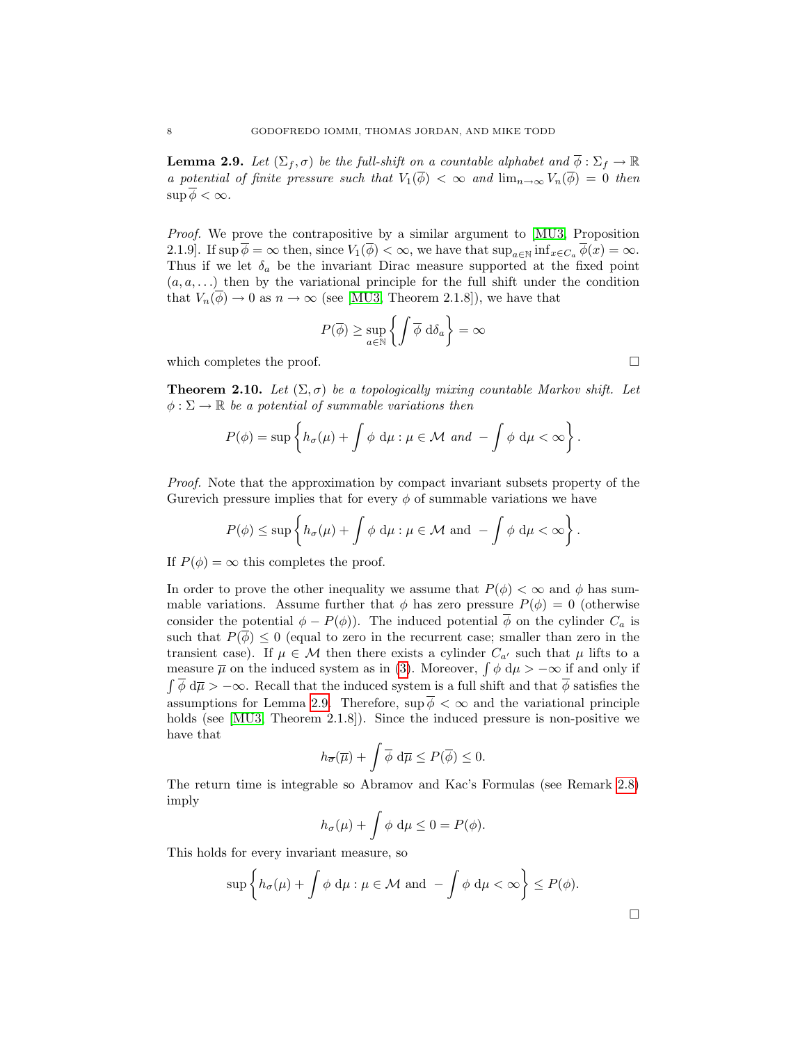**Lemma 2.9.** Let  $(\Sigma_f, \sigma)$  be the full-shift on a countable alphabet and  $\overline{\phi}: \Sigma_f \to \mathbb{R}$ a potential of finite pressure such that  $V_1(\overline{\phi}) < \infty$  and  $\lim_{n\to\infty} V_n(\overline{\phi})=0$  then  $\sup \overline{\phi} < \infty$ .

Proof. We prove the contrapositive by a similar argument to [\[MU3,](#page-32-12) Proposition 2.1.9]. If  $\sup \overline{\phi} = \infty$  then, since  $V_1(\overline{\phi}) < \infty$ , we have that  $\sup_{a \in \mathbb{N}} \inf_{x \in C_a} \overline{\phi}(x) = \infty$ . Thus if we let  $\delta_a$  be the invariant Dirac measure supported at the fixed point  $(a, a, \ldots)$  then by the variational principle for the full shift under the condition that  $V_n(\overline{\phi}) \to 0$  as  $n \to \infty$  (see [\[MU3,](#page-32-12) Theorem 2.1.8]), we have that

$$
P(\overline{\phi}) \ge \sup_{a \in \mathbb{N}} \left\{ \int \overline{\phi} \, \, \mathrm{d} \delta_a \right\} = \infty
$$

which completes the proof.

**Theorem 2.10.** Let  $(\Sigma, \sigma)$  be a topologically mixing countable Markov shift. Let  $\phi : \Sigma \to \mathbb{R}$  be a potential of summable variations then

$$
P(\phi) = \sup \left\{ h_{\sigma}(\mu) + \int \phi \, d\mu : \mu \in \mathcal{M} \text{ and } -\int \phi \, d\mu < \infty \right\}.
$$

Proof. Note that the approximation by compact invariant subsets property of the Gurevich pressure implies that for every  $\phi$  of summable variations we have

$$
P(\phi) \leq \sup \left\{ h_{\sigma}(\mu) + \int \phi \, \mathrm{d}\mu : \mu \in \mathcal{M} \text{ and } -\int \phi \, \mathrm{d}\mu < \infty \right\}.
$$

If  $P(\phi) = \infty$  this completes the proof.

In order to prove the other inequality we assume that  $P(\phi) < \infty$  and  $\phi$  has summable variations. Assume further that  $\phi$  has zero pressure  $P(\phi) = 0$  (otherwise consider the potential  $\phi - P(\phi)$ ). The induced potential  $\overline{\phi}$  on the cylinder  $C_a$  is such that  $P(\overline{\phi}) \leq 0$  (equal to zero in the recurrent case; smaller than zero in the transient case). If  $\mu \in \mathcal{M}$  then there exists a cylinder  $C_{a'}$  such that  $\mu$  lifts to a measure  $\overline{\mu}$  on the induced system as in [\(3\)](#page-6-1). Moreover,  $\int \phi \, d\mu > -\infty$  if and only if  $\int \overline{\phi} d\overline{\mu} > -\infty$ . Recall that the induced system is a full shift and that  $\overline{\phi}$  satisfies the assumptions for Lemma [2.9.](#page-6-2) Therefore,  $\sup \overline{\phi} < \infty$  and the variational principle holds (see [\[MU3,](#page-32-12) Theorem 2.1.8]). Since the induced pressure is non-positive we have that

$$
h_{\overline{\sigma}}(\overline{\mu}) + \int \overline{\phi} \, d\overline{\mu} \le P(\overline{\phi}) \le 0.
$$

The return time is integrable so Abramov and Kac's Formulas (see Remark [2.8\)](#page-6-0) imply

$$
h_{\sigma}(\mu) + \int \phi \, \mathrm{d}\mu \le 0 = P(\phi).
$$

This holds for every invariant measure, so

$$
\sup \left\{ h_{\sigma}(\mu) + \int \phi \, \mathrm{d}\mu : \mu \in \mathcal{M} \text{ and } -\int \phi \, \mathrm{d}\mu < \infty \right\} \le P(\phi).
$$

$$
\Box
$$

 $\Box$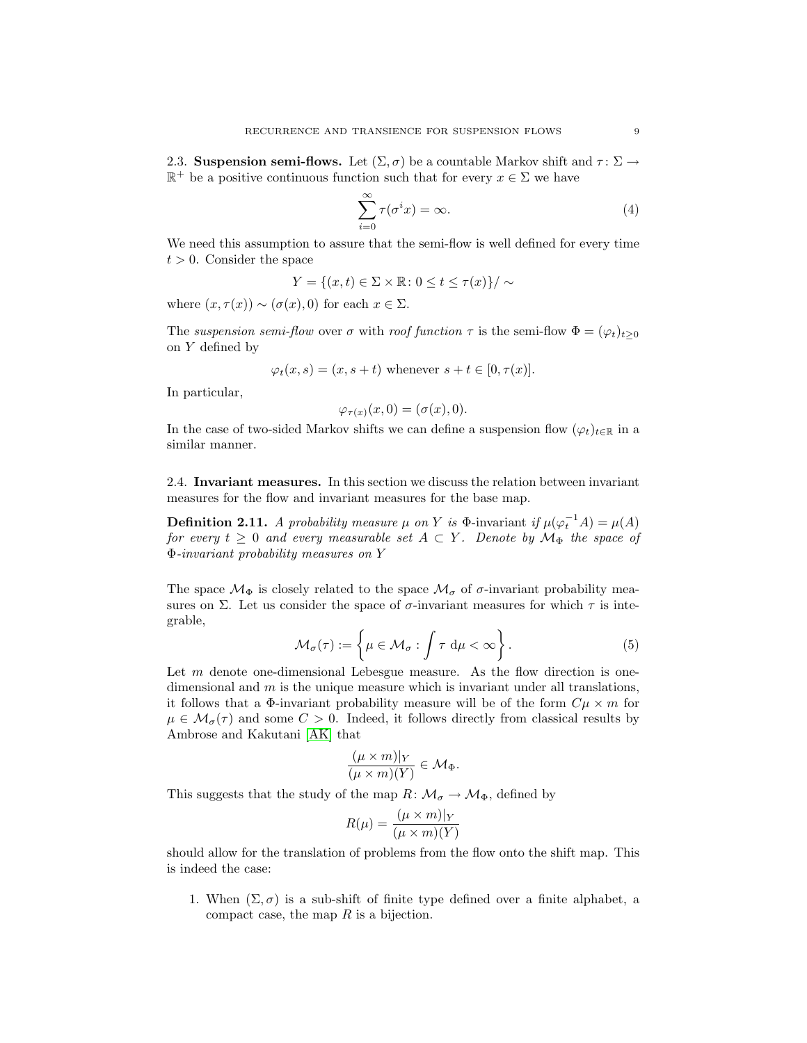2.3. Suspension semi-flows. Let  $(\Sigma, \sigma)$  be a countable Markov shift and  $\tau : \Sigma \to$  $\mathbb{R}^+$  be a positive continuous function such that for every  $x \in \Sigma$  we have

<span id="page-8-0"></span>
$$
\sum_{i=0}^{\infty} \tau(\sigma^i x) = \infty.
$$
 (4)

We need this assumption to assure that the semi-flow is well defined for every time  $t > 0$ . Consider the space

$$
Y = \{(x, t) \in \Sigma \times \mathbb{R} \colon 0 \le t \le \tau(x)\}/\sim
$$

where  $(x, \tau(x)) \sim (\sigma(x), 0)$  for each  $x \in \Sigma$ .

The suspension semi-flow over  $\sigma$  with roof function  $\tau$  is the semi-flow  $\Phi = (\varphi_t)_{t>0}$ on Y defined by

$$
\varphi_t(x, s) = (x, s + t)
$$
 whenever  $s + t \in [0, \tau(x)]$ .

In particular,

$$
\varphi_{\tau(x)}(x,0) = (\sigma(x),0).
$$

In the case of two-sided Markov shifts we can define a suspension flow  $(\varphi_t)_{t\in\mathbb{R}}$  in a similar manner.

2.4. Invariant measures. In this section we discuss the relation between invariant measures for the flow and invariant measures for the base map.

**Definition 2.11.** A probability measure  $\mu$  on Y is  $\Phi$ -invariant if  $\mu(\varphi_t^{-1}A) = \mu(A)$ for every  $t \geq 0$  and every measurable set  $A \subset Y$ . Denote by  $\mathcal{M}_{\Phi}$  the space of Φ-invariant probability measures on Y

The space  $\mathcal{M}_{\Phi}$  is closely related to the space  $\mathcal{M}_{\sigma}$  of  $\sigma$ -invariant probability measures on  $\Sigma$ . Let us consider the space of  $\sigma$ -invariant measures for which  $\tau$  is integrable,

$$
\mathcal{M}_{\sigma}(\tau) := \left\{ \mu \in \mathcal{M}_{\sigma} : \int \tau \, \mathrm{d}\mu < \infty \right\}.
$$
\n<sup>(5)</sup>

Let  $m$  denote one-dimensional Lebesgue measure. As the flow direction is onedimensional and  $m$  is the unique measure which is invariant under all translations, it follows that a  $\Phi$ -invariant probability measure will be of the form  $C\mu \times m$  for  $\mu \in \mathcal{M}_{\sigma}(\tau)$  and some  $C > 0$ . Indeed, it follows directly from classical results by Ambrose and Kakutani [\[AK\]](#page-31-14) that

$$
\frac{(\mu \times m)|_Y}{(\mu \times m)(Y)} \in \mathcal{M}_{\Phi}.
$$

This suggests that the study of the map  $R: \mathcal{M}_{\sigma} \to \mathcal{M}_{\Phi}$ , defined by

$$
R(\mu) = \frac{(\mu \times m)|_Y}{(\mu \times m)(Y)}
$$

should allow for the translation of problems from the flow onto the shift map. This is indeed the case:

1. When  $(\Sigma, \sigma)$  is a sub-shift of finite type defined over a finite alphabet, a compact case, the map  $R$  is a bijection.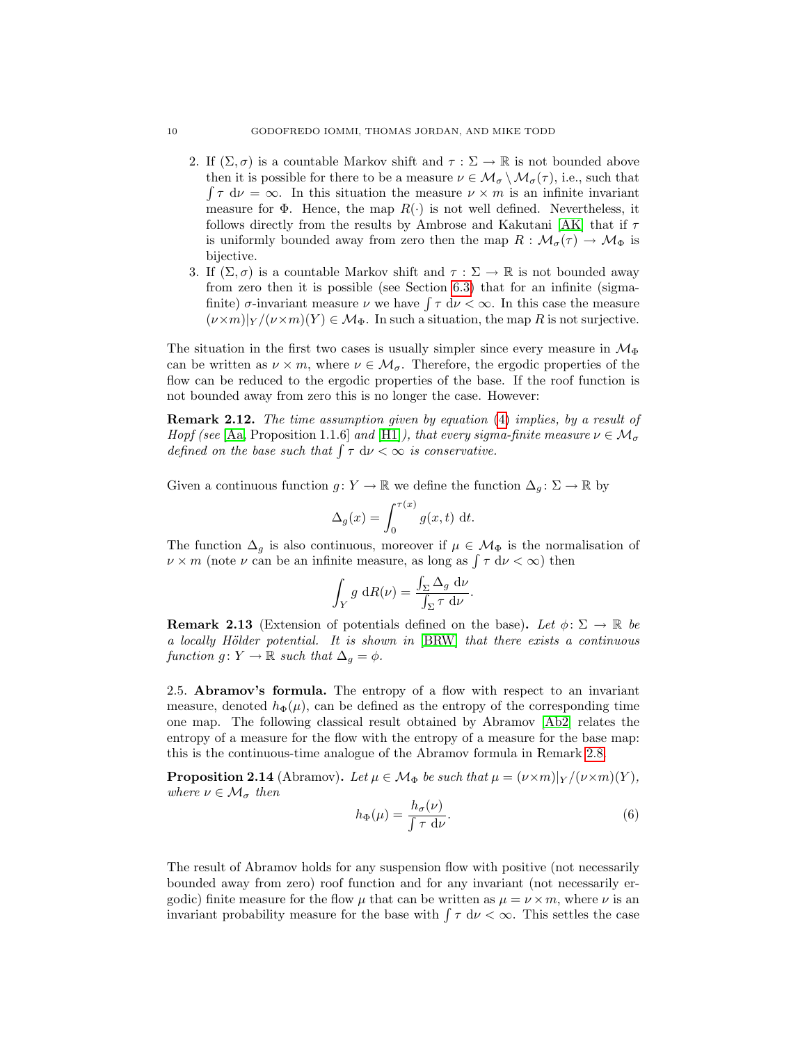- 2. If  $(\Sigma, \sigma)$  is a countable Markov shift and  $\tau : \Sigma \to \mathbb{R}$  is not bounded above then it is possible for there to be a measure  $\nu \in \mathcal{M}_{\sigma} \setminus \mathcal{M}_{\sigma}(\tau)$ , i.e., such that  $\int \tau \, d\nu = \infty$ . In this situation the measure  $\nu \times m$  is an infinite invariant measure for  $\Phi$ . Hence, the map  $R(\cdot)$  is not well defined. Nevertheless, it follows directly from the results by Ambrose and Kakutani [\[AK\]](#page-31-14) that if  $\tau$ is uniformly bounded away from zero then the map  $R : \mathcal{M}_{\sigma}(\tau) \to \mathcal{M}_{\Phi}$  is bijective.
- 3. If  $(\Sigma, \sigma)$  is a countable Markov shift and  $\tau : \Sigma \to \mathbb{R}$  is not bounded away from zero then it is possible (see Section [6.3\)](#page-22-0) that for an infinite (sigmafinite)  $\sigma$ -invariant measure  $\nu$  we have  $\int \tau \, d\nu < \infty$ . In this case the measure  $(\nu \times m)|_Y/(\nu \times m)(Y) \in \mathcal{M}_{\Phi}$ . In such a situation, the map R is not surjective.

The situation in the first two cases is usually simpler since every measure in  $\mathcal{M}_{\Phi}$ can be written as  $\nu \times m$ , where  $\nu \in M_{\sigma}$ . Therefore, the ergodic properties of the flow can be reduced to the ergodic properties of the base. If the roof function is not bounded away from zero this is no longer the case. However:

Remark 2.12. The time assumption given by equation [\(4\)](#page-8-0) implies, by a result of Hopf (see [\[Aa,](#page-31-15) Proposition 1.1.6] and [\[H1\]](#page-32-19)), that every sigma-finite measure  $\nu \in \mathcal{M}_{\sigma}$ defined on the base such that  $\int \tau \, d\nu < \infty$  is conservative.

Given a continuous function  $g: Y \to \mathbb{R}$  we define the function  $\Delta_g: \Sigma \to \mathbb{R}$  by

$$
\Delta_g(x) = \int_0^{\tau(x)} g(x, t) \, \mathrm{d}t.
$$

The function  $\Delta_q$  is also continuous, moreover if  $\mu \in \mathcal{M}_{\Phi}$  is the normalisation of  $\nu \times m$  (note  $\nu$  can be an infinite measure, as long as  $\int \tau \, d\nu < \infty$ ) then

$$
\int_Y g \, \mathrm{d}R(\nu) = \frac{\int_{\Sigma} \Delta_g \, \mathrm{d}\nu}{\int_{\Sigma} \tau \, \mathrm{d}\nu}.
$$

**Remark 2.13** (Extension of potentials defined on the base). Let  $\phi: \Sigma \to \mathbb{R}$  be a locally Hölder potential. It is shown in  $[BRW]$  that there exists a continuous function  $g: Y \to \mathbb{R}$  such that  $\Delta_g = \phi$ .

<span id="page-9-0"></span>2.5. Abramov's formula. The entropy of a flow with respect to an invariant measure, denoted  $h_{\Phi}(\mu)$ , can be defined as the entropy of the corresponding time one map. The following classical result obtained by Abramov [\[Ab2\]](#page-31-17) relates the entropy of a measure for the flow with the entropy of a measure for the base map: this is the continuous-time analogue of the Abramov formula in Remark [2.8.](#page-6-0)

**Proposition 2.14** (Abramov). Let  $\mu \in \mathcal{M}_{\Phi}$  be such that  $\mu = (\nu \times m)|_Y/(\nu \times m)(Y)$ , where  $\nu \in \mathcal{M}_{\sigma}$  then

<span id="page-9-1"></span>
$$
h_{\Phi}(\mu) = \frac{h_{\sigma}(\nu)}{\int \tau \, \mathrm{d}\nu}.\tag{6}
$$

The result of Abramov holds for any suspension flow with positive (not necessarily bounded away from zero) roof function and for any invariant (not necessarily ergodic) finite measure for the flow  $\mu$  that can be written as  $\mu = \nu \times m$ , where  $\nu$  is an invariant probability measure for the base with  $\int \tau d\nu < \infty$ . This settles the case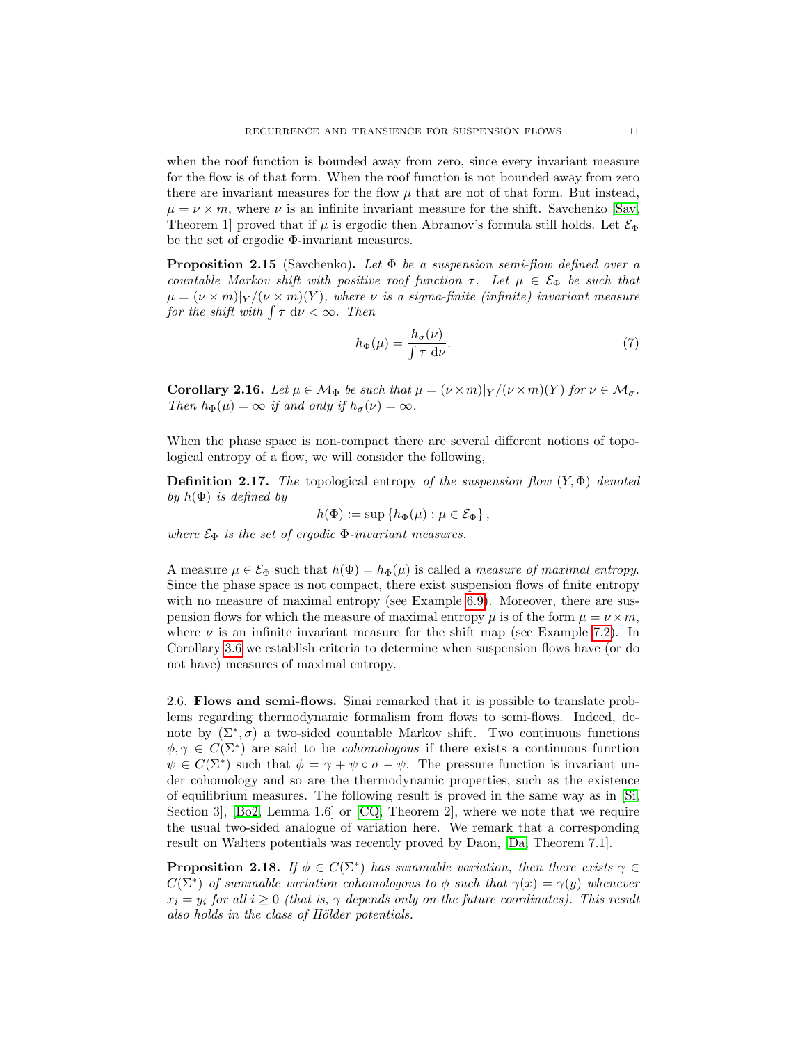when the roof function is bounded away from zero, since every invariant measure for the flow is of that form. When the roof function is not bounded away from zero there are invariant measures for the flow  $\mu$  that are not of that form. But instead,  $\mu = \nu \times m$ , where  $\nu$  is an infinite invariant measure for the shift. Savchenko [\[Sav,](#page-33-1) Theorem 1] proved that if  $\mu$  is ergodic then Abramov's formula still holds. Let  $\mathcal{E}_{\Phi}$ be the set of ergodic Φ-invariant measures.

**Proposition 2.15** (Savchenko). Let  $\Phi$  be a suspension semi-flow defined over a countable Markov shift with positive roof function  $\tau$ . Let  $\mu \in \mathcal{E}_{\Phi}$  be such that  $\mu = (\nu \times m)|_Y/(\nu \times m)(Y)$ , where  $\nu$  is a sigma-finite (infinite) invariant measure for the shift with  $\int \tau \, d\nu < \infty$ . Then

<span id="page-10-1"></span>
$$
h_{\Phi}(\mu) = \frac{h_{\sigma}(\nu)}{\int \tau \, \mathrm{d}\nu}.\tag{7}
$$

**Corollary 2.16.** Let  $\mu \in \mathcal{M}_{\Phi}$  be such that  $\mu = (\nu \times m)|_Y/(\nu \times m)(Y)$  for  $\nu \in \mathcal{M}_{\sigma}$ . Then  $h_{\Phi}(\mu) = \infty$  if and only if  $h_{\sigma}(\nu) = \infty$ .

When the phase space is non-compact there are several different notions of topological entropy of a flow, we will consider the following,

**Definition 2.17.** The topological entropy of the suspension flow  $(Y, \Phi)$  denoted by  $h(\Phi)$  is defined by

$$
h(\Phi) := \sup \{ h_{\Phi}(\mu) : \mu \in \mathcal{E}_{\Phi} \},
$$

where  $\mathcal{E}_{\Phi}$  is the set of ergodic  $\Phi$ -invariant measures.

A measure  $\mu \in \mathcal{E}_{\Phi}$  such that  $h(\Phi) = h_{\Phi}(\mu)$  is called a *measure of maximal entropy*. Since the phase space is not compact, there exist suspension flows of finite entropy with no measure of maximal entropy (see Example [6.9\)](#page-23-0). Moreover, there are suspension flows for which the measure of maximal entropy  $\mu$  is of the form  $\mu = \nu \times m$ , where  $\nu$  is an infinite invariant measure for the shift map (see Example [7.2\)](#page-29-0). In Corollary [3.6](#page-12-2) we establish criteria to determine when suspension flows have (or do not have) measures of maximal entropy.

2.6. Flows and semi-flows. Sinai remarked that it is possible to translate problems regarding thermodynamic formalism from flows to semi-flows. Indeed, denote by  $(\Sigma^*, \sigma)$  a two-sided countable Markov shift. Two continuous functions  $\phi, \gamma \in C(\Sigma^*)$  are said to be *cohomologous* if there exists a continuous function  $\psi \in C(\Sigma^*)$  such that  $\phi = \gamma + \psi \circ \sigma - \psi$ . The pressure function is invariant under cohomology and so are the thermodynamic properties, such as the existence of equilibrium measures. The following result is proved in the same way as in [\[Si,](#page-33-7) Section 3], [\[Bo2,](#page-31-18) Lemma 1.6] or [\[CQ,](#page-31-19) Theorem 2], where we note that we require the usual two-sided analogue of variation here. We remark that a corresponding result on Walters potentials was recently proved by Daon, [\[Da,](#page-32-18) Theorem 7.1].

<span id="page-10-0"></span>**Proposition 2.18.** If  $\phi \in C(\Sigma^*)$  has summable variation, then there exists  $\gamma \in$  $C(\Sigma^*)$  of summable variation cohomologous to  $\phi$  such that  $\gamma(x) = \gamma(y)$  whenever  $x_i = y_i$  for all  $i \geq 0$  (that is,  $\gamma$  depends only on the future coordinates). This result also holds in the class of  $H\ddot{o}lder$  potentials.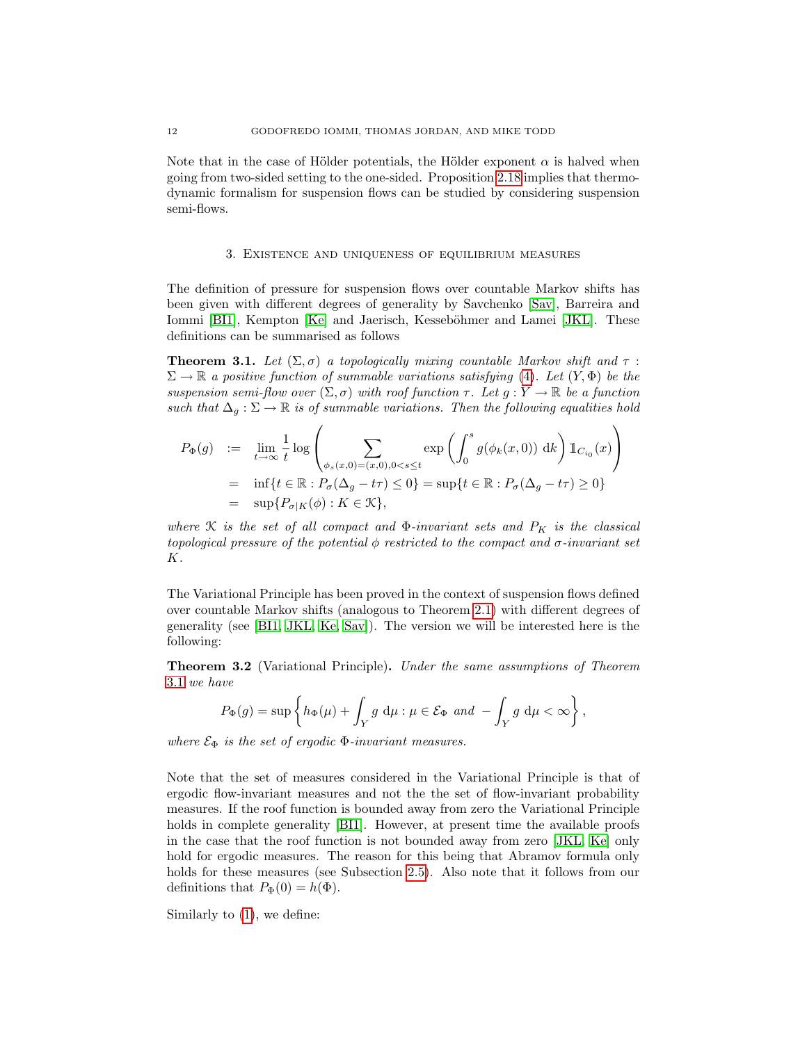Note that in the case of Hölder potentials, the Hölder exponent  $\alpha$  is halved when going from two-sided setting to the one-sided. Proposition [2.18](#page-10-0) implies that thermodynamic formalism for suspension flows can be studied by considering suspension semi-flows.

#### 3. Existence and uniqueness of equilibrium measures

<span id="page-11-0"></span>The definition of pressure for suspension flows over countable Markov shifts has been given with different degrees of generality by Savchenko [\[Sav\]](#page-33-1), Barreira and Iommi [\[BI1\]](#page-31-6), Kempton [\[Ke\]](#page-32-3) and Jaerisch, Kesseböhmer and Lamei [\[JKL\]](#page-32-0). These definitions can be summarised as follows

<span id="page-11-1"></span>**Theorem 3.1.** Let  $(\Sigma, \sigma)$  a topologically mixing countable Markov shift and  $\tau$ :  $\Sigma \to \mathbb{R}$  a positive function of summable variations satisfying [\(4\)](#page-8-0). Let  $(Y, \Phi)$  be the suspension semi-flow over  $(\Sigma, \sigma)$  with roof function  $\tau$ . Let  $g: Y \to \mathbb{R}$  be a function such that  $\Delta_q : \Sigma \to \mathbb{R}$  is of summable variations. Then the following equalities hold

$$
P_{\Phi}(g) := \lim_{t \to \infty} \frac{1}{t} \log \left( \sum_{\phi_s(x,0)=(x,0),0 < s \le t} \exp \left( \int_0^s g(\phi_k(x,0)) \, \mathrm{d}k \right) \mathbb{1}_{C_{i_0}}(x) \right)
$$
\n
$$
= \inf \{ t \in \mathbb{R} : P_{\sigma}(\Delta_g - t\tau) \le 0 \} = \sup \{ t \in \mathbb{R} : P_{\sigma}(\Delta_g - t\tau) \ge 0 \}
$$
\n
$$
= \sup \{ P_{\sigma|K}(\phi) : K \in \mathcal{K} \},
$$

where  $K$  is the set of all compact and  $\Phi$ -invariant sets and  $P_K$  is the classical topological pressure of the potential  $\phi$  restricted to the compact and  $\sigma$ -invariant set K.

The Variational Principle has been proved in the context of suspension flows defined over countable Markov shifts (analogous to Theorem [2.1\)](#page-3-0) with different degrees of generality (see [\[BI1,](#page-31-6) [JKL,](#page-32-0) [Ke,](#page-32-3) [Sav\]](#page-33-1)). The version we will be interested here is the following:

Theorem 3.2 (Variational Principle). Under the same assumptions of Theorem [3.1](#page-11-1) we have

$$
P_{\Phi}(g) = \sup \left\{ h_{\Phi}(\mu) + \int_Y g \, \, \mathrm{d}\mu : \mu \in \mathcal{E}_{\Phi} \, \text{ and } - \int_Y g \, \, \mathrm{d}\mu < \infty \right\},\,
$$

where  $\mathcal{E}_{\Phi}$  is the set of ergodic  $\Phi$ -invariant measures.

Note that the set of measures considered in the Variational Principle is that of ergodic flow-invariant measures and not the the set of flow-invariant probability measures. If the roof function is bounded away from zero the Variational Principle holds in complete generality [\[BI1\]](#page-31-6). However, at present time the available proofs in the case that the roof function is not bounded away from zero [\[JKL,](#page-32-0) [Ke\]](#page-32-3) only hold for ergodic measures. The reason for this being that Abramov formula only holds for these measures (see Subsection [2.5\)](#page-9-0). Also note that it follows from our definitions that  $P_{\Phi}(0) = h(\Phi)$ .

Similarly to [\(1\)](#page-4-0), we define: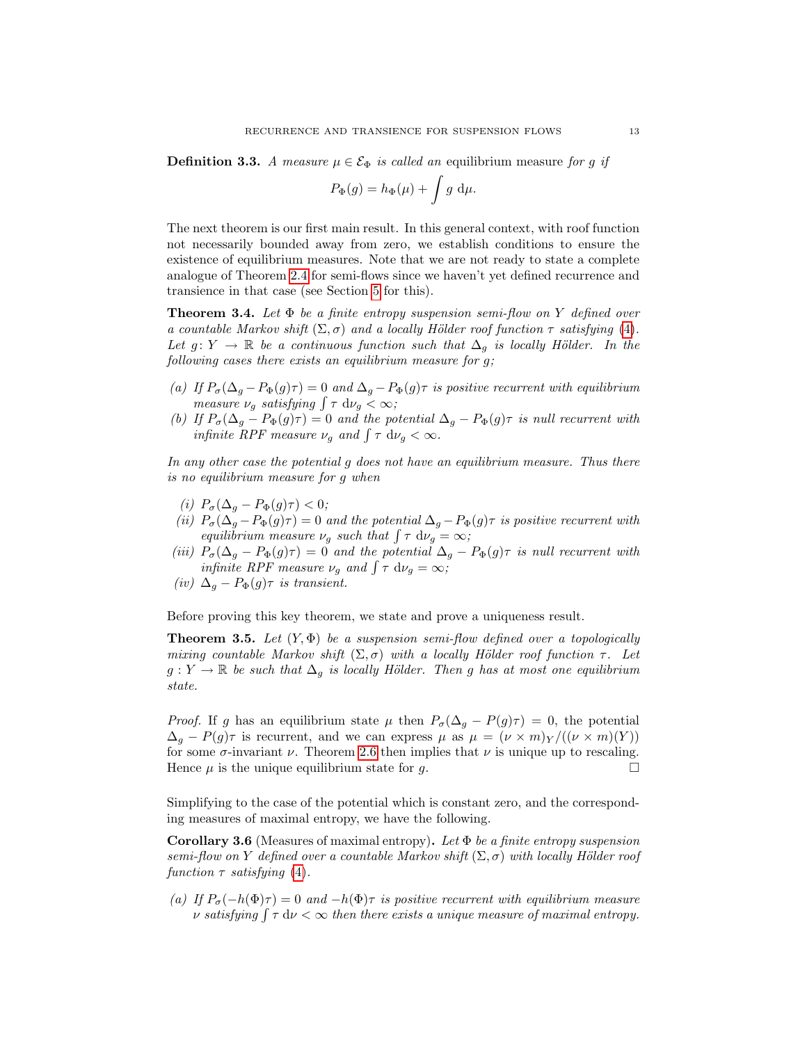**Definition 3.3.** A measure  $\mu \in \mathcal{E}_{\Phi}$  is called an equilibrium measure for g if

$$
P_{\Phi}(g) = h_{\Phi}(\mu) + \int g \, \mathrm{d}\mu.
$$

The next theorem is our first main result. In this general context, with roof function not necessarily bounded away from zero, we establish conditions to ensure the existence of equilibrium measures. Note that we are not ready to state a complete analogue of Theorem [2.4](#page-5-0) for semi-flows since we haven't yet defined recurrence and transience in that case (see Section [5](#page-16-0) for this).

<span id="page-12-0"></span>**Theorem 3.4.** Let  $\Phi$  be a finite entropy suspension semi-flow on Y defined over a countable Markov shift  $(\Sigma, \sigma)$  and a locally Hölder roof function  $\tau$  satisfying [\(4\)](#page-8-0). Let  $g: Y \to \mathbb{R}$  be a continuous function such that  $\Delta_q$  is locally Hölder. In the following cases there exists an equilibrium measure for g;

- (a) If  $P_{\sigma}(\Delta_g P_{\Phi}(g)\tau) = 0$  and  $\Delta_g P_{\Phi}(g)\tau$  is positive recurrent with equilibrium measure  $\nu_g$  satisfying  $\int \tau \, d\nu_g < \infty$ ;
- (b) If  $P_{\sigma}(\Delta_g P_{\Phi}(g)\tau) = 0$  and the potential  $\Delta_g P_{\Phi}(g)\tau$  is null recurrent with infinite RPF measure  $\nu_q$  and  $\int \tau \, d\nu_q < \infty$ .

In any other case the potential g does not have an equilibrium measure. Thus there is no equilibrium measure for g when

- (i)  $P_{\sigma}(\Delta_g P_{\Phi}(g)\tau) < 0;$
- (ii)  $P_{\sigma}(\Delta_g P_{\Phi}(g)\tau) = 0$  and the potential  $\Delta_g P_{\Phi}(g)\tau$  is positive recurrent with equilibrium measure  $\nu_q$  such that  $\int \tau \, d\nu_q = \infty$ ;
- (iii)  $P_{\sigma}(\Delta_q P_{\Phi}(g)\tau) = 0$  and the potential  $\Delta_q P_{\Phi}(g)\tau$  is null recurrent with infinite RPF measure  $\nu_q$  and  $\int \tau \, d\nu_q = \infty$ ;
- <span id="page-12-3"></span>(iv)  $\Delta_g - P_{\Phi}(g) \tau$  is transient.

Before proving this key theorem, we state and prove a uniqueness result.

<span id="page-12-1"></span>**Theorem 3.5.** Let  $(Y, \Phi)$  be a suspension semi-flow defined over a topologically mixing countable Markov shift  $(\Sigma, \sigma)$  with a locally Hölder roof function  $\tau$ . Let  $g: Y \to \mathbb{R}$  be such that  $\Delta_q$  is locally Hölder. Then g has at most one equilibrium state.

*Proof.* If g has an equilibrium state  $\mu$  then  $P_{\sigma}(\Delta_q - P(g)\tau) = 0$ , the potential  $\Delta_g - P(g)\tau$  is recurrent, and we can express  $\mu$  as  $\mu = (\nu \times m)_Y/((\nu \times m)(Y))$ for some  $\sigma$ -invariant  $\nu$ . Theorem [2.6](#page-5-1) then implies that  $\nu$  is unique up to rescaling. Hence  $\mu$  is the unique equilibrium state for g.

Simplifying to the case of the potential which is constant zero, and the corresponding measures of maximal entropy, we have the following.

<span id="page-12-2"></span>Corollary 3.6 (Measures of maximal entropy). Let  $\Phi$  be a finite entropy suspension semi-flow on Y defined over a countable Markov shift  $(\Sigma, \sigma)$  with locally Hölder roof function  $\tau$  satisfying [\(4\)](#page-8-0).

(a) If  $P_{\sigma}(-h(\Phi)\tau) = 0$  and  $-h(\Phi)\tau$  is positive recurrent with equilibrium measure  $\nu$  satisfying  $\int \tau \, d\nu < \infty$  then there exists a unique measure of maximal entropy.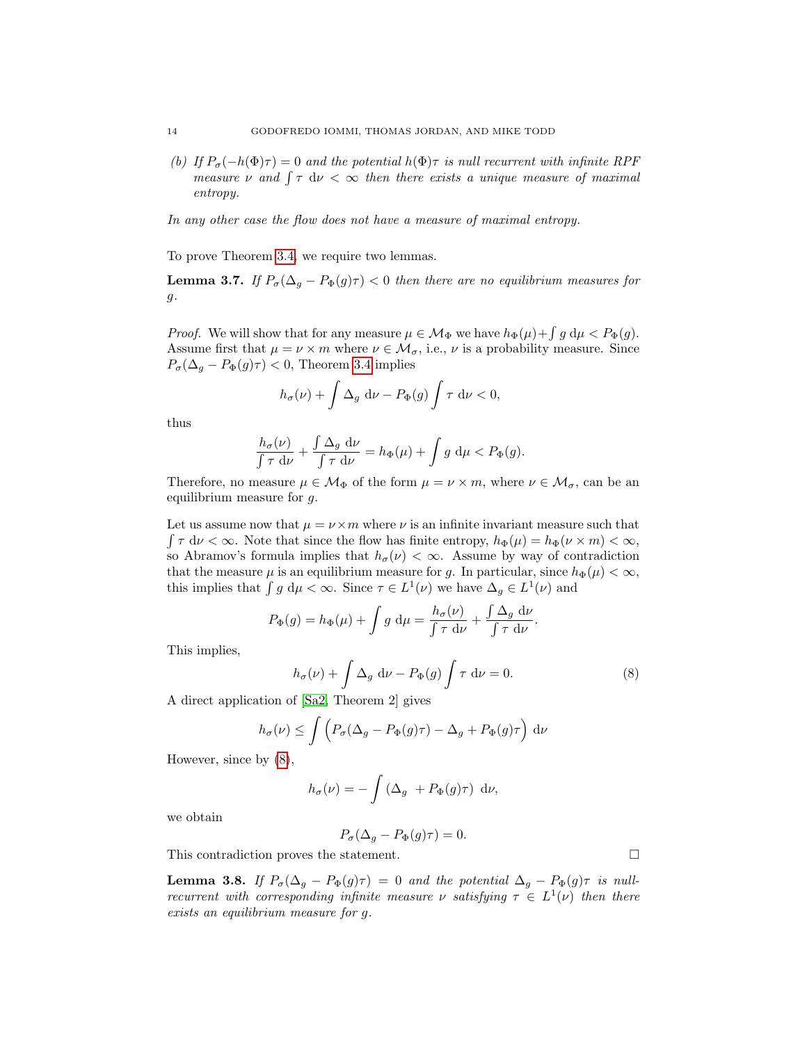(b) If  $P_{\sigma}(-h(\Phi)\tau) = 0$  and the potential  $h(\Phi)\tau$  is null recurrent with infinite RPF measure  $\nu$  and  $\int \tau \, d\nu < \infty$  then there exists a unique measure of maximal entropy.

In any other case the flow does not have a measure of maximal entropy.

<span id="page-13-1"></span>To prove Theorem [3.4,](#page-12-0) we require two lemmas.

**Lemma 3.7.** If  $P_{\sigma}(\Delta_q - P_{\Phi}(q)\tau) < 0$  then there are no equilibrium measures for g.

*Proof.* We will show that for any measure  $\mu \in \mathcal{M}_{\Phi}$  we have  $h_{\Phi}(\mu) + \int g d\mu < P_{\Phi}(g)$ . Assume first that  $\mu = \nu \times m$  where  $\nu \in \mathcal{M}_{\sigma}$ , i.e.,  $\nu$  is a probability measure. Since  $P_{\sigma}(\Delta_q - P_{\Phi}(q)\tau) < 0$ , Theorem [3.4](#page-12-3) implies

$$
h_{\sigma}(\nu) + \int \Delta_g \, \mathrm{d}\nu - P_{\Phi}(g) \int \tau \, \mathrm{d}\nu < 0,
$$

thus

$$
\frac{h_{\sigma}(\nu)}{\int \tau \, \mathrm{d}\nu} + \frac{\int \Delta_g \, \mathrm{d}\nu}{\int \tau \, \mathrm{d}\nu} = h_{\Phi}(\mu) + \int g \, \mathrm{d}\mu < P_{\Phi}(g).
$$

Therefore, no measure  $\mu \in \mathcal{M}_{\Phi}$  of the form  $\mu = \nu \times m$ , where  $\nu \in \mathcal{M}_{\sigma}$ , can be an equilibrium measure for g.

Let us assume now that  $\mu = \nu \times m$  where  $\nu$  is an infinite invariant measure such that  $\int \tau \, d\nu < \infty$ . Note that since the flow has finite entropy,  $h_{\Phi}(\mu) = h_{\Phi}(\nu \times m) < \infty$ , so Abramov's formula implies that  $h_{\sigma}(\nu) < \infty$ . Assume by way of contradiction that the measure  $\mu$  is an equilibrium measure for g. In particular, since  $h_{\Phi}(\mu) < \infty$ , this implies that  $\int g d\mu < \infty$ . Since  $\tau \in L^1(\nu)$  we have  $\Delta_q \in L^1(\nu)$  and

$$
P_{\Phi}(g) = h_{\Phi}(\mu) + \int g \, \mathrm{d}\mu = \frac{h_{\sigma}(\nu)}{\int \tau \, \mathrm{d}\nu} + \frac{\int \Delta_g \, \mathrm{d}\nu}{\int \tau \, \mathrm{d}\nu}.
$$

This implies,

<span id="page-13-0"></span>
$$
h_{\sigma}(\nu) + \int \Delta_g \, \mathrm{d}\nu - P_{\Phi}(g) \int \tau \, \mathrm{d}\nu = 0. \tag{8}
$$

A direct application of [\[Sa2,](#page-33-4) Theorem 2] gives

$$
h_{\sigma}(\nu) \le \int \left( P_{\sigma}(\Delta_g - P_{\Phi}(g)\tau) - \Delta_g + P_{\Phi}(g)\tau \right) d\nu
$$

However, since by [\(8\)](#page-13-0),

$$
h_{\sigma}(\nu) = -\int \left(\Delta_g + P_{\Phi}(g)\tau\right) d\nu,
$$

we obtain

$$
P_{\sigma}(\Delta_g - P_{\Phi}(g)\tau) = 0.
$$

This contradiction proves the statement.  $\Box$ 

<span id="page-13-2"></span>**Lemma 3.8.** If  $P_{\sigma}(\Delta_g - P_{\Phi}(g)\tau) = 0$  and the potential  $\Delta_g - P_{\Phi}(g)\tau$  is nullrecurrent with corresponding infinite measure  $\nu$  satisfying  $\tau \in L^1(\nu)$  then there exists an equilibrium measure for g.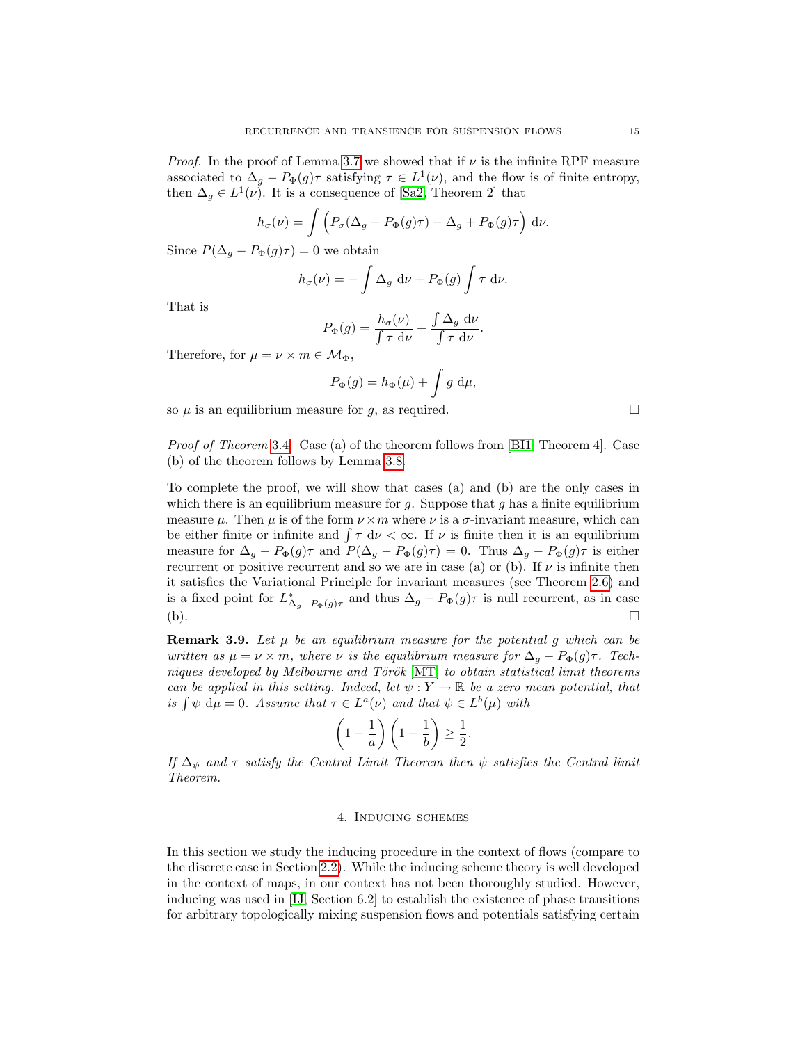*Proof.* In the proof of Lemma [3.7](#page-13-1) we showed that if  $\nu$  is the infinite RPF measure associated to  $\Delta_g - P_{\Phi}(g) \tau$  satisfying  $\tau \in L^1(\nu)$ , and the flow is of finite entropy, then  $\Delta_g \in L^1(\nu)$ . It is a consequence of [\[Sa2,](#page-33-4) Theorem 2] that

$$
h_{\sigma}(\nu) = \int \left( P_{\sigma}(\Delta_g - P_{\Phi}(g)\tau) - \Delta_g + P_{\Phi}(g)\tau \right) d\nu.
$$

Since  $P(\Delta_g - P_{\Phi}(g)\tau) = 0$  we obtain

$$
h_{\sigma}(\nu) = -\int \Delta_g \, \mathrm{d}\nu + P_{\Phi}(g) \int \tau \, \mathrm{d}\nu.
$$

That is

$$
P_{\Phi}(g) = \frac{h_{\sigma}(\nu)}{\int \tau \, \mathrm{d}\nu} + \frac{\int \Delta_g \, \mathrm{d}\nu}{\int \tau \, \mathrm{d}\nu}.
$$

Therefore, for  $\mu = \nu \times m \in \mathcal{M}_{\Phi}$ ,

$$
P_{\Phi}(g) = h_{\Phi}(\mu) + \int g \, \mathrm{d}\mu,
$$

so  $\mu$  is an equilibrium measure for q, as required.  $\Box$ 

Proof of Theorem [3.4](#page-12-0). Case (a) of the theorem follows from [\[BI1,](#page-31-6) Theorem 4]. Case (b) of the theorem follows by Lemma [3.8.](#page-13-2)

To complete the proof, we will show that cases (a) and (b) are the only cases in which there is an equilibrium measure for q. Suppose that q has a finite equilibrium measure  $\mu$ . Then  $\mu$  is of the form  $\nu \times m$  where  $\nu$  is a  $\sigma$ -invariant measure, which can be either finite or infinite and  $\int \tau \, d\nu < \infty$ . If  $\nu$  is finite then it is an equilibrium measure for  $\Delta_q$  –  $P_{\Phi}(g)\tau$  and  $P(\Delta_q - P_{\Phi}(g)\tau) = 0$ . Thus  $\Delta_q - P_{\Phi}(g)\tau$  is either recurrent or positive recurrent and so we are in case (a) or (b). If  $\nu$  is infinite then it satisfies the Variational Principle for invariant measures (see Theorem [2.6\)](#page-5-1) and is a fixed point for  $L^*_{\Delta_g - P_{\Phi}(g)\tau}$  and thus  $\Delta_g - P_{\Phi}(g)\tau$  is null recurrent, as in case  $\Box$ 

**Remark 3.9.** Let  $\mu$  be an equilibrium measure for the potential g which can be written as  $\mu = \nu \times m$ , where  $\nu$  is the equilibrium measure for  $\Delta_g - P_{\Phi}(g) \tau$ . Techniques developed by Melbourne and Török  $[MT]$  to obtain statistical limit theorems can be applied in this setting. Indeed, let  $\psi: Y \to \mathbb{R}$  be a zero mean potential, that is  $\int \psi \, d\mu = 0$ . Assume that  $\tau \in L^a(\nu)$  and that  $\psi \in L^b(\mu)$  with

$$
\left(1-\frac{1}{a}\right)\left(1-\frac{1}{b}\right) \geq \frac{1}{2}.
$$

<span id="page-14-0"></span>If  $\Delta_{\psi}$  and  $\tau$  satisfy the Central Limit Theorem then  $\psi$  satisfies the Central limit Theorem.

#### 4. Inducing schemes

In this section we study the inducing procedure in the context of flows (compare to the discrete case in Section [2.2\)](#page-5-2). While the inducing scheme theory is well developed in the context of maps, in our context has not been thoroughly studied. However, inducing was used in [\[IJ,](#page-32-4) Section 6.2] to establish the existence of phase transitions for arbitrary topologically mixing suspension flows and potentials satisfying certain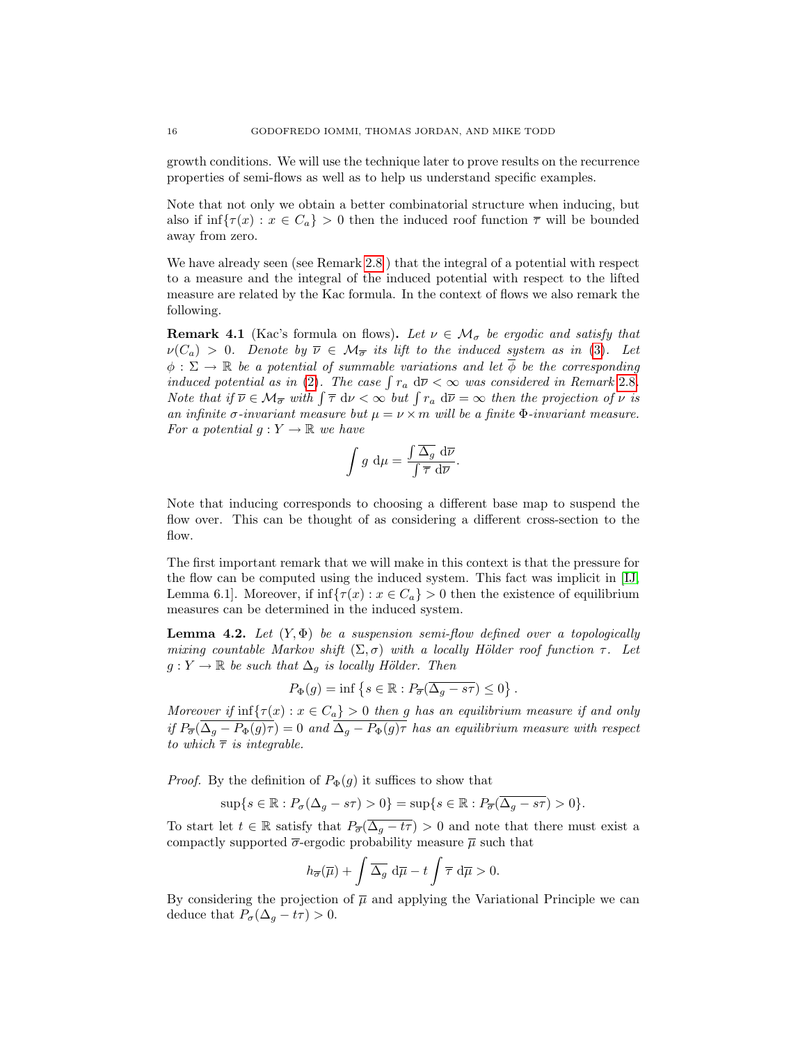growth conditions. We will use the technique later to prove results on the recurrence properties of semi-flows as well as to help us understand specific examples.

Note that not only we obtain a better combinatorial structure when inducing, but also if  $\inf \{ \tau(x) : x \in C_a \} > 0$  then the induced roof function  $\overline{\tau}$  will be bounded away from zero.

We have already seen (see Remark [2.8](#page-6-0)) that the integral of a potential with respect to a measure and the integral of the induced potential with respect to the lifted measure are related by the Kac formula. In the context of flows we also remark the following.

**Remark 4.1** (Kac's formula on flows). Let  $\nu \in \mathcal{M}_{\sigma}$  be ergodic and satisfy that  $\nu(C_a) > 0$ . Denote by  $\overline{\nu} \in \mathcal{M}_{\overline{\sigma}}$  its lift to the induced system as in [\(3\)](#page-6-1). Let  $\phi : \Sigma \to \mathbb{R}$  be a potential of summable variations and let  $\overline{\phi}$  be the corresponding induced potential as in [\(2\)](#page-6-3). The case  $\int r_a d\overline{\nu} < \infty$  was considered in Remark [2.8](#page-6-0). Note that if  $\overline{\nu} \in \mathcal{M}_{\overline{\sigma}}$  with  $\int \overline{\tau} d\nu < \infty$  but  $\int r_a d\overline{\nu} = \infty$  then the projection of  $\nu$  is an infinite  $\sigma$ -invariant measure but  $\mu = \nu \times m$  will be a finite  $\Phi$ -invariant measure. For a potential  $g: Y \to \mathbb{R}$  we have

$$
\int g \ d\mu = \frac{\int \overline{\Delta_g} \ d\overline{\nu}}{\int \overline{\tau} \ d\overline{\nu}}.
$$

Note that inducing corresponds to choosing a different base map to suspend the flow over. This can be thought of as considering a different cross-section to the flow.

The first important remark that we will make in this context is that the pressure for the flow can be computed using the induced system. This fact was implicit in [\[IJ,](#page-32-4) Lemma 6.1. Moreover, if  $\inf \{ \tau(x) : x \in C_a \} > 0$  then the existence of equilibrium measures can be determined in the induced system.

<span id="page-15-0"></span>**Lemma 4.2.** Let  $(Y, \Phi)$  be a suspension semi-flow defined over a topologically mixing countable Markov shift  $(\Sigma, \sigma)$  with a locally Hölder roof function  $\tau$ . Let  $g: Y \to \mathbb{R}$  be such that  $\Delta_g$  is locally Hölder. Then

$$
P_{\Phi}(g) = \inf \left\{ s \in \mathbb{R} : P_{\overline{\sigma}}(\overline{\Delta_g - s\tau}) \le 0 \right\}.
$$

Moreover if  $\inf \{ \tau(x) : x \in C_a \} > 0$  then g has an equilibrium measure if and only if  $P_{\overline{\sigma}}(\overline{\Delta_g - P_{\Phi}(g)\tau})=0$  and  $\overline{\Delta_g - P_{\Phi}(g)\tau}$  has an equilibrium measure with respect to which  $\bar{\tau}$  is integrable.

*Proof.* By the definition of  $P_{\Phi}(g)$  it suffices to show that

$$
\sup\{s \in \mathbb{R} : P_{\sigma}(\Delta_g - s\tau) > 0\} = \sup\{s \in \mathbb{R} : P_{\overline{\sigma}}(\overline{\Delta_g - s\tau}) > 0\}.
$$

To start let  $t \in \mathbb{R}$  satisfy that  $P_{\overline{\sigma}}(\overline{\Delta_g - t\tau}) > 0$  and note that there must exist a compactly supported  $\bar{\sigma}$ -ergodic probability measure  $\bar{\mu}$  such that

$$
h_{\overline{\sigma}}(\overline{\mu}) + \int \overline{\Delta_g} \, d\overline{\mu} - t \int \overline{\tau} \, d\overline{\mu} > 0.
$$

By considering the projection of  $\bar{\mu}$  and applying the Variational Principle we can deduce that  $P_{\sigma}(\Delta_q - t\tau) > 0$ .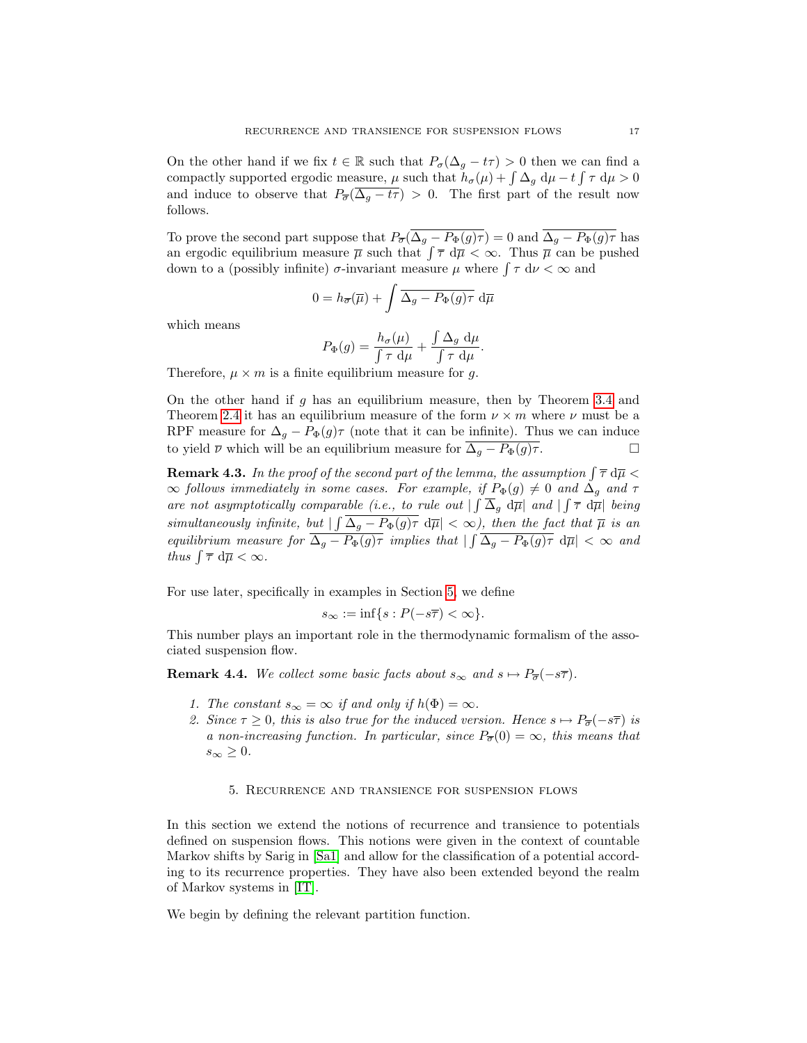On the other hand if we fix  $t \in \mathbb{R}$  such that  $P_{\sigma}(\Delta_q - t\tau) > 0$  then we can find a compactly supported ergodic measure,  $\mu$  such that  $h_{\sigma}(\mu) + \int \Delta_g \, d\mu - t \int \tau \, d\mu > 0$ and induce to observe that  $P_{\overline{\sigma}}(\overline{\Delta_g - t\tau}) > 0$ . The first part of the result now follows.

To prove the second part suppose that  $P_{\overline{\sigma}}(\overline{\Delta_g - P_{\Phi}(g)\tau}) = 0$  and  $\overline{\Delta_g - P_{\Phi}(g)\tau}$  has an ergodic equilibrium measure  $\overline{\mu}$  such that  $\int \overline{\tau} d\overline{\mu} < \infty$ . Thus  $\overline{\mu}$  can be pushed down to a (possibly infinite)  $\sigma$ -invariant measure  $\mu$  where  $\int \tau \, d\nu < \infty$  and

$$
0 = h_{\overline{\sigma}}(\overline{\mu}) + \int \overline{\Delta_g - P_{\Phi}(g)\tau} \, d\overline{\mu}
$$

which means

$$
P_{\Phi}(g) = \frac{h_{\sigma}(\mu)}{\int \tau \, \mathrm{d}\mu} + \frac{\int \Delta_g \, \mathrm{d}\mu}{\int \tau \, \mathrm{d}\mu}.
$$

Therefore,  $\mu \times m$  is a finite equilibrium measure for g.

On the other hand if q has an equilibrium measure, then by Theorem [3.4](#page-12-0) and Theorem [2.4](#page-5-0) it has an equilibrium measure of the form  $\nu \times m$  where  $\nu$  must be a RPF measure for  $\Delta_g - P_{\Phi}(g) \tau$  (note that it can be infinite). Thus we can induce to yield  $\overline{\nu}$  which will be an equilibrium measure for  $\overline{\Delta_g - P_{\Phi}(g)\tau}$ .

**Remark 4.3.** In the proof of the second part of the lemma, the assumption  $\int \overline{\tau} d\overline{\mu}$  $\infty$  follows immediately in some cases. For example, if  $P_{\Phi}(g) \neq 0$  and  $\Delta_g$  and  $\tau$ are not asymptotically comparable (i.e., to rule out  $\lfloor \int \overline{\Delta}_g \ d\overline{\mu} \rfloor$  and  $\lfloor \int \overline{\tau} \ d\overline{\mu} \rfloor$  being simultaneously infinite, but  $|\int \overline{\Delta_g - P_{\Phi}(g)\tau} d\overline{\mu}| < \infty$ ), then the fact that  $\overline{\mu}$  is an equilibrium measure for  $\overline{\Delta_g - P_{\Phi}(g)\tau}$  implies that  $|\int \overline{\Delta_g - P_{\Phi}(g)\tau} d\overline{\mu}| < \infty$  and thus  $\int \overline{\tau} d\overline{\mu} < \infty$ .

For use later, specifically in examples in Section [5,](#page-16-0) we define

$$
s_{\infty} := \inf\{s : P(-s\overline{\tau}) < \infty\}.
$$

This number plays an important role in the thermodynamic formalism of the associated suspension flow.

**Remark 4.4.** We collect some basic facts about  $s_{\infty}$  and  $s \mapsto P_{\overline{\sigma}}(-s\overline{\tau})$ .

- 1. The constant  $s_{\infty} = \infty$  if and only if  $h(\Phi) = \infty$ .
- 2. Since  $\tau \geq 0$ , this is also true for the induced version. Hence  $s \mapsto P_{\overline{\sigma}}(-s\overline{\tau})$  is a non-increasing function. In particular, since  $P_{\overline{\sigma}}(0) = \infty$ , this means that  $s_\infty \geq 0.$

# 5. Recurrence and transience for suspension flows

<span id="page-16-0"></span>In this section we extend the notions of recurrence and transience to potentials defined on suspension flows. This notions were given in the context of countable Markov shifts by Sarig in [\[Sa1\]](#page-32-5) and allow for the classification of a potential according to its recurrence properties. They have also been extended beyond the realm of Markov systems in [\[IT\]](#page-32-20).

We begin by defining the relevant partition function.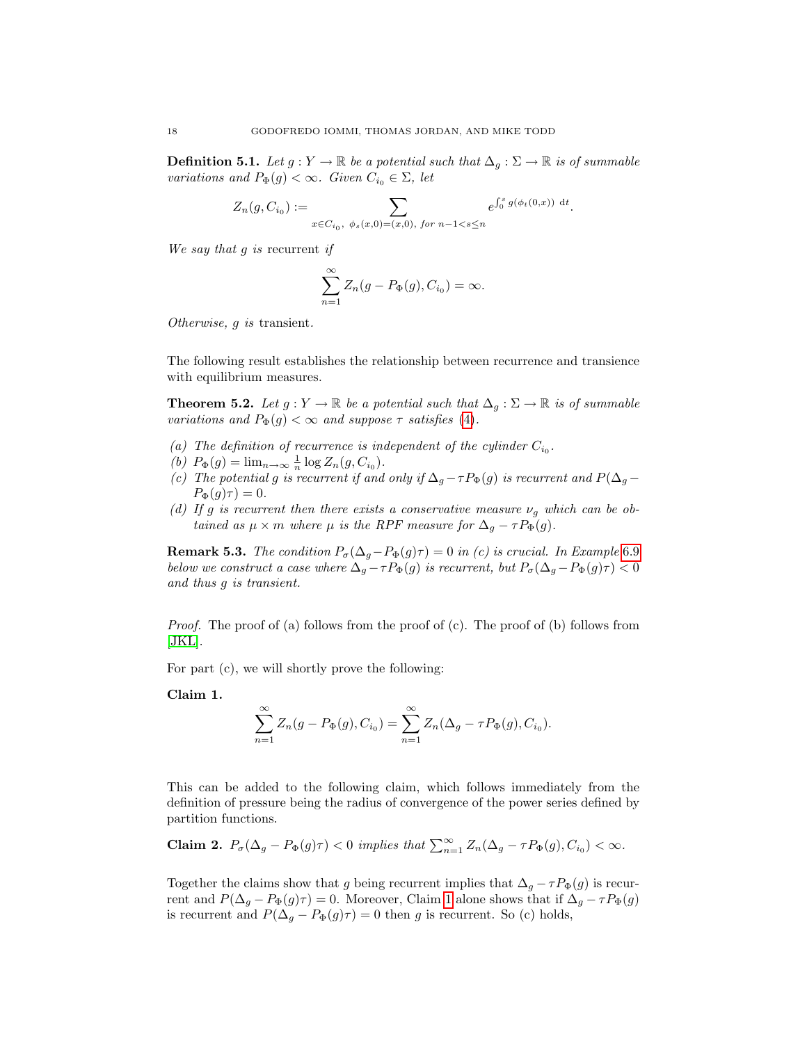**Definition 5.1.** Let  $g: Y \to \mathbb{R}$  be a potential such that  $\Delta_g: \Sigma \to \mathbb{R}$  is of summable variations and  $P_{\Phi}(g) < \infty$ . Given  $C_{i_0} \in \Sigma$ , let

$$
Z_n(g, C_{i_0}) := \sum_{x \in C_{i_0}, \phi_s(x,0) = (x,0), \text{ for } n-1 < s \le n} e^{\int_0^s g(\phi_t(0,x)) \, \mathrm{d}t}.
$$

We say that g is recurrent if

$$
\sum_{n=1}^{\infty} Z_n(g - P_{\Phi}(g), C_{i_0}) = \infty.
$$

Otherwise, g is transient.

The following result establishes the relationship between recurrence and transience with equilibrium measures.

**Theorem 5.2.** Let  $g: Y \to \mathbb{R}$  be a potential such that  $\Delta_g: \Sigma \to \mathbb{R}$  is of summable variations and  $P_{\Phi}(g) < \infty$  and suppose  $\tau$  satisfies [\(4\)](#page-8-0).

- (a) The definition of recurrence is independent of the cylinder  $C_{i_0}$ .
- (b)  $P_{\Phi}(g) = \lim_{n \to \infty} \frac{1}{n} \log Z_n(g, C_{i_0}).$
- (c) The potential g is recurrent if and only if  $\Delta_g \tau P_{\Phi}(g)$  is recurrent and  $P(\Delta_g P_{\Phi}(g)\tau =0.$
- <span id="page-17-0"></span>(d) If g is recurrent then there exists a conservative measure  $\nu_g$  which can be obtained as  $\mu \times m$  where  $\mu$  is the RPF measure for  $\Delta_g - \tau P_{\Phi}(g)$ .

**Remark 5.3.** The condition  $P_{\sigma}(\Delta_g - P_{\Phi}(g)\tau) = 0$  in (c) is crucial. In Example [6.9](#page-23-0) below we construct a case where  $\Delta_g - \tau P_{\Phi}(g)$  is recurrent, but  $P_{\sigma}(\Delta_g - P_{\Phi}(g)\tau) < 0$ and thus g is transient.

*Proof.* The proof of (a) follows from the proof of (c). The proof of (b) follows from  $[JKL].$  $[JKL].$ 

<span id="page-17-1"></span>For part (c), we will shortly prove the following:

Claim 1.

$$
\sum_{n=1}^{\infty} Z_n(g - P_{\Phi}(g), C_{i_0}) = \sum_{n=1}^{\infty} Z_n(\Delta_g - \tau P_{\Phi}(g), C_{i_0}).
$$

This can be added to the following claim, which follows immediately from the definition of pressure being the radius of convergence of the power series defined by partition functions.

**Claim 2.** 
$$
P_{\sigma}(\Delta_g - P_{\Phi}(g)\tau) < 0
$$
 implies that  $\sum_{n=1}^{\infty} Z_n(\Delta_g - \tau P_{\Phi}(g), C_{i_0}) < \infty$ .

Together the claims show that g being recurrent implies that  $\Delta_g - \tau P_{\Phi}(g)$  is recurrent and  $P(\Delta_g - P_{\Phi}(g)\tau) = 0$ . Moreover, Claim [1](#page-17-1) alone shows that if  $\Delta_g - \tau P_{\Phi}(g)$ is recurrent and  $P(\Delta_q - P_{\Phi}(q)\tau) = 0$  then g is recurrent. So (c) holds,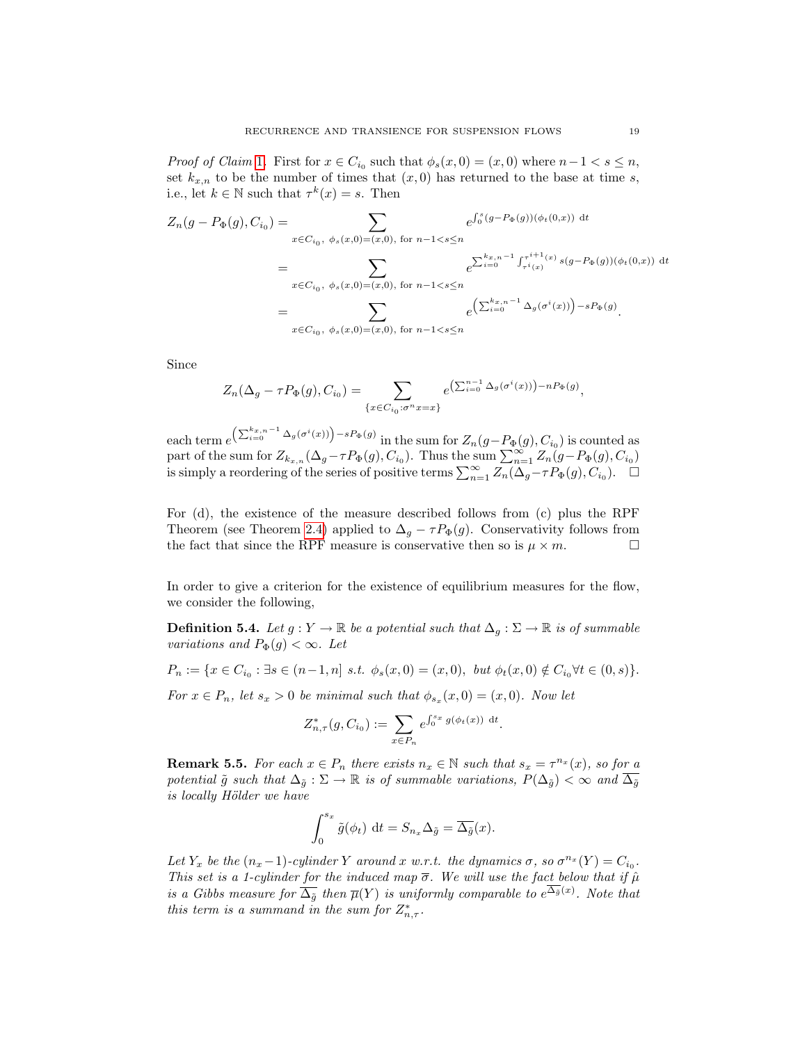*Proof of Claim [1](#page-17-1).* First for  $x \in C_{i_0}$  such that  $\phi_s(x, 0) = (x, 0)$  where  $n-1 < s \leq n$ , set  $k_{x,n}$  to be the number of times that  $(x, 0)$  has returned to the base at time s, i.e., let  $k \in \mathbb{N}$  such that  $\tau^k(x) = s$ . Then

$$
Z_n(g - P_{\Phi}(g), C_{i_0}) = \sum_{x \in C_{i_0}, \phi_s(x, 0) = (x, 0), \text{ for } n-1 < s \le n} e^{\int_0^s (g - P_{\Phi}(g))(\phi_t(0, x)) dt}
$$
\n
$$
= \sum_{x \in C_{i_0}, \phi_s(x, 0) = (x, 0), \text{ for } n-1 < s \le n} e^{\sum_{i=0}^{k_{x,n}-1} \int_{\tau^i(x)}^{\tau^i(x)} s(g - P_{\Phi}(g))(\phi_t(0, x)) dt}
$$
\n
$$
= \sum_{x \in C_{i_0}, \phi_s(x, 0) = (x, 0), \text{ for } n-1 < s \le n} e^{\left(\sum_{i=0}^{k_{x,n}-1} \Delta_g(\sigma^i(x))\right) - sP_{\Phi}(g)}.
$$

Since

$$
Z_n(\Delta_g - \tau P_{\Phi}(g), C_{i_0}) = \sum_{\{x \in C_{i_0} : \sigma^n x = x\}} e^{\left(\sum_{i=0}^{n-1} \Delta_g(\sigma^i(x))\right) - nP_{\Phi}(g)},
$$

each term  $e^{(\sum_{i=0}^{kx,n-1} \Delta_g(\sigma^i(x))) - sP_{\Phi}(g)}$  in the sum for  $Z_n(g-P_{\Phi}(g), C_{i_0})$  is counted as part of the sum for  $Z_{k_{x,n}}(\Delta_g-\tau P_{\Phi}(g), C_{i_0})$ . Thus the sum  $\sum_{n=1}^{\infty} Z_n(g-P_{\Phi}(g), C_{i_0})$ is simply a reordering of the series of positive terms  $\sum_{n=1}^{\infty} Z_n(\Delta_g - \tau P_{\Phi}(g), C_{i_0})$ .  $\Box$ 

For (d), the existence of the measure described follows from (c) plus the RPF Theorem (see Theorem [2.4\)](#page-5-0) applied to  $\Delta_g - \tau P_{\Phi}(g)$ . Conservativity follows from the fact that since the RPF measure is conservative then so is  $u \times m$ . the fact that since the RPF measure is conservative then so is  $\mu \times m$ .

In order to give a criterion for the existence of equilibrium measures for the flow, we consider the following,

**Definition 5.4.** Let  $g: Y \to \mathbb{R}$  be a potential such that  $\Delta_q: \Sigma \to \mathbb{R}$  is of summable variations and  $P_{\Phi}(g) < \infty$ . Let

$$
P_n := \{ x \in C_{i_0} : \exists s \in (n-1, n] \ s.t. \ \phi_s(x, 0) = (x, 0), \ \text{but } \phi_t(x, 0) \notin C_{i_0} \forall t \in (0, s) \}.
$$

For  $x \in P_n$ , let  $s_x > 0$  be minimal such that  $\phi_{s_x}(x, 0) = (x, 0)$ . Now let

$$
Z_{n,\tau}^*(g, C_{i_0}) := \sum_{x \in P_n} e^{\int_0^{s_x} g(\phi_t(x)) \, \mathrm{d}t}.
$$

<span id="page-18-0"></span>**Remark 5.5.** For each  $x \in P_n$  there exists  $n_x \in \mathbb{N}$  such that  $s_x = \tau^{n_x}(x)$ , so for a potential  $\tilde{g}$  such that  $\Delta_{\tilde{g}} : \Sigma \to \mathbb{R}$  is of summable variations,  $P(\Delta_{\tilde{g}}) < \infty$  and  $\overline{\Delta_{\tilde{g}}}$ is locally Hölder we have

$$
\int_0^{s_x} \tilde{g}(\phi_t) dt = S_{n_x} \Delta_{\tilde{g}} = \overline{\Delta_{\tilde{g}}}(x).
$$

Let  $Y_x$  be the  $(n_x-1)$ -cylinder Y around x w.r.t. the dynamics  $\sigma$ , so  $\sigma^{n_x}(Y) = C_{i_0}$ . This set is a 1-cylinder for the induced map  $\overline{\sigma}$ . We will use the fact below that if  $\hat{\mu}$ is a Gibbs measure for  $\overline{\Delta_{\tilde{g}}}$  then  $\overline{\mu}(Y)$  is uniformly comparable to  $e^{\Delta_{\tilde{g}}(x)}$ . Note that this term is a summand in the sum for  $Z_{n,\tau}^*$ .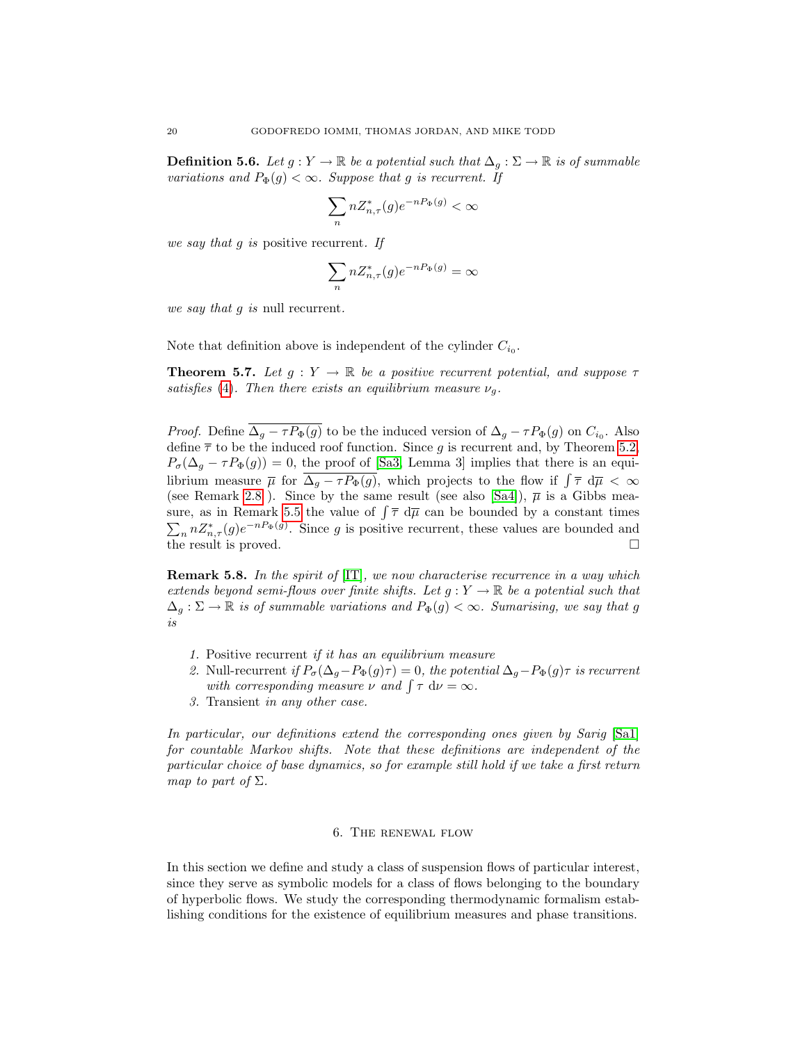**Definition 5.6.** Let  $g: Y \to \mathbb{R}$  be a potential such that  $\Delta_g: \Sigma \to \mathbb{R}$  is of summable variations and  $P_{\Phi}(g) < \infty$ . Suppose that g is recurrent. If

$$
\sum_n n Z^*_{n,\tau}(g) e^{-nP_\Phi(g)} < \infty
$$

we say that g is positive recurrent. If

$$
\sum_n n Z^*_{n,\tau}(g) e^{-nP_{\Phi}(g)} = \infty
$$

we say that g is null recurrent.

Note that definition above is independent of the cylinder  $C_{i_0}$ .

**Theorem 5.7.** Let  $g: Y \to \mathbb{R}$  be a positive recurrent potential, and suppose  $\tau$ satisfies [\(4\)](#page-8-0). Then there exists an equilibrium measure  $\nu_a$ .

*Proof.* Define  $\Delta_g - \tau P_{\Phi}(g)$  to be the induced version of  $\Delta_g - \tau P_{\Phi}(g)$  on  $C_{i_0}$ . Also define  $\bar{\tau}$  to be the induced roof function. Since g is recurrent and, by Theorem [5.2,](#page-17-0)  $P_{\sigma}(\Delta_g - \tau P_{\Phi}(g)) = 0$ , the proof of [\[Sa3,](#page-33-6) Lemma 3] implies that there is an equilibrium measure  $\overline{\mu}$  for  $\overline{\Delta_g - \tau P_{\Phi}(g)}$ , which projects to the flow if  $\int \overline{\tau} d\overline{\mu} < \infty$ (see Remark [2.8](#page-6-0)). Since by the same result (see also [\[Sa4\]](#page-33-5)),  $\overline{\mu}$  is a Gibbs mea-sure, as in Remark [5.5](#page-18-0) the value of  $\int \overline{\tau} d\overline{\mu}$  can be bounded by a constant times  $\sum_{n} n Z^{*}_{n,\tau}(g) e^{-n P_{\Phi}(g)}$ . Since g is positive recurrent, these values are bounded and the result is proved.  $\Box$ 

**Remark 5.8.** In the spirit of  $[IT]$ , we now characterise recurrence in a way which extends beyond semi-flows over finite shifts. Let  $g: Y \to \mathbb{R}$  be a potential such that  $\Delta_g : \Sigma \to \mathbb{R}$  is of summable variations and  $P_{\Phi}(g) < \infty$ . Sumarising, we say that g is

- 1. Positive recurrent if it has an equilibrium measure
- 2. Null-recurrent if  $P_{\sigma}(\Delta_g-P_{\Phi}(g)\tau)=0$ , the potential  $\Delta_g-P_{\Phi}(g)\tau$  is recurrent with corresponding measure  $\nu$  and  $\int \tau \, d\nu = \infty$ .
- 3. Transient in any other case.

In particular, our definitions extend the corresponding ones given by Sarig [\[Sa1\]](#page-32-5) for countable Markov shifts. Note that these definitions are independent of the particular choice of base dynamics, so for example still hold if we take a first return map to part of  $\Sigma$ .

### 6. The renewal flow

<span id="page-19-0"></span>In this section we define and study a class of suspension flows of particular interest, since they serve as symbolic models for a class of flows belonging to the boundary of hyperbolic flows. We study the corresponding thermodynamic formalism establishing conditions for the existence of equilibrium measures and phase transitions.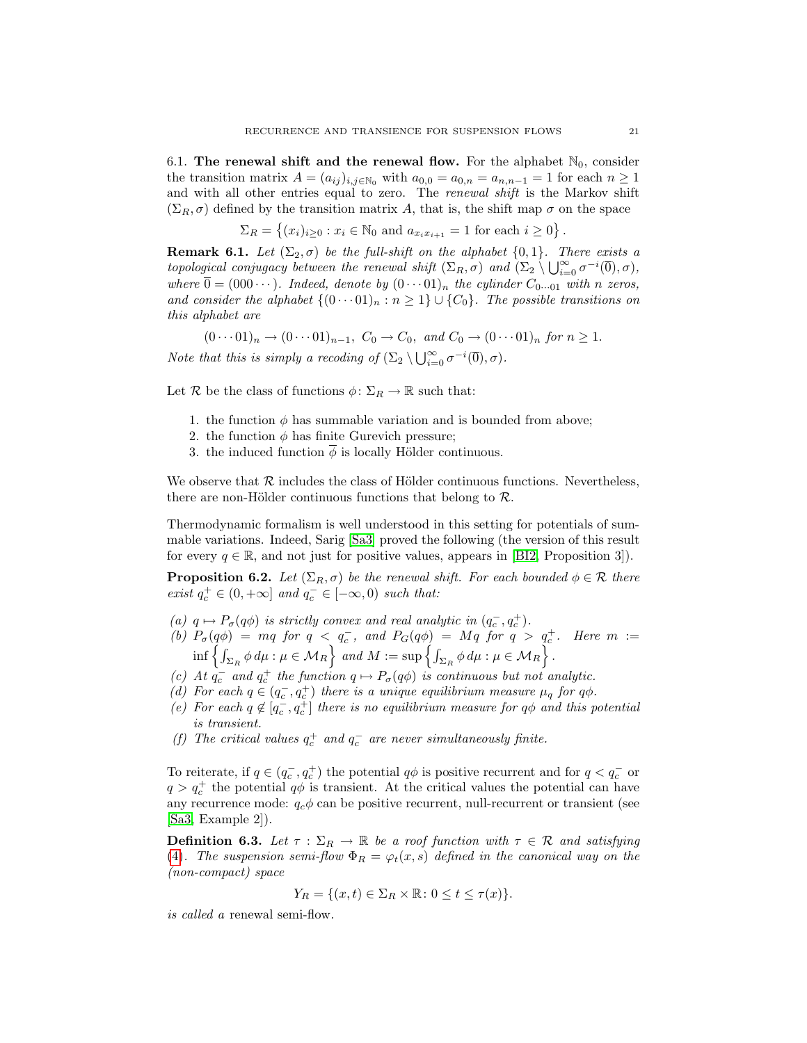6.1. The renewal shift and the renewal flow. For the alphabet  $\mathbb{N}_0$ , consider the transition matrix  $A = (a_{ij})_{i,j \in \mathbb{N}_0}$  with  $a_{0,0} = a_{0,n} = a_{n,n-1} = 1$  for each  $n \ge 1$ and with all other entries equal to zero. The renewal shift is the Markov shift  $(\Sigma_R, \sigma)$  defined by the transition matrix A, that is, the shift map  $\sigma$  on the space

$$
\Sigma_R=\left\{(x_i)_{i\geq 0}: x_i\in\mathbb{N}_0\text{ and }a_{x_ix_{i+1}}=1\text{ for each }i\geq 0\right\}.
$$

**Remark 6.1.** Let  $(\Sigma_2, \sigma)$  be the full-shift on the alphabet  $\{0, 1\}$ . There exists a topological conjugacy between the renewal shift  $(\Sigma_R, \sigma)$  and  $(\Sigma_2 \setminus \bigcup_{i=0}^{\infty} \sigma^{-i}(\overline{0}), \sigma)$ , where  $\overline{0} = (000 \cdots)$ . Indeed, denote by  $(0 \cdots 01)_n$  the cylinder  $C_{0\cdots 01}$  with n zeros, and consider the alphabet  $\{(0 \cdots 01)_n : n \geq 1\} \cup \{C_0\}$ . The possible transitions on this alphabet are

$$
(0\cdots 01)n\rightarrow (0\cdots 01)n-1, C0\rightarrow C0, and C0\rightarrow (0\cdots 01)n for n \ge 1.
$$

Note that this is simply a recoding of  $(\Sigma_2 \setminus \bigcup_{i=0}^{\infty} \sigma^{-i}(\overline{0}), \sigma)$ .

Let R be the class of functions  $\phi \colon \Sigma_R \to \mathbb{R}$  such that:

- 1. the function  $\phi$  has summable variation and is bounded from above;
- 2. the function  $\phi$  has finite Gurevich pressure;
- 3. the induced function  $\overline{\phi}$  is locally Hölder continuous.

We observe that  $R$  includes the class of Hölder continuous functions. Nevertheless, there are non-Hölder continuous functions that belong to  $\mathcal{R}$ .

Thermodynamic formalism is well understood in this setting for potentials of summable variations. Indeed, Sarig [\[Sa3\]](#page-33-6) proved the following (the version of this result for every  $q \in \mathbb{R}$ , and not just for positive values, appears in [\[BI2,](#page-31-20) Proposition 3]).

<span id="page-20-0"></span>**Proposition 6.2.** Let  $(\Sigma_R, \sigma)$  be the renewal shift. For each bounded  $\phi \in \mathcal{R}$  there exist  $q_c^+$  ∈  $(0, +\infty]$  and  $q_c^-$  ∈  $[-\infty, 0)$  such that:

- (a)  $q \mapsto P_{\sigma}(q\phi)$  is strictly convex and real analytic in  $(q_c^-, q_c^+)$ .
- (b)  $P_{\sigma}(q\phi) = mq$  for  $q < q_c^-$ , and  $P_G(q\phi) = Mq$  for  $q > q_c^+$ . Here  $m :=$  $\inf\left\{\int_{\Sigma_R}\phi\,d\mu:\mu\in\mathcal M_R\right\}\text{ and }M:=\sup\left\{\int_{\Sigma_R}\phi\,d\mu:\mu\in\mathcal M_R\right\}.$
- (c) At  $q_c^-$  and  $q_c^+$  the function  $q \mapsto P_\sigma(q\phi)$  is continuous but not analytic.
- (d) For each  $q \in (q_c^-, q_c^+)$  there is a unique equilibrium measure  $\mu_q$  for  $q\phi$ .
- (e) For each  $q \notin [q_c^-, q_c^+]$  there is no equilibrium measure for  $q\phi$  and this potential is transient.
- (f) The critical values  $q_c^+$  and  $q_c^-$  are never simultaneously finite.

To reiterate, if  $q \in (q_c^-, q_c^+)$  the potential  $q\phi$  is positive recurrent and for  $q < q_c^-$  or  $q > q_c^+$  the potential  $q\phi$  is transient. At the critical values the potential can have any recurrence mode:  $q_c\phi$  can be positive recurrent, null-recurrent or transient (see [\[Sa3,](#page-33-6) Example 2]).

**Definition 6.3.** Let  $\tau : \Sigma_R \to \mathbb{R}$  be a roof function with  $\tau \in \mathcal{R}$  and satisfying [\(4\)](#page-8-0). The suspension semi-flow  $\Phi_R = \varphi_t(x, s)$  defined in the canonical way on the (non-compact) space

$$
Y_R = \{(x, t) \in \Sigma_R \times \mathbb{R} : 0 \le t \le \tau(x)\}.
$$

is called a renewal semi-flow.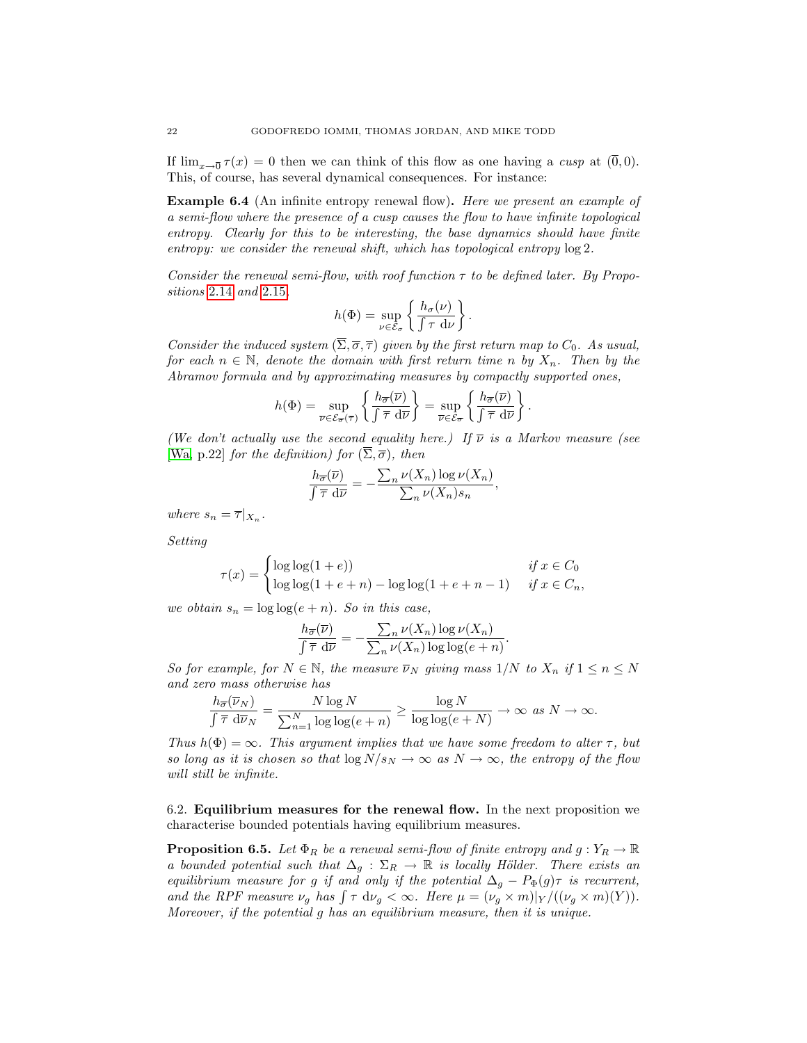If  $\lim_{x\to 0} \tau(x) = 0$  then we can think of this flow as one having a cusp at  $(0, 0)$ . This, of course, has several dynamical consequences. For instance:

<span id="page-21-0"></span>Example 6.4 (An infinite entropy renewal flow). Here we present an example of a semi-flow where the presence of a cusp causes the flow to have infinite topological entropy. Clearly for this to be interesting, the base dynamics should have finite entropy: we consider the renewal shift, which has topological entropy  $\log 2$ .

Consider the renewal semi-flow, with roof function  $\tau$  to be defined later. By Propositions [2.14](#page-9-1) and [2.15](#page-10-1),

$$
h(\Phi) = \sup_{\nu \in \mathcal{E}_{\sigma}} \left\{ \frac{h_{\sigma}(\nu)}{\int \tau \, \mathrm{d}\nu} \right\}.
$$

Consider the induced system  $(\overline{\Sigma}, \overline{\sigma}, \overline{\tau})$  given by the first return map to  $C_0$ . As usual, for each  $n \in \mathbb{N}$ , denote the domain with first return time n by  $X_n$ . Then by the Abramov formula and by approximating measures by compactly supported ones,

$$
h(\Phi) = \sup_{\overline{\nu} \in \mathcal{E}_{\overline{\sigma}}(\overline{\tau})} \left\{ \frac{h_{\overline{\sigma}}(\overline{\nu})}{\int \overline{\tau} \, d\overline{\nu}} \right\} = \sup_{\overline{\nu} \in \mathcal{E}_{\overline{\sigma}}} \left\{ \frac{h_{\overline{\sigma}}(\overline{\nu})}{\int \overline{\tau} \, d\overline{\nu}} \right\}.
$$

(We don't actually use the second equality here.) If  $\overline{\nu}$  is a Markov measure (see [\[Wa,](#page-33-3) p.22] for the definition) for  $(\overline{\Sigma}, \overline{\sigma})$ , then

$$
\frac{h_{\overline{\sigma}}(\overline{\nu})}{\int \overline{\tau} \, d\overline{\nu}} = -\frac{\sum_n \nu(X_n) \log \nu(X_n)}{\sum_n \nu(X_n) s_n},
$$

where  $s_n = \overline{\tau}|_{X_n}$ .

Setting

$$
\tau(x) = \begin{cases} \log \log(1+e) & \text{if } x \in C_0 \\ \log \log(1+e+n) - \log \log(1+e+n-1) & \text{if } x \in C_n, \end{cases}
$$

we obtain  $s_n = \log \log(e+n)$ . So in this case,

$$
\frac{h_{\overline{\sigma}}(\overline{\nu})}{\int \overline{\tau} d\overline{\nu}} = -\frac{\sum_{n} \nu(X_n) \log \nu(X_n)}{\sum_{n} \nu(X_n) \log \log(e+n)}.
$$

So for example, for  $N \in \mathbb{N}$ , the measure  $\overline{\nu}_N$  giving mass  $1/N$  to  $X_n$  if  $1 \leq n \leq N$ and zero mass otherwise has

$$
\frac{h_{\overline{\sigma}}(\overline{\nu}_N)}{\int \overline{\tau} \, d\overline{\nu}_N} = \frac{N \log N}{\sum_{n=1}^N \log \log(e+n)} \ge \frac{\log N}{\log \log(e+N)} \to \infty \text{ as } N \to \infty.
$$

Thus  $h(\Phi) = \infty$ . This argument implies that we have some freedom to alter  $\tau$ , but so long as it is chosen so that  $\log N/s_N \to \infty$  as  $N \to \infty$ , the entropy of the flow will still be infinite.

6.2. Equilibrium measures for the renewal flow. In the next proposition we characterise bounded potentials having equilibrium measures.

<span id="page-21-1"></span>**Proposition 6.5.** Let  $\Phi_R$  be a renewal semi-flow of finite entropy and  $g: Y_R \to \mathbb{R}$ a bounded potential such that  $\Delta_g : \Sigma_R \to \mathbb{R}$  is locally Hölder. There exists an equilibrium measure for g if and only if the potential  $\Delta_g - P_{\Phi}(g) \tau$  is recurrent, and the RPF measure  $\nu_g$  has  $\int \tau \, d\nu_g < \infty$ . Here  $\mu = (\nu_g \times m)|_Y/((\nu_g \times m)(Y)).$ Moreover, if the potential g has an equilibrium measure, then it is unique.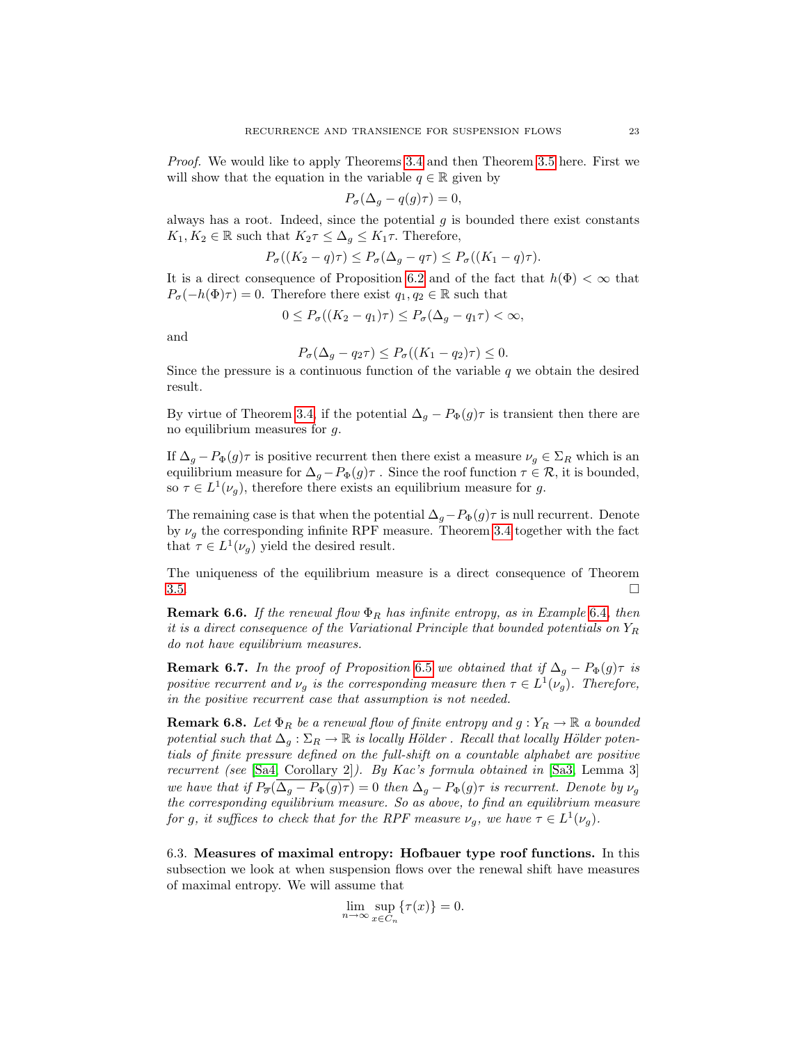Proof. We would like to apply Theorems [3.4](#page-12-0) and then Theorem [3.5](#page-12-1) here. First we will show that the equation in the variable  $q \in \mathbb{R}$  given by

$$
P_{\sigma}(\Delta_g - q(g)\tau) = 0,
$$

always has a root. Indeed, since the potential  $g$  is bounded there exist constants  $K_1, K_2 \in \mathbb{R}$  such that  $K_2 \tau \leq \Delta_g \leq K_1 \tau$ . Therefore,

$$
P_{\sigma}((K_2 - q)\tau) \le P_{\sigma}(\Delta_g - q\tau) \le P_{\sigma}((K_1 - q)\tau).
$$

It is a direct consequence of Proposition [6.2](#page-20-0) and of the fact that  $h(\Phi) < \infty$  that  $P_{\sigma}(-h(\Phi)\tau) = 0$ . Therefore there exist  $q_1, q_2 \in \mathbb{R}$  such that

$$
0 \le P_{\sigma}((K_2 - q_1)\tau) \le P_{\sigma}(\Delta_g - q_1\tau) < \infty,
$$

and

$$
P_{\sigma}(\Delta_g - q_2 \tau) \le P_{\sigma}((K_1 - q_2)\tau) \le 0.
$$

Since the pressure is a continuous function of the variable  $q$  we obtain the desired result.

By virtue of Theorem [3.4,](#page-12-0) if the potential  $\Delta_g - P_{\Phi}(g) \tau$  is transient then there are no equilibrium measures for g.

If  $\Delta_q - P_{\Phi}(g) \tau$  is positive recurrent then there exist a measure  $\nu_q \in \Sigma_R$  which is an equilibrium measure for  $\Delta_g - P_{\Phi}(g)\tau$ . Since the roof function  $\tau \in \mathcal{R}$ , it is bounded, so  $\tau \in L^1(\nu_a)$ , therefore there exists an equilibrium measure for g.

The remaining case is that when the potential  $\Delta_g-P_\Phi(g)\tau$  is null recurrent. Denote by  $\nu_g$  the corresponding infinite RPF measure. Theorem [3.4](#page-12-0) together with the fact that  $\tau \in L^1(\nu_q)$  yield the desired result.

The uniqueness of the equilibrium measure is a direct consequence of Theorem  $3.5.$ 

**Remark 6.6.** If the renewal flow  $\Phi_R$  has infinite entropy, as in Example [6.4](#page-21-0), then it is a direct consequence of the Variational Principle that bounded potentials on  $Y_R$ do not have equilibrium measures.

**Remark 6.7.** In the proof of Proposition [6.5](#page-21-1) we obtained that if  $\Delta_q - P_{\Phi}(g) \tau$  is positive recurrent and  $\nu_a$  is the corresponding measure then  $\tau \in L^1(\nu_a)$ . Therefore, in the positive recurrent case that assumption is not needed.

**Remark 6.8.** Let  $\Phi_R$  be a renewal flow of finite entropy and  $g: Y_R \to \mathbb{R}$  a bounded potential such that  $\Delta_g : \Sigma_R \to \mathbb{R}$  is locally Hölder. Recall that locally Hölder potentials of finite pressure defined on the full-shift on a countable alphabet are positive recurrent (see [\[Sa4,](#page-33-5) Corollary 2]). By Kac's formula obtained in [\[Sa3,](#page-33-6) Lemma 3] we have that if  $P_{\overline{\sigma}}(\overline{\Delta_q - P_{\Phi}(g)\tau}) = 0$  then  $\Delta_q - P_{\Phi}(g)\tau$  is recurrent. Denote by  $\nu_q$ the corresponding equilibrium measure. So as above, to find an equilibrium measure for g, it suffices to check that for the RPF measure  $\nu_q$ , we have  $\tau \in L^1(\nu_q)$ .

<span id="page-22-0"></span>6.3. Measures of maximal entropy: Hofbauer type roof functions. In this subsection we look at when suspension flows over the renewal shift have measures of maximal entropy. We will assume that

$$
\lim_{n \to \infty} \sup_{x \in C_n} \{\tau(x)\} = 0.
$$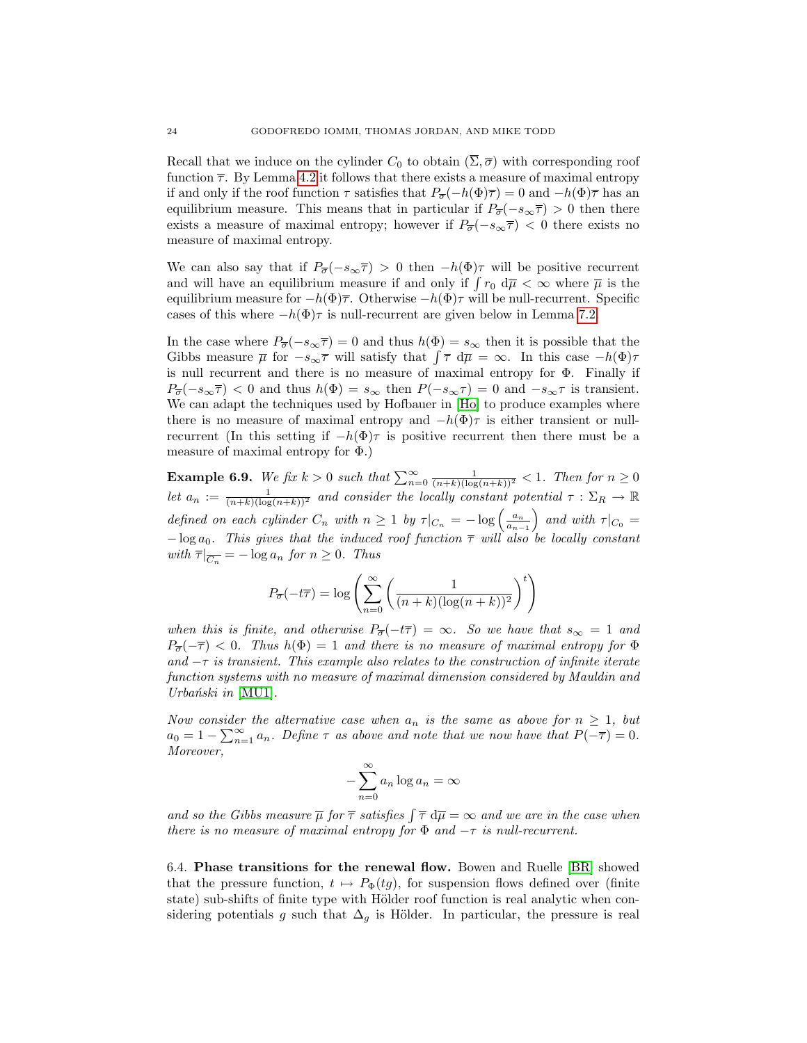Recall that we induce on the cylinder  $C_0$  to obtain  $(\overline{\Sigma}, \overline{\sigma})$  with corresponding roof function  $\bar{\tau}$ . By Lemma [4.2](#page-15-0) it follows that there exists a measure of maximal entropy if and only if the roof function  $\tau$  satisfies that  $P_{\overline{\sigma}}(-h(\Phi)\overline{\tau}) = 0$  and  $-h(\Phi)\overline{\tau}$  has an equilibrium measure. This means that in particular if  $P_{\overline{\sigma}}(-s_{\infty}\overline{\tau}) > 0$  then there exists a measure of maximal entropy; however if  $P_{\overline{\sigma}}(-s_{\infty}\overline{\tau}) < 0$  there exists no measure of maximal entropy.

We can also say that if  $P_{\overline{\sigma}}(-s_{\infty}\overline{\tau}) > 0$  then  $-h(\Phi)\tau$  will be positive recurrent and will have an equilibrium measure if and only if  $\int r_0 d\overline{\mu} < \infty$  where  $\overline{\mu}$  is the equilibrium measure for  $-h(\Phi)\overline{\tau}$ . Otherwise  $-h(\Phi)\tau$  will be null-recurrent. Specific cases of this where  $-h(\Phi)\tau$  is null-recurrent are given below in Lemma [7.2.](#page-29-0)

In the case where  $P_{\overline{\sigma}}(-s_{\infty}\overline{\tau})=0$  and thus  $h(\Phi)=s_{\infty}$  then it is possible that the Gibbs measure  $\bar{\mu}$  for  $-s_{\infty}\bar{\tau}$  will satisfy that  $\int \bar{\tau} d\bar{\mu} = \infty$ . In this case  $-h(\Phi)\tau$ is null recurrent and there is no measure of maximal entropy for Φ. Finally if  $P_{\overline{\sigma}}(-s_{\infty}\overline{\tau})$  < 0 and thus  $h(\Phi) = s_{\infty}$  then  $P(-s_{\infty}\tau) = 0$  and  $-s_{\infty}\tau$  is transient. We can adapt the techniques used by Hofbauer in [\[Ho\]](#page-32-21) to produce examples where there is no measure of maximal entropy and  $-h(\Phi)\tau$  is either transient or nullrecurrent (In this setting if  $-h(\Phi)\tau$  is positive recurrent then there must be a measure of maximal entropy for  $\Phi$ .)

<span id="page-23-0"></span>**Example 6.9.** We fix  $k > 0$  such that  $\sum_{n=0}^{\infty} \frac{1}{(n+k)(\log(n+k))^2} < 1$ . Then for  $n \ge 0$ let  $a_n := \frac{1}{(n+k)(\log(n+k))^2}$  and consider the locally constant potential  $\tau : \Sigma_R \to \mathbb{R}$ defined on each cylinder  $C_n$  with  $n \geq 1$  by  $\tau|_{C_n} = -\log\left(\frac{a_n}{a_{n-1}}\right)$ ) and with  $\tau|_{C_0} =$  $-\log a_0$ . This gives that the induced roof function  $\bar{\tau}$  will also be locally constant with  $\overline{\tau}|_{\overline{C_n}} = -\log a_n$  for  $n \geq 0$ . Thus

$$
P_{\overline{\sigma}}(-t\overline{\tau}) = \log \left( \sum_{n=0}^{\infty} \left( \frac{1}{(n+k)(\log(n+k))^2} \right)^t \right)
$$

when this is finite, and otherwise  $P_{\overline{\sigma}}(-t\overline{\tau}) = \infty$ . So we have that  $s_{\infty} = 1$  and  $P_{\overline{\sigma}}(-\overline{\tau})$  < 0. Thus  $h(\Phi) = 1$  and there is no measure of maximal entropy for  $\Phi$ and  $-\tau$  is transient. This example also relates to the construction of infinite iterate function systems with no measure of maximal dimension considered by Mauldin and Urbański in  $[MU1]$ .

Now consider the alternative case when  $a_n$  is the same as above for  $n \geq 1$ , but  $a_0 = 1 - \sum_{n=1}^{\infty} a_n$ . Define  $\tau$  as above and note that we now have that  $P(-\overline{\tau}) = 0$ . Moreover,

$$
-\sum_{n=0}^{\infty} a_n \log a_n = \infty
$$

and so the Gibbs measure  $\bar{\mu}$  for  $\bar{\tau}$  satisfies  $\int \bar{\tau} d\bar{\mu} = \infty$  and we are in the case when there is no measure of maximal entropy for  $\Phi$  and  $-\tau$  is null-recurrent.

6.4. Phase transitions for the renewal flow. Bowen and Ruelle [\[BR\]](#page-31-1) showed that the pressure function,  $t \mapsto P_{\Phi}(tg)$ , for suspension flows defined over (finite state) sub-shifts of finite type with Hölder roof function is real analytic when considering potentials g such that  $\Delta_q$  is Hölder. In particular, the pressure is real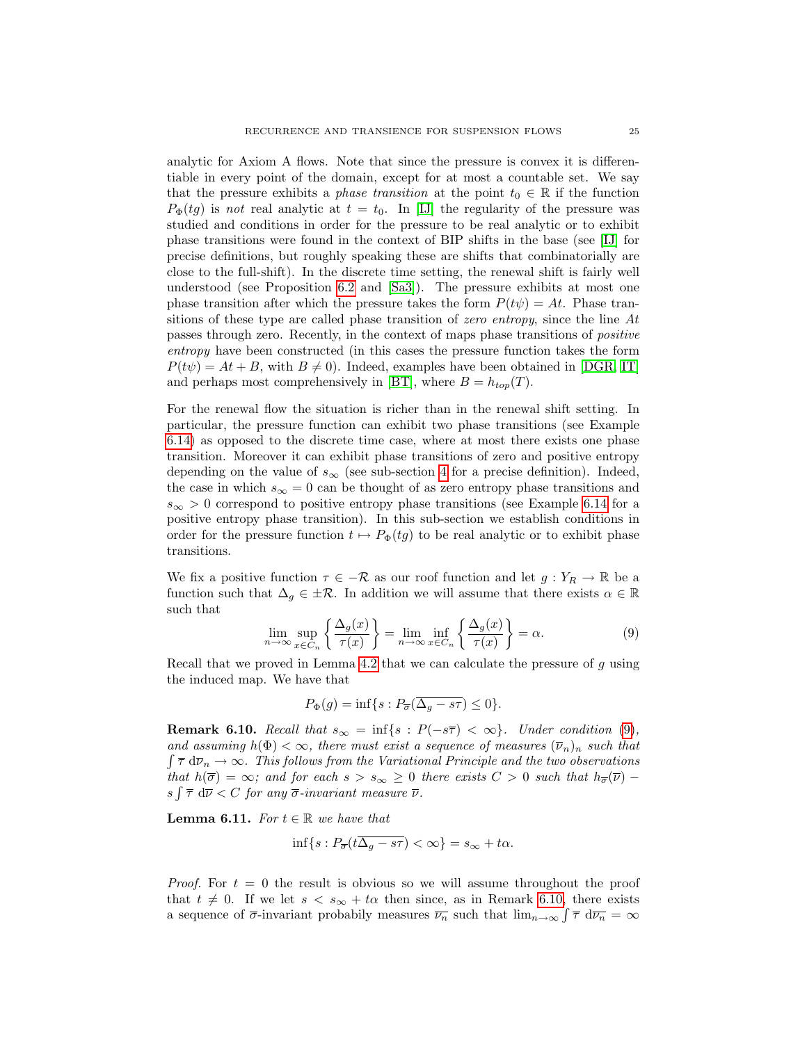analytic for Axiom A flows. Note that since the pressure is convex it is differentiable in every point of the domain, except for at most a countable set. We say that the pressure exhibits a *phase transition* at the point  $t_0 \in \mathbb{R}$  if the function  $P_{\Phi}(tg)$  is not real analytic at  $t = t_0$ . In [\[IJ\]](#page-32-4) the regularity of the pressure was studied and conditions in order for the pressure to be real analytic or to exhibit phase transitions were found in the context of BIP shifts in the base (see [\[IJ\]](#page-32-4) for precise definitions, but roughly speaking these are shifts that combinatorially are close to the full-shift). In the discrete time setting, the renewal shift is fairly well understood (see Proposition [6.2](#page-20-0) and [\[Sa3\]](#page-33-6)). The pressure exhibits at most one phase transition after which the pressure takes the form  $P(t\psi) = At$ . Phase transitions of these type are called phase transition of zero entropy, since the line  $At$ passes through zero. Recently, in the context of maps phase transitions of positive entropy have been constructed (in this cases the pressure function takes the form  $P(t\psi) = At + B$ , with  $B \neq 0$ . Indeed, examples have been obtained in [\[DGR,](#page-32-22) [IT\]](#page-32-20) and perhaps most comprehensively in [\[BT\]](#page-31-21), where  $B = h_{top}(T)$ .

For the renewal flow the situation is richer than in the renewal shift setting. In particular, the pressure function can exhibit two phase transitions (see Example [6.14\)](#page-26-0) as opposed to the discrete time case, where at most there exists one phase transition. Moreover it can exhibit phase transitions of zero and positive entropy depending on the value of  $s_{\infty}$  (see sub-section [4](#page-14-0) for a precise definition). Indeed, the case in which  $s_{\infty} = 0$  can be thought of as zero entropy phase transitions and  $s_{\infty} > 0$  correspond to positive entropy phase transitions (see Example [6.14](#page-26-0) for a positive entropy phase transition). In this sub-section we establish conditions in order for the pressure function  $t \mapsto P_{\Phi}(tg)$  to be real analytic or to exhibit phase transitions.

We fix a positive function  $\tau \in -\mathcal{R}$  as our roof function and let  $g: Y_R \to \mathbb{R}$  be a function such that  $\Delta_q \in \pm \mathcal{R}$ . In addition we will assume that there exists  $\alpha \in \mathbb{R}$ such that

<span id="page-24-1"></span>
$$
\lim_{n \to \infty} \sup_{x \in C_n} \left\{ \frac{\Delta_g(x)}{\tau(x)} \right\} = \lim_{n \to \infty} \inf_{x \in C_n} \left\{ \frac{\Delta_g(x)}{\tau(x)} \right\} = \alpha.
$$
 (9)

Recall that we proved in Lemma [4.2](#page-15-0) that we can calculate the pressure of g using the induced map. We have that

$$
P_{\Phi}(g) = \inf\{s : P_{\overline{\sigma}}(\overline{\Delta_g - s\tau}) \le 0\}.
$$

<span id="page-24-0"></span>**Remark 6.10.** Recall that  $s_{\infty} = \inf\{s : P(-s\overline{\tau}) < \infty\}$ . Under condition [\(9\)](#page-24-1), and assuming  $h(\Phi) < \infty$ , there must exist a sequence of measures  $(\overline{\nu}_n)_n$  such that  $\int \overline{\tau} d\overline{\nu}_n \to \infty$ . This follows from the Variational Principle and the two observations that  $h(\overline{\sigma}) = \infty$ ; and for each  $s > s_{\infty} \geq 0$  there exists  $C > 0$  such that  $h_{\overline{\sigma}}(\overline{\nu})$  $s \int \overline{\tau} d\overline{\nu} < C$  for any  $\overline{\sigma}$ -invariant measure  $\overline{\nu}$ .

<span id="page-24-2"></span>**Lemma 6.11.** For  $t \in \mathbb{R}$  we have that

$$
\inf\{s: P_{\overline{\sigma}}(t\overline{\Delta_g - s\tau}) < \infty\} = s_{\infty} + t\alpha.
$$

*Proof.* For  $t = 0$  the result is obvious so we will assume throughout the proof that  $t \neq 0$ . If we let  $s < s_{\infty} + t\alpha$  then since, as in Remark [6.10,](#page-24-0) there exists a sequence of  $\overline{\sigma}$ -invariant probabily measures  $\overline{\nu_n}$  such that  $\lim_{n\to\infty} \int \overline{\tau} d\overline{\nu_n} = \infty$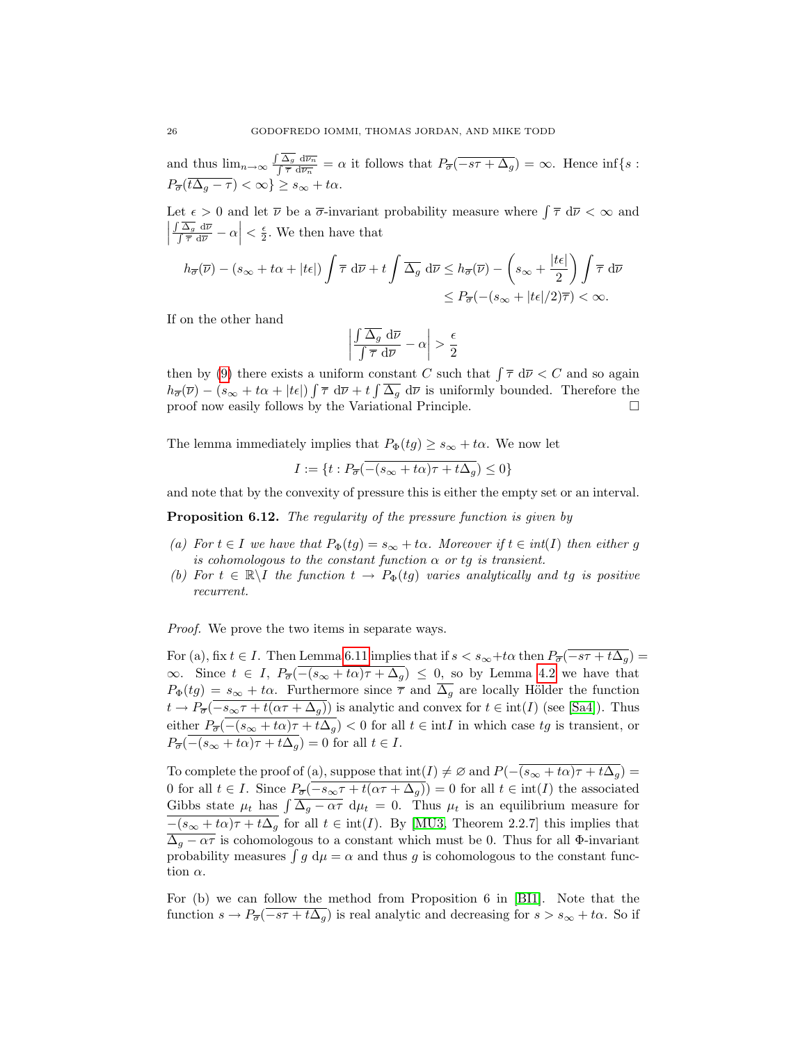and thus  $\lim_{n\to\infty}\frac{\int \overline{\Delta_g}\,d\overline{\nu_n}}{\int \overline{\tau}\,d\overline{\nu_n}} = \alpha$  it follows that  $P_{\overline{\sigma}}\overline{(-s\tau+\Delta_g)} = \infty$ . Hence  $\inf\{s:$  $P_{\overline{\sigma}}(t\Delta_g - \tau) < \infty$ } ≥  $s_{\infty} + t\alpha$ .

Let  $\epsilon > 0$  and let  $\bar{\nu}$  be a  $\bar{\sigma}$ -invariant probability measure where  $\int \bar{\tau} d\bar{\nu} < \infty$  and  $\left|\frac{\int \overline{\Delta_g} d\overline{\nu}}{\int \overline{\tau} d\overline{\nu}} - \alpha\right| < \frac{\epsilon}{2}$ . We then have that

$$
h_{\overline{\sigma}}(\overline{\nu}) - (s_{\infty} + t\alpha + |t\epsilon|) \int \overline{\tau} d\overline{\nu} + t \int \overline{\Delta_g} d\overline{\nu} \leq h_{\overline{\sigma}}(\overline{\nu}) - \left(s_{\infty} + \frac{|t\epsilon|}{2}\right) \int \overline{\tau} d\overline{\nu}
$$

$$
\leq P_{\overline{\sigma}}(-(s_{\infty} + |t\epsilon|/2)\overline{\tau}) < \infty.
$$

If on the other hand

$$
\left|\frac{\int \overline{\Delta_g}\; \mathrm{d}\overline{\nu}}{\int \overline{\tau} \; \mathrm{d}\overline{\nu}} - \alpha \right| > \frac{\epsilon}{2}
$$

then by [\(9\)](#page-24-1) there exists a uniform constant C such that  $\int \overline{\tau} d\overline{\nu} < C$  and so again  $h_{\overline{\sigma}}(\overline{\nu}) - (s_{\infty} + t\alpha + |t\epsilon|) \int \overline{\tau} d\overline{\nu} + t \int \overline{\Delta_g} d\overline{\nu}$  is uniformly bounded. Therefore the proof now easily follows by the Variational Principle. !

The lemma immediately implies that  $P_{\Phi}(tg) \geq s_{\infty} + t\alpha$ . We now let

$$
I := \{ t : P_{\overline{\sigma}}(\overline{-(s_{\infty} + t\alpha)\tau + t\Delta_g}) \le 0 \}
$$

<span id="page-25-0"></span>and note that by the convexity of pressure this is either the empty set or an interval.

**Proposition 6.12.** The regularity of the pressure function is given by

- (a) For  $t \in I$  we have that  $P_{\Phi}(t) = s_{\infty} + t\alpha$ . Moreover if  $t \in int(I)$  then either g is cohomologous to the constant function  $\alpha$  or tg is transient.
- (b) For  $t \in \mathbb{R} \backslash I$  the function  $t \to P_{\Phi}(tq)$  varies analytically and tg is positive recurrent.

Proof. We prove the two items in separate ways.

For (a), fix  $t \in I$ . Then Lemma [6.11](#page-24-2) implies that if  $s < s_{\infty}+t\alpha$  then  $P_{\overline{\sigma}}(-s\tau+t\Delta_g)$  $\infty$ . Since  $t \in I$ ,  $P_{\overline{\sigma}}(-(s_{\infty}+t\alpha)\tau+\Delta_q) \leq 0$ , so by Lemma [4.2](#page-15-0) we have that  $P_{\Phi}(tg) = s_{\infty} + t\alpha$ . Furthermore since  $\bar{\tau}$  and  $\overline{\Delta_g}$  are locally Hölder the function  $t \to P_{\overline{\sigma}}(-s_{\infty}\tau + t(\alpha\tau + \Delta_g))$  is analytic and convex for  $t \in \text{int}(I)$  (see [\[Sa4\]](#page-33-5)). Thus either  $P_{\overline{\sigma}}(-(s_{\infty}+t\alpha)\tau+t\Delta_g)$  < 0 for all  $t \in \text{int}I$  in which case  $tg$  is transient, or  $P_{\overline{\sigma}}(-\overline{(s_{\infty}+t\alpha)\tau+t\Delta_{\sigma}})=0$  for all  $t\in I$ .

To complete the proof of (a), suppose that  $\text{int}(I) \neq \emptyset$  and  $P(-\overline{(s_{\infty} + t\alpha)\tau + t\Delta_q}) =$ 0 for all  $t \in I$ . Since  $P_{\overline{\sigma}}(-s_{\infty}\tau + t(\alpha\tau + \Delta_g)) = 0$  for all  $t \in \text{int}(I)$  the associated Gibbs state  $\mu_t$  has  $\int \overline{\Delta_g - \alpha \tau} d\mu_t = 0$ . Thus  $\mu_t$  is an equilibrium measure for  $-(s_{\infty} + t\alpha)\tau + t\Delta_g$  for all  $t \in \text{int}(I)$ . By [\[MU3,](#page-32-12) Theorem 2.2.7] this implies that  $\overline{\Delta_g - \alpha \tau}$  is cohomologous to a constant which must be 0. Thus for all  $\Phi$ -invariant probability measures  $\int g d\mu = \alpha$  and thus g is cohomologous to the constant function  $\alpha$ .

For (b) we can follow the method from Proposition 6 in [\[BI1\]](#page-31-6). Note that the function  $s \to P_{\overline{\sigma}}(-s\tau + t\Delta_q)$  is real analytic and decreasing for  $s > s_{\infty} + t\alpha$ . So if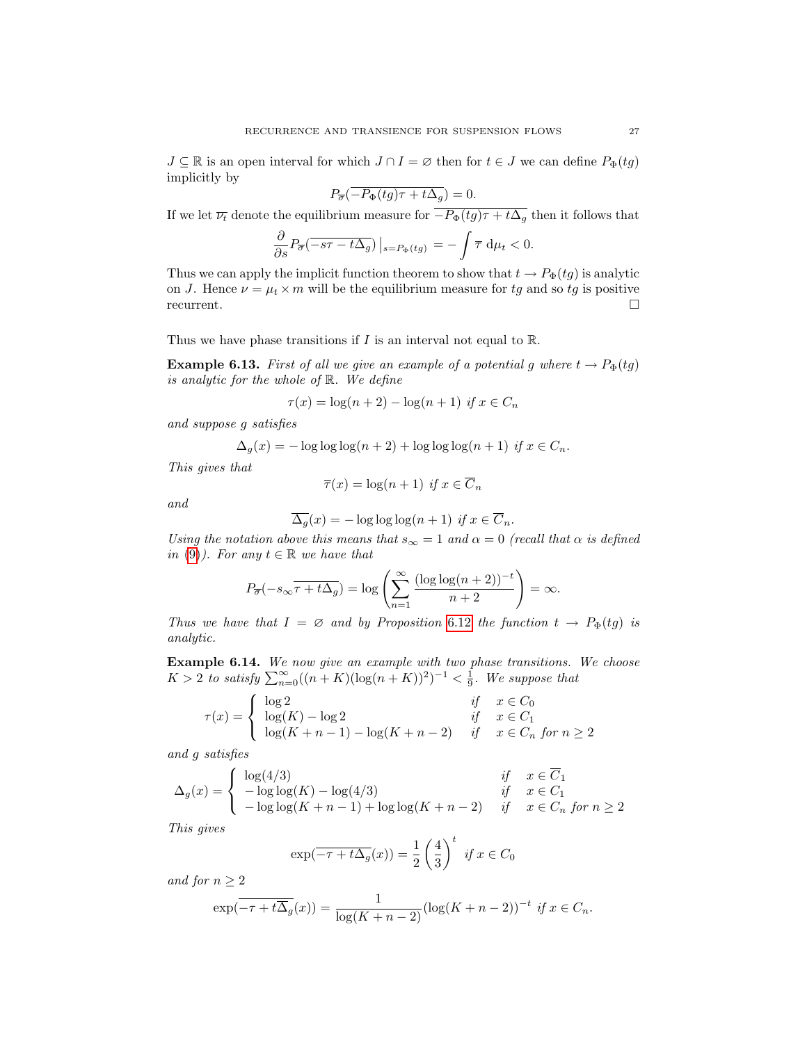$J \subseteq \mathbb{R}$  is an open interval for which  $J \cap I = \emptyset$  then for  $t \in J$  we can define  $P_{\Phi}(t)$ implicitly by

$$
P_{\overline{\sigma}}(\overline{-P_{\Phi}(tg)\tau+t\Delta_g})=0.
$$

If we let  $\overline{\nu_t}$  denote the equilibrium measure for  $-P_{\Phi}(tg)\tau + t\Delta_g$  then it follows that

$$
\frac{\partial}{\partial s} P_{\overline{\sigma}} \left( \overline{-s\tau - t\Delta_g} \right) \big|_{s = P_{\Phi}(tg)} = -\int \overline{\tau} \, \mathrm{d}\mu_t < 0.
$$

Thus we can apply the implicit function theorem to show that  $t \to P_{\Phi}(tg)$  is analytic on *J*. Hence  $\nu = \mu_t \times m$  will be the equilibrium measure for tg and so tg is positive recurrent. recurrent.  $\Box$ 

Thus we have phase transitions if  $I$  is an interval not equal to  $\mathbb{R}$ .

**Example 6.13.** First of all we give an example of a potential g where  $t \to P_{\Phi}(tq)$ is analytic for the whole of R. We define

$$
\tau(x) = \log(n+2) - \log(n+1) \text{ if } x \in C_n
$$

and suppose g satisfies

$$
\Delta_g(x) = -\log \log \log (n+2) + \log \log \log (n+1) \text{ if } x \in C_n.
$$

This gives that

$$
\overline{\tau}(x) = \log(n+1) \text{ if } x \in \overline{C}_n
$$

and

$$
\overline{\Delta_g}(x) = -\log \log \log (n+1) \text{ if } x \in \overline{C}_n
$$

Using the notation above this means that  $s_{\infty} = 1$  and  $\alpha = 0$  (recall that  $\alpha$  is defined in [\(9\)](#page-24-1)). For any  $t \in \mathbb{R}$  we have that

$$
P_{\overline{\sigma}}(-s_{\infty}\overline{\tau+t\Delta_g}) = \log\left(\sum_{n=1}^{\infty} \frac{(\log\log(n+2))^{-t}}{n+2}\right) = \infty.
$$

Thus we have that  $I = \emptyset$  and by Proposition [6.12](#page-25-0) the function  $t \to P_{\Phi}(tg)$  is analytic.

<span id="page-26-0"></span>**Example 6.14.** We now give an example with two phase transitions. We choose  $K > 2$  to satisfy  $\sum_{n=0}^{\infty} ((n+K)(\log(n+K))^2)^{-1} < \frac{1}{9}$ . We suppose that

$$
\tau(x) = \begin{cases}\n\log 2 & \text{if } x \in C_0 \\
\log(K) - \log 2 & \text{if } x \in C_1 \\
\log(K + n - 1) - \log(K + n - 2) & \text{if } x \in C_n \text{ for } n \ge 2\n\end{cases}
$$

and g satisfies

$$
\Delta_g(x) = \begin{cases}\n\log(4/3) & \text{if } x \in \overline{C}_1 \\
-\log\log(K) - \log(4/3) & \text{if } x \in C_1 \\
-\log\log(K + n - 1) + \log\log(K + n - 2) & \text{if } x \in C_n \text{ for } n \ge 2\n\end{cases}
$$

This gives

$$
\exp\left(-\tau + t\Delta_g(x)\right) = \frac{1}{2}\left(\frac{4}{3}\right)^t \text{ if } x \in C_0
$$

and for  $n \geq 2$ 

$$
\exp\left(-\tau + t\overline{\Delta}_g(x)\right) = \frac{1}{\log(K+n-2)}(\log(K+n-2))^{-t} \text{ if } x \in C_n.
$$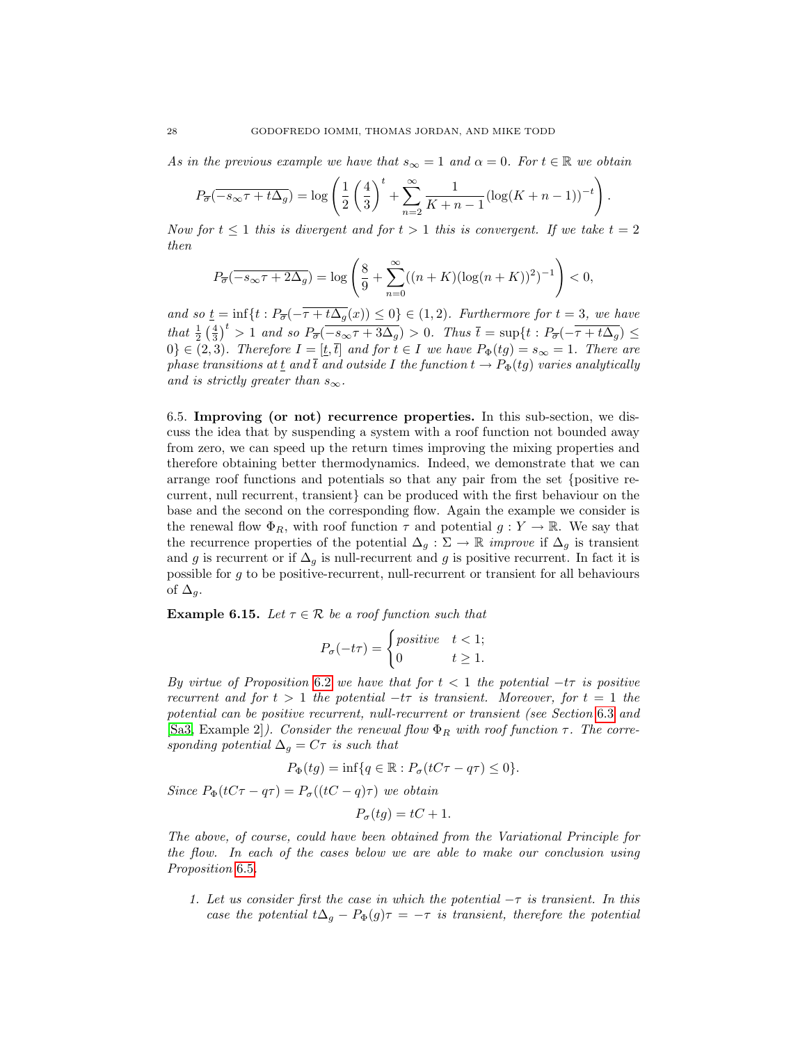As in the previous example we have that  $s_{\infty} = 1$  and  $\alpha = 0$ . For  $t \in \mathbb{R}$  we obtain

$$
P_{\overline{\sigma}}(\overline{-s_{\infty}\tau+t\Delta_g})=\log\left(\frac{1}{2}\left(\frac{4}{3}\right)^t+\sum_{n=2}^{\infty}\frac{1}{K+n-1}(\log(K+n-1))^{-t}\right).
$$

Now for  $t \leq 1$  this is divergent and for  $t > 1$  this is convergent. If we take  $t = 2$ then

$$
P_{\overline{\sigma}}\left(\overline{-s_{\infty}\tau+2\Delta_g}\right)=\log\left(\frac{8}{9}+\sum_{n=0}^{\infty}((n+K)(\log(n+K))^2)^{-1}\right)<0,
$$

and so  $\underline{t} = \inf\{t : P_{\overline{\sigma}}(-\overline{\tau} + t\Delta_{\overline{g}}(x)) \leq 0\} \in (1, 2)$ . Furthermore for  $t = 3$ , we have that  $\frac{1}{2} \left( \frac{4}{3} \right)^t > 1$  and so  $P_{\overline{\sigma}} \left( \overline{-s_{\infty} \tau + 3\Delta_g} \right) > 0$ . Thus  $\overline{t} = \sup \{ t : P_{\overline{\sigma}} \left( -\overline{\tau + t\Delta_g} \right) \le$  $0\} \in (2, 3)$ . Therefore  $I = [\underline{t}, \overline{t}]$  and for  $t \in I$  we have  $P_{\Phi}(tg) = s_{\infty} = 1$ . There are phase transitions at t and  $\bar{t}$  and outside I the function  $t \to P_{\Phi}(t)$  varies analytically and is strictly greater than  $s_{\infty}$ .

6.5. Improving (or not) recurrence properties. In this sub-section, we discuss the idea that by suspending a system with a roof function not bounded away from zero, we can speed up the return times improving the mixing properties and therefore obtaining better thermodynamics. Indeed, we demonstrate that we can arrange roof functions and potentials so that any pair from the set {positive recurrent, null recurrent, transient} can be produced with the first behaviour on the base and the second on the corresponding flow. Again the example we consider is the renewal flow  $\Phi_R$ , with roof function  $\tau$  and potential  $g: Y \to \mathbb{R}$ . We say that the recurrence properties of the potential  $\Delta_g : \Sigma \to \mathbb{R}$  *improve* if  $\Delta_g$  is transient and g is recurrent or if  $\Delta_q$  is null-recurrent and g is positive recurrent. In fact it is possible for g to be positive-recurrent, null-recurrent or transient for all behaviours of  $\Delta_q$ .

<span id="page-27-0"></span>**Example 6.15.** Let  $\tau \in \mathcal{R}$  be a roof function such that

$$
P_{\sigma}(-t\tau) = \begin{cases} positive & t < 1; \\ 0 & t \ge 1. \end{cases}
$$

By virtue of Proposition [6.2](#page-20-0) we have that for  $t < 1$  the potential  $-t\tau$  is positive recurrent and for  $t > 1$  the potential  $-t\tau$  is transient. Moreover, for  $t = 1$  the potential can be positive recurrent, null-recurrent or transient (see Section [6.3](#page-22-0) and [\[Sa3,](#page-33-6) Example 2]). Consider the renewal flow  $\Phi_R$  with roof function  $\tau$ . The corresponding potential  $\Delta_g = C\tau$  is such that

$$
P_{\Phi}(tg) = \inf \{ q \in \mathbb{R} : P_{\sigma}(tC\tau - q\tau) \le 0 \}.
$$

Since  $P_{\Phi}(tC\tau - q\tau) = P_{\sigma}((tC - q)\tau)$  we obtain

$$
P_{\sigma}(tg) = tC + 1.
$$

The above, of course, could have been obtained from the Variational Principle for the flow. In each of the cases below we are able to make our conclusion using Proposition [6.5](#page-21-1).

1. Let us consider first the case in which the potential  $-\tau$  is transient. In this case the potential  $t\Delta_q - P_{\Phi}(g)\tau = -\tau$  is transient, therefore the potential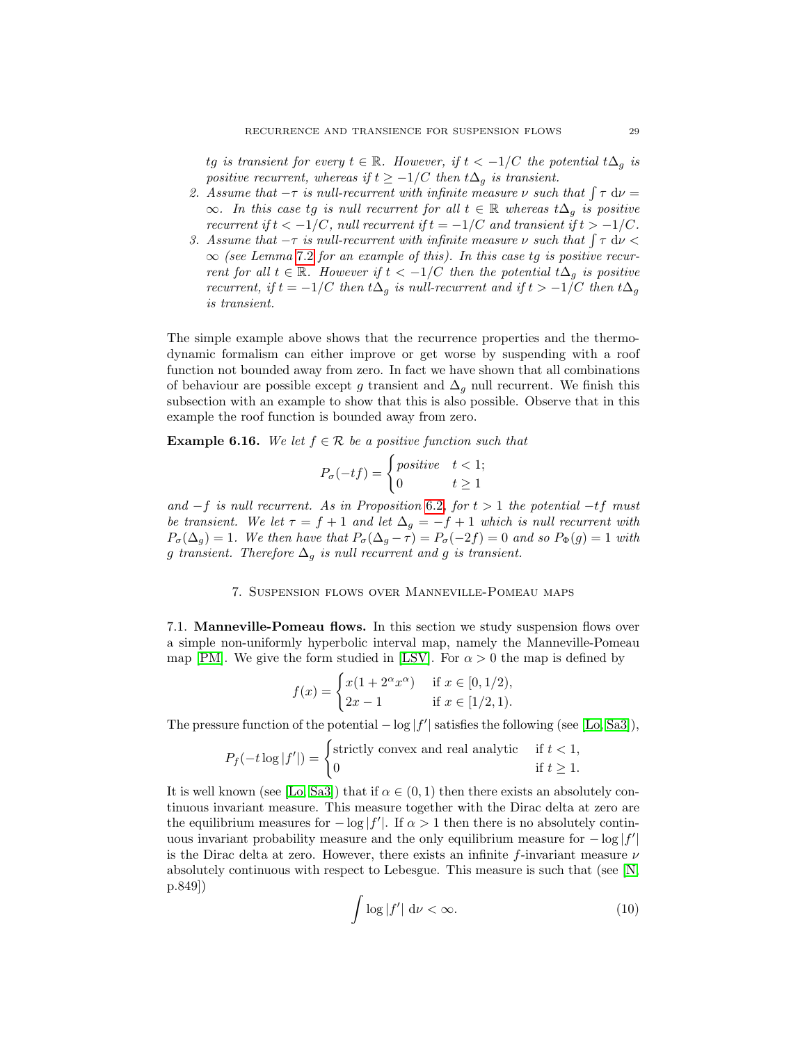tg is transient for every  $t \in \mathbb{R}$ . However, if  $t < -1/C$  the potential  $t\Delta_q$  is positive recurrent, whereas if  $t \ge -1/C$  then  $t\Delta_q$  is transient.

- 2. Assume that  $-\tau$  is null-recurrent with infinite measure  $\nu$  such that  $\int \tau d\nu =$  $\infty$ . In this case tg is null recurrent for all  $t \in \mathbb{R}$  whereas  $t\Delta_g$  is positive recurrent if  $t < -1/C$ , null recurrent if  $t = -1/C$  and transient if  $t > -1/C$ .
- 3. Assume that  $-\tau$  is null-recurrent with infinite measure  $\nu$  such that  $\int \tau \, d\nu <$  $\infty$  (see Lemma [7.2](#page-29-0) for an example of this). In this case tg is positive recurrent for all  $t \in \mathbb{R}$ . However if  $t < -1/C$  then the potential  $t\Delta_g$  is positive recurrent, if  $t = -1/C$  then  $t\Delta_g$  is null-recurrent and if  $t > -1/C$  then  $t\Delta_g$ is transient.

The simple example above shows that the recurrence properties and the thermodynamic formalism can either improve or get worse by suspending with a roof function not bounded away from zero. In fact we have shown that all combinations of behaviour are possible except g transient and  $\Delta_g$  null recurrent. We finish this subsection with an example to show that this is also possible. Observe that in this example the roof function is bounded away from zero.

<span id="page-28-0"></span>**Example 6.16.** We let  $f \in \mathcal{R}$  be a positive function such that

$$
P_{\sigma}(-tf) = \begin{cases} positive & t < 1; \\ 0 & t \ge 1 \end{cases}
$$

and  $-f$  is null recurrent. As in Proposition [6.2](#page-20-0), for  $t > 1$  the potential  $-tf$  must be transient. We let  $\tau = f + 1$  and let  $\Delta_g = -f + 1$  which is null recurrent with  $P_{\sigma}(\Delta_g)=1$ . We then have that  $P_{\sigma}(\Delta_g - \tau) = P_{\sigma}(-2f) = 0$  and so  $P_{\Phi}(g) = 1$  with g transient. Therefore  $\Delta_g$  is null recurrent and g is transient.

# 7. Suspension flows over Manneville-Pomeau maps

<span id="page-28-2"></span><span id="page-28-1"></span>7.1. Manneville-Pomeau flows. In this section we study suspension flows over a simple non-uniformly hyperbolic interval map, namely the Manneville-Pomeau map [\[PM\]](#page-32-6). We give the form studied in [\[LSV\]](#page-32-24). For  $\alpha > 0$  the map is defined by

$$
f(x) = \begin{cases} x(1 + 2^{\alpha}x^{\alpha}) & \text{if } x \in [0, 1/2), \\ 2x - 1 & \text{if } x \in [1/2, 1). \end{cases}
$$

The pressure function of the potential  $-\log|f'|$  satisfies the following (see [\[Lo,](#page-32-25) [Sa3\]](#page-33-6)),

$$
P_f(-t\log|f'|) = \begin{cases} \text{strictly convex and real analytic} & \text{if } t < 1, \\ 0 & \text{if } t \geq 1. \end{cases}
$$

It is well known (see [\[Lo,](#page-32-25) [Sa3\]](#page-33-6)) that if  $\alpha \in (0, 1)$  then there exists an absolutely continuous invariant measure. This measure together with the Dirac delta at zero are the equilibrium measures for  $-\log|f'|$ . If  $\alpha > 1$  then there is no absolutely continuous invariant probability measure and the only equilibrium measure for  $-\log|f'|$ is the Dirac delta at zero. However, there exists an infinite f-invariant measure  $\nu$ absolutely continuous with respect to Lebesgue. This measure is such that (see [\[N,](#page-32-23) p.849])

<span id="page-28-3"></span>
$$
\int \log|f'| \, \mathrm{d}\nu < \infty. \tag{10}
$$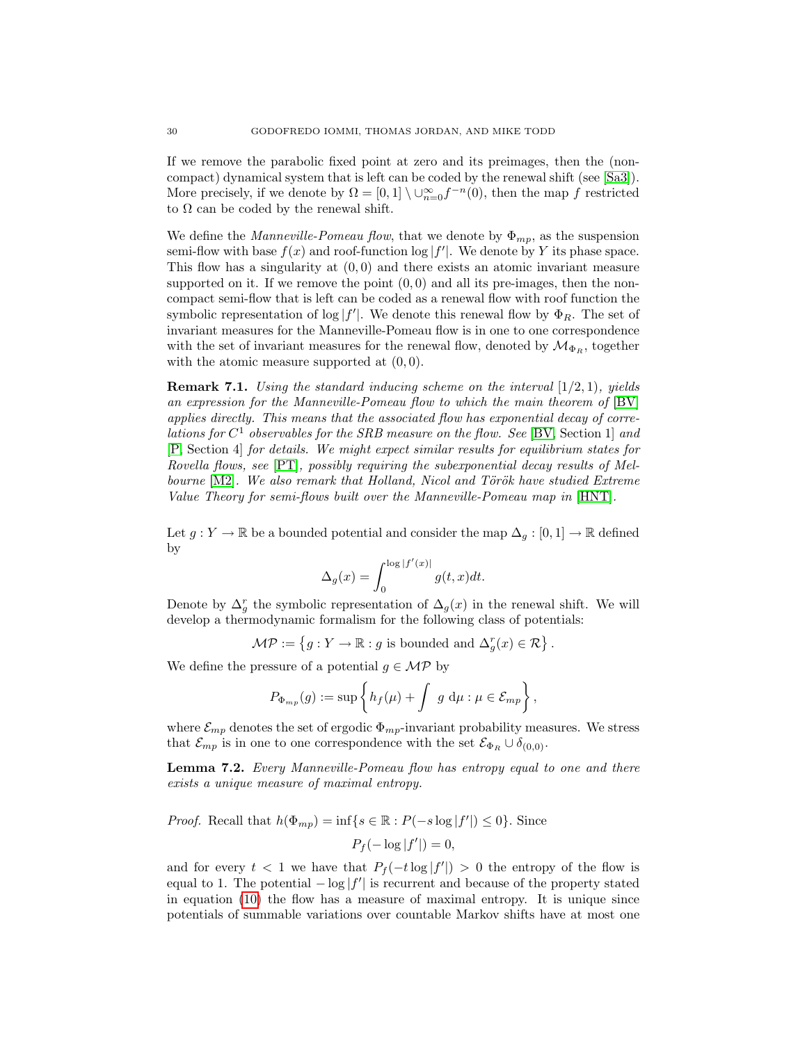If we remove the parabolic fixed point at zero and its preimages, then the (noncompact) dynamical system that is left can be coded by the renewal shift (see [\[Sa3\]](#page-33-6)). More precisely, if we denote by  $\Omega = [0,1] \setminus \cup_{n=0}^{\infty} f^{-n}(0)$ , then the map f restricted to  $\Omega$  can be coded by the renewal shift.

We define the *Manneville-Pomeau flow*, that we denote by  $\Phi_{mp}$ , as the suspension semi-flow with base  $f(x)$  and roof-function log  $|f'|$ . We denote by Y its phase space. This flow has a singularity at  $(0, 0)$  and there exists an atomic invariant measure supported on it. If we remove the point  $(0, 0)$  and all its pre-images, then the noncompact semi-flow that is left can be coded as a renewal flow with roof function the symbolic representation of  $\log|f'|$ . We denote this renewal flow by  $\Phi_R$ . The set of invariant measures for the Manneville-Pomeau flow is in one to one correspondence with the set of invariant measures for the renewal flow, denoted by  $\mathcal{M}_{\Phi_R}$ , together with the atomic measure supported at  $(0, 0)$ .

**Remark 7.1.** Using the standard inducing scheme on the interval  $[1/2, 1)$ , yields an expression for the Manneville-Pomeau flow to which the main theorem of [\[BV\]](#page-31-22) applies directly. This means that the associated flow has exponential decay of correlations for  $C^1$  observables for the SRB measure on the flow. See [\[BV,](#page-31-22) Section 1] and [\[P,](#page-32-26) Section 4] for details. We might expect similar results for equilibrium states for Rovella flows, see [\[PT\]](#page-32-27), possibly requiring the subexponential decay results of Melbourne  $[M2]$ . We also remark that Holland, Nicol and Török have studied Extreme Value Theory for semi-flows built over the Manneville-Pomeau map in [\[HNT\]](#page-32-28).

Let  $g: Y \to \mathbb{R}$  be a bounded potential and consider the map  $\Delta_g: [0,1] \to \mathbb{R}$  defined by

$$
\Delta_g(x) = \int_0^{\log|f'(x)|} g(t, x) dt.
$$

Denote by  $\Delta_g^r$  the symbolic representation of  $\Delta_g(x)$  in the renewal shift. We will develop a thermodynamic formalism for the following class of potentials:

$$
\mathcal{MP} := \{ g: Y \to \mathbb{R} : g \text{ is bounded and } \Delta_g^r(x) \in \mathcal{R} \}.
$$

We define the pressure of a potential  $g \in \mathcal{MP}$  by

$$
P_{\Phi_{mp}}(g) := \sup \left\{ h_f(\mu) + \int g \, d\mu : \mu \in \mathcal{E}_{mp} \right\},\,
$$

where  $\mathcal{E}_{mp}$  denotes the set of ergodic  $\Phi_{mp}$ -invariant probability measures. We stress that  $\mathcal{E}_{mp}$  is in one to one correspondence with the set  $\mathcal{E}_{\Phi_R} \cup \delta_{(0,0)}$ .

<span id="page-29-0"></span>Lemma 7.2. Every Manneville-Pomeau flow has entropy equal to one and there exists a unique measure of maximal entropy.

*Proof.* Recall that  $h(\Phi_{mp}) = \inf\{s \in \mathbb{R} : P(-s \log |f'|) \leq 0\}$ . Since  $P_f(-\log|f'|)=0,$ 

and for every  $t < 1$  we have that  $P_f(-t \log |f'|) > 0$  the entropy of the flow is equal to 1. The potential  $-\log|f'|$  is recurrent and because of the property stated in equation [\(10\)](#page-28-3) the flow has a measure of maximal entropy. It is unique since potentials of summable variations over countable Markov shifts have at most one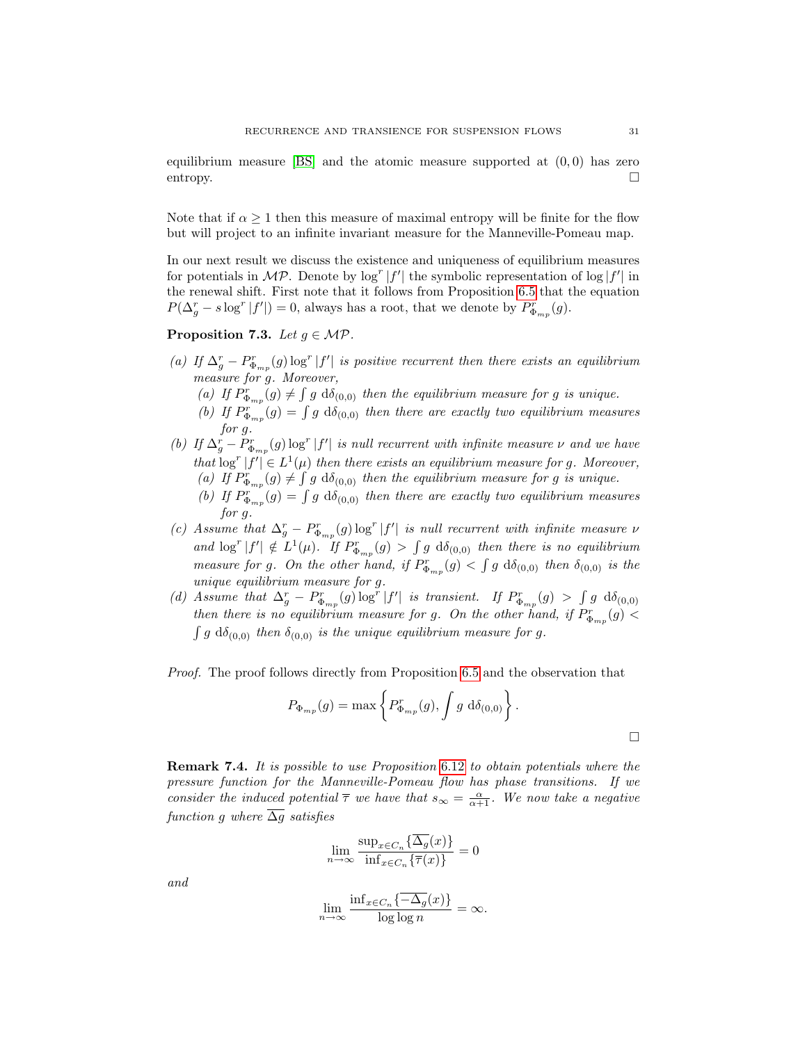equilibrium measure  $[BS]$  and the atomic measure supported at  $(0, 0)$  has zero entropy.  $\Box$ 

Note that if  $\alpha \geq 1$  then this measure of maximal entropy will be finite for the flow but will project to an infinite invariant measure for the Manneville-Pomeau map.

In our next result we discuss the existence and uniqueness of equilibrium measures for potentials in  $\mathcal{MP}$ . Denote by  $\log^r |f'|$  the symbolic representation of  $\log |f'|$  in the renewal shift. First note that it follows from Proposition [6.5](#page-21-1) that the equation  $P(\Delta_g^r - s \log^r |f'|) = 0$ , always has a root, that we denote by  $P_{\Phi_{mp}}^r(g)$ .

# Proposition 7.3. Let  $q \in \mathcal{MP}$ .

- (a) If  $\Delta_g^r P_{\Phi_{mp}}^r(g) \log^r |f'|$  is positive recurrent then there exists an equilibrium measure for g. Moreover,
	- (a) If  $P_{\Phi_{mp}}^r(g) \neq \int g \ d\delta_{(0,0)}$  then the equilibrium measure for g is unique.
	- (b) If  $P_{\Phi_{mp}}^{r}(g) = \int g \, d\delta_{(0,0)}$  then there are exactly two equilibrium measures for g
- (b) If  $\Delta_g^r P_{\Phi_{mp}}^r(g) \log^r |f'|$  is null recurrent with infinite measure  $\nu$  and we have that  $\log^r |f'| \in L^1(\mu)$  then there exists an equilibrium measure for g. Moreover, (a) If  $P^r_{\Phi_{mp}}(g) \neq \int g \ d\delta_{(0,0)}$  then the equilibrium measure for g is unique.
	- (b) If  $P_{\Phi_{mp}}^{r}(g) = \int g \, d\delta_{(0,0)}$  then there are exactly two equilibrium measures for g.
- (c) Assume that  $\Delta_g^r P_{\Phi_{mp}}^r(g) \log^r |f'|$  is null recurrent with infinite measure  $\nu$ and  $\log^r |f'| \notin L^1(\mu)$ . If  $P^r_{\Phi_{mp}}(g) > \int g \; d\delta_{(0,0)}$  then there is no equilibrium measure for g. On the other hand, if  $P_{\Phi_{mp}}^{r}(g) < \int g \, d\delta_{(0,0)}$  then  $\delta_{(0,0)}$  is the unique equilibrium measure for g.
- (d) Assume that  $\Delta_g^r P_{\Phi_{mp}}^r(g) \log^r |f'|$  is transient. If  $P_{\Phi_{mp}}^r(g) > \int g \, d\delta_{(0,0)}$ then there is no equilibrium measure for g. On the other hand, if  $P_{\Phi_{mp}}^{r}(g)$   $<$  $\int g \, d\delta_{(0,0)}$  then  $\delta_{(0,0)}$  is the unique equilibrium measure for g.

Proof. The proof follows directly from Proposition [6.5](#page-21-1) and the observation that

$$
P_{\Phi_{mp}}(g) = \max \left\{ P_{\Phi_{mp}}^r(g), \int g \, \mathrm{d}\delta_{(0,0)} \right\}.
$$

Remark 7.4. It is possible to use Proposition [6.12](#page-25-0) to obtain potentials where the pressure function for the Manneville-Pomeau flow has phase transitions. If we consider the induced potential  $\overline{\tau}$  we have that  $s_{\infty} = \frac{\alpha}{\alpha+1}$ . We now take a negative function g where  $\overline{\Delta g}$  satisfies

$$
\lim_{n \to \infty} \frac{\sup_{x \in C_n} {\{\overline{\Delta_g}(x)\}}}{\inf_{x \in C_n} {\{\overline{\tau}(x)\}}} = 0
$$

and

$$
\lim_{n \to \infty} \frac{\inf_{x \in C_n} \{ \overline{-\Delta_g}(x) \}}{\log \log n} = \infty.
$$

 $\Box$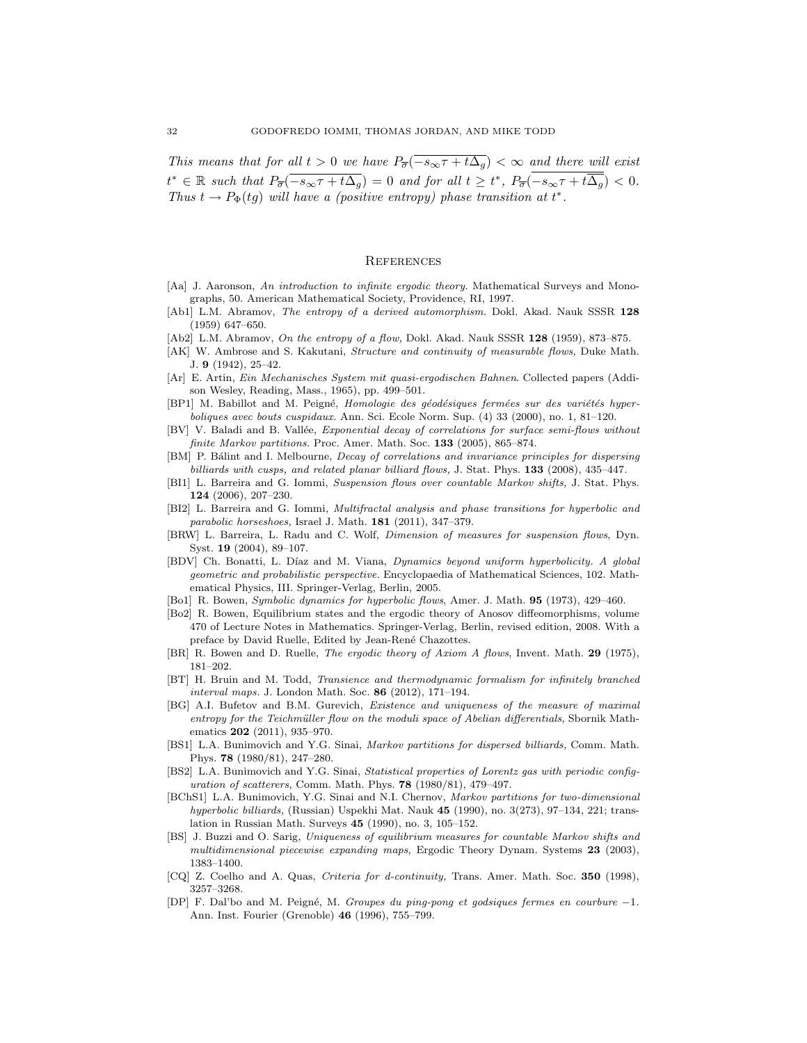This means that for all  $t > 0$  we have  $P_{\overline{\sigma}}(-s_{\infty} + t\Delta_q) < \infty$  and there will exist  $t^* \in \mathbb{R}$  such that  $P_{\overline{\sigma}}(-s_{\infty}\tau+t\overline{\Delta_g})=0$  and for all  $t \geq t^*$ ,  $P_{\overline{\sigma}}(-s_{\infty}\tau+t\overline{\Delta_g})<0$ . Thus  $t \to P_{\Phi}(tg)$  will have a (positive entropy) phase transition at  $t^*$ .

#### **REFERENCES**

- <span id="page-31-15"></span>[Aa] J. Aaronson, An introduction to infinite ergodic theory. Mathematical Surveys and Monographs, 50. American Mathematical Society, Providence, RI, 1997.
- <span id="page-31-13"></span>[Ab1] L.M. Abramov, *The entropy of a derived automorphism*. Dokl. Akad. Nauk SSSR 128 (1959) 647–650.
- <span id="page-31-17"></span>[Ab2] L.M. Abramov, On the entropy of a flow, Dokl. Akad. Nauk SSSR 128 (1959), 873–875.
- <span id="page-31-14"></span>[AK] W. Ambrose and S. Kakutani, *Structure and continuity of measurable flows*, Duke Math. J. 9 (1942), 25–42.
- <span id="page-31-2"></span>[Ar] E. Artin, Ein Mechanisches System mit quasi-ergodischen Bahnen. Collected papers (Addison Wesley, Reading, Mass., 1965), pp. 499–501.
- <span id="page-31-11"></span>[BP1] M. Babillot and M. Peigné, Homologie des géodésiques fermées sur des variétés hyperboliques avec bouts cuspidaux. Ann. Sci. Ecole Norm. Sup. (4) 33 (2000), no. 1, 81–120.
- <span id="page-31-22"></span>[BV] V. Baladi and B. Vallée, Exponential decay of correlations for surface semi-flows without finite Markov partitions. Proc. Amer. Math. Soc. 133 (2005), 865-874.
- <span id="page-31-8"></span>[BM] P. Bálint and I. Melbourne, *Decay of correlations and invariance principles for dispersing* billiards with cusps, and related planar billiard flows, J. Stat. Phys. 133 (2008), 435-447.
- <span id="page-31-6"></span>[BI1] L. Barreira and G. Iommi, Suspension flows over countable Markov shifts, J. Stat. Phys. 124 (2006), 207–230.
- <span id="page-31-20"></span>[BI2] L. Barreira and G. Iommi, Multifractal analysis and phase transitions for hyperbolic and parabolic horseshoes, Israel J. Math. 181 (2011), 347–379.
- <span id="page-31-16"></span>[BRW] L. Barreira, L. Radu and C. Wolf, Dimension of measures for suspension flows, Dyn. Syst. 19 (2004), 89–107.
- <span id="page-31-9"></span>[BDV] Ch. Bonatti, L. Díaz and M. Viana, Dynamics beyond uniform hyperbolicity. A global geometric and probabilistic perspective. Encyclopaedia of Mathematical Sciences, 102. Mathematical Physics, III. Springer-Verlag, Berlin, 2005.
- <span id="page-31-0"></span>[Bo1] R. Bowen, Symbolic dynamics for hyperbolic flows, Amer. J. Math. 95 (1973), 429–460.
- <span id="page-31-18"></span>[Bo2] R. Bowen, Equilibrium states and the ergodic theory of Anosov diffeomorphisms, volume 470 of Lecture Notes in Mathematics. Springer-Verlag, Berlin, revised edition, 2008. With a preface by David Ruelle, Edited by Jean-René Chazottes.
- <span id="page-31-1"></span>[BR] R. Bowen and D. Ruelle, The ergodic theory of Axiom A flows, Invent. Math. 29 (1975), 181–202.
- <span id="page-31-21"></span>[BT] H. Bruin and M. Todd, Transience and thermodynamic formalism for infinitely branched interval maps. J. London Math. Soc. 86 (2012), 171–194.
- <span id="page-31-10"></span>[BG] A.I. Bufetov and B.M. Gurevich, Existence and uniqueness of the measure of maximal entropy for the Teichmüller flow on the moduli space of Abelian differentials, Sbornik Mathematics 202 (2011), 935–970.
- <span id="page-31-3"></span>[BS1] L.A. Bunimovich and Y.G. Sinai, Markov partitions for dispersed billiards, Comm. Math. Phys. 78 (1980/81), 247–280.
- <span id="page-31-4"></span>[BS2] L.A. Bunimovich and Y.G. Sinai, Statistical properties of Lorentz gas with periodic configuration of scatterers, Comm. Math. Phys.  $78$  (1980/81), 479–497.
- <span id="page-31-5"></span>[BChS1] L.A. Bunimovich, Y.G. Sinai and N.I. Chernov, Markov partitions for two-dimensional hyperbolic billiards, (Russian) Uspekhi Mat. Nauk  $45$  (1990), no. 3(273), 97–134, 221; translation in Russian Math. Surveys 45 (1990), no. 3, 105–152.
- <span id="page-31-12"></span>[BS] J. Buzzi and O. Sarig, Uniqueness of equilibrium measures for countable Markov shifts and multidimensional piecewise expanding maps, Ergodic Theory Dynam. Systems 23 (2003), 1383–1400.
- <span id="page-31-19"></span>[CQ] Z. Coelho and A. Quas, Criteria for d-continuity, Trans. Amer. Math. Soc. 350 (1998), 3257–3268.
- <span id="page-31-7"></span>[DP] F. Dal'bo and M. Peign´e, M. Groupes du ping-pong et godsiques fermes en courbure −1. Ann. Inst. Fourier (Grenoble) 46 (1996), 755–799.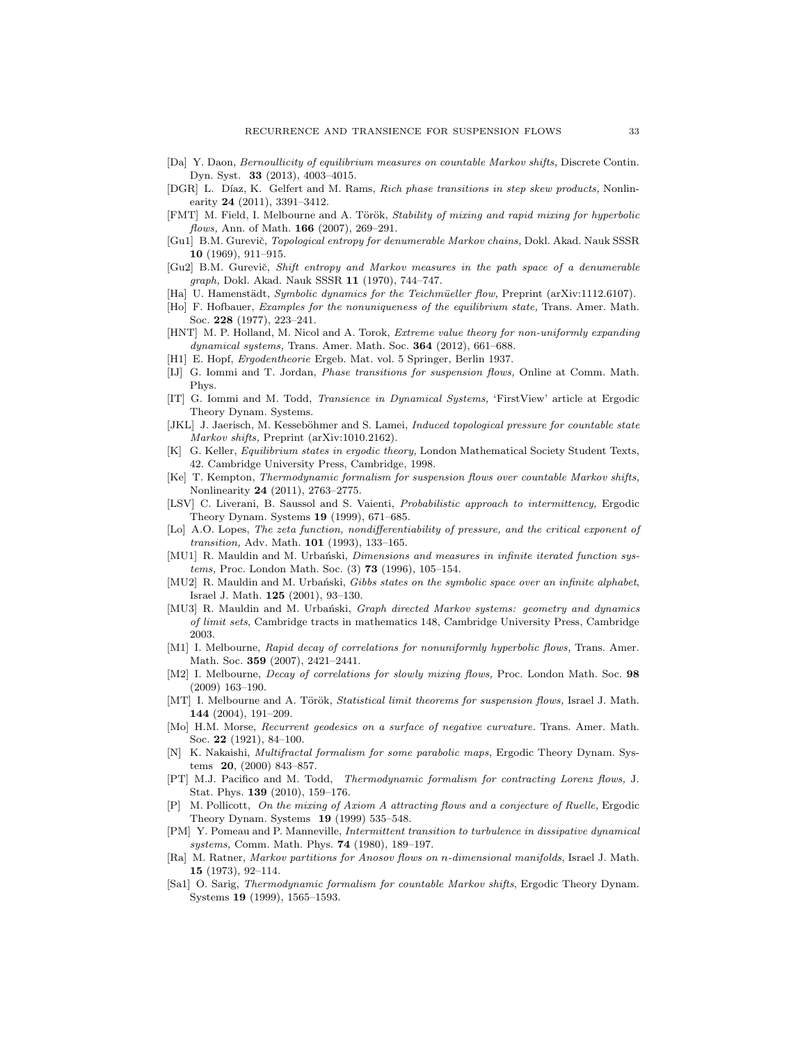- <span id="page-32-18"></span>[Da] Y. Daon, Bernoullicity of equilibrium measures on countable Markov shifts, Discrete Contin. Dyn. Syst. 33 (2013), 4003–4015.
- <span id="page-32-22"></span>[DGR] L. Díaz, K. Gelfert and M. Rams, Rich phase transitions in step skew products, Nonlinearity 24 (2011), 3391–3412.
- <span id="page-32-7"></span>[FMT] M. Field, I. Melbourne and A. Török, Stability of mixing and rapid mixing for hyperbolic *flows*, Ann. of Math. **166** (2007), 269–291.
- <span id="page-32-15"></span>[Gu1] B.M. Gurevič, Topological entropy for denumerable Markov chains, Dokl. Akad. Nauk SSSR 10 (1969), 911–915.
- <span id="page-32-16"></span>[Gu2] B.M. Gurevič, Shift entropy and Markov measures in the path space of a denumerable graph, Dokl. Akad. Nauk SSSR 11 (1970), 744–747.
- <span id="page-32-11"></span>[Ha] U. Hamenstädt, Symbolic dynamics for the Teichmüeller flow, Preprint (arXiv:1112.6107).
- <span id="page-32-21"></span>[Ho] F. Hofbauer, Examples for the nonuniqueness of the equilibrium state, Trans. Amer. Math. Soc. 228 (1977), 223–241.
- <span id="page-32-28"></span>[HNT] M. P. Holland, M. Nicol and A. Torok, *Extreme value theory for non-uniformly expanding* dynamical systems, Trans. Amer. Math. Soc. 364 (2012), 661–688.
- <span id="page-32-19"></span>[H1] E. Hopf, Ergodentheorie Ergeb. Mat. vol. 5 Springer, Berlin 1937.
- <span id="page-32-4"></span>[IJ] G. Iommi and T. Jordan, Phase transitions for suspension flows, Online at Comm. Math. Phys.
- <span id="page-32-20"></span>[IT] G. Iommi and M. Todd, Transience in Dynamical Systems, 'FirstView' article at Ergodic Theory Dynam. Systems.
- <span id="page-32-0"></span>[JKL] J. Jaerisch, M. Kesseböhmer and S. Lamei, *Induced topological pressure for countable state* Markov shifts, Preprint (arXiv:1010.2162).
- <span id="page-32-17"></span>[K] G. Keller, Equilibrium states in ergodic theory, London Mathematical Society Student Texts, 42. Cambridge University Press, Cambridge, 1998.
- <span id="page-32-3"></span>[Ke] T. Kempton, Thermodynamic formalism for suspension flows over countable Markov shifts, Nonlinearity 24 (2011), 2763–2775.
- <span id="page-32-24"></span>[LSV] C. Liverani, B. Saussol and S. Vaienti, Probabilistic approach to intermittency, Ergodic Theory Dynam. Systems 19 (1999), 671–685.
- <span id="page-32-25"></span>[Lo] A.O. Lopes, The zeta function, nondifferentiability of pressure, and the critical exponent of transition, Adv. Math. 101 (1993), 133–165.
- <span id="page-32-13"></span>[MU1] R. Mauldin and M. Urbański, Dimensions and measures in infinite iterated function systems, Proc. London Math. Soc. (3) 73 (1996), 105-154.
- <span id="page-32-14"></span>[MU2] R. Mauldin and M. Urbański, Gibbs states on the symbolic space over an infinite alphabet, Israel J. Math. 125 (2001), 93–130.
- <span id="page-32-12"></span>[MU3] R. Mauldin and M. Urbański, *Graph directed Markov systems: geometry and dynamics* of limit sets, Cambridge tracts in mathematics 148, Cambridge University Press, Cambridge 2003.
- <span id="page-32-9"></span>[M1] I. Melbourne, Rapid decay of correlations for nonuniformly hyperbolic flows, Trans. Amer. Math. Soc. 359 (2007), 2421–2441.
- <span id="page-32-10"></span>[M2] I. Melbourne, *Decay of correlations for slowly mixing flows*, Proc. London Math. Soc. 98 (2009) 163–190.
- <span id="page-32-8"></span>[MT] I. Melbourne and A. Török, Statistical limit theorems for suspension flows, Israel J. Math. 144 (2004), 191–209.
- <span id="page-32-2"></span>[Mo] H.M. Morse, Recurrent geodesics on a surface of negative curvature. Trans. Amer. Math. Soc. 22 (1921), 84–100.
- <span id="page-32-23"></span>[N] K. Nakaishi, Multifractal formalism for some parabolic maps, Ergodic Theory Dynam. Systems 20, (2000) 843–857.
- <span id="page-32-27"></span>[PT] M.J. Pacifico and M. Todd, Thermodynamic formalism for contracting Lorenz flows, J. Stat. Phys. 139 (2010), 159–176.
- <span id="page-32-26"></span>M. Pollicott, On the mixing of Axiom A attracting flows and a conjecture of Ruelle, Ergodic Theory Dynam. Systems 19 (1999) 535–548.
- <span id="page-32-6"></span>[PM] Y. Pomeau and P. Manneville, Intermittent transition to turbulence in dissipative dynamical systems, Comm. Math. Phys. 74 (1980), 189–197.
- <span id="page-32-1"></span>[Ra] M. Ratner, Markov partitions for Anosov flows on *n*-dimensional manifolds, Israel J. Math. 15 (1973), 92–114.
- <span id="page-32-5"></span>[Sa1] O. Sarig, Thermodynamic formalism for countable Markov shifts, Ergodic Theory Dynam. Systems 19 (1999), 1565–1593.